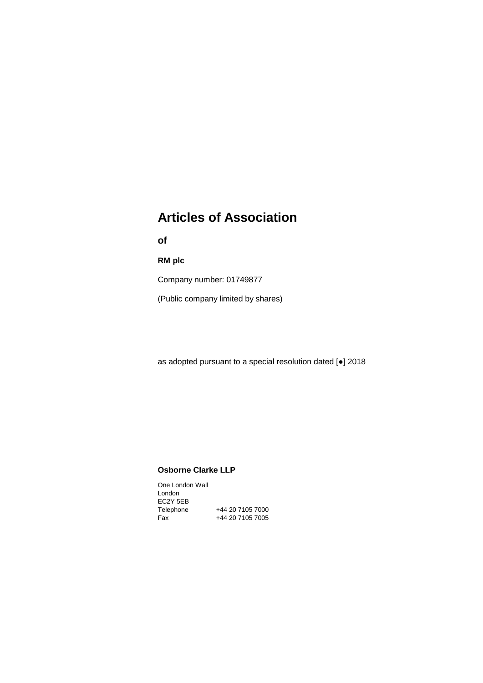# **Articles of Association**

**of**

**RM plc**

Company number: 01749877

(Public company limited by shares)

as adopted pursuant to a special resolution dated [●] 2018

# **Osborne Clarke LLP**

One London Wall London EC2Y 5EB Telephone +44 20 7105 7000 Fax +44 20 7105 7005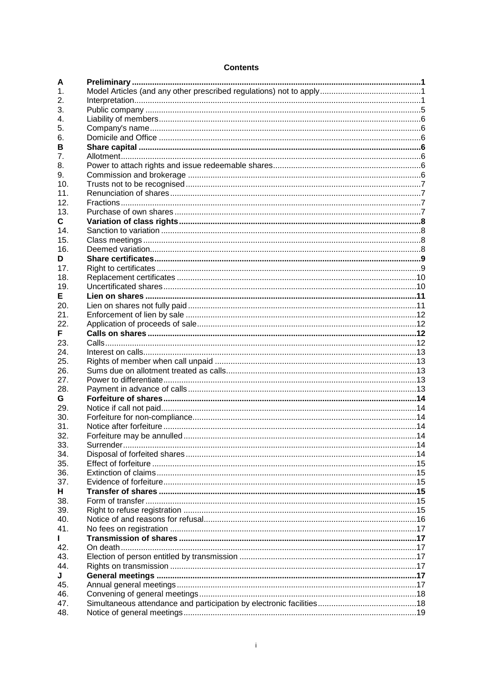# **Contents**

| А   |  |
|-----|--|
| 1.  |  |
| 2.  |  |
| 3.  |  |
| 4.  |  |
| 5.  |  |
| 6.  |  |
| в   |  |
| 7.  |  |
| 8.  |  |
| 9.  |  |
| 10. |  |
| 11. |  |
| 12. |  |
| 13. |  |
|     |  |
| C.  |  |
| 14. |  |
| 15. |  |
| 16. |  |
| D   |  |
| 17. |  |
| 18. |  |
| 19. |  |
| E.  |  |
| 20. |  |
| 21. |  |
| 22. |  |
| F   |  |
| 23. |  |
| 24. |  |
| 25. |  |
| 26. |  |
| 27. |  |
| 28. |  |
| G.  |  |
| 29. |  |
| 30. |  |
| 31. |  |
| 32. |  |
| 33. |  |
| 34. |  |
| 35. |  |
| 36. |  |
| 37. |  |
| н   |  |
| 38. |  |
| 39. |  |
| 40. |  |
| 41. |  |
|     |  |
| 42. |  |
| 43. |  |
| 44. |  |
| J   |  |
| 45. |  |
| 46. |  |
| 47. |  |
| 48. |  |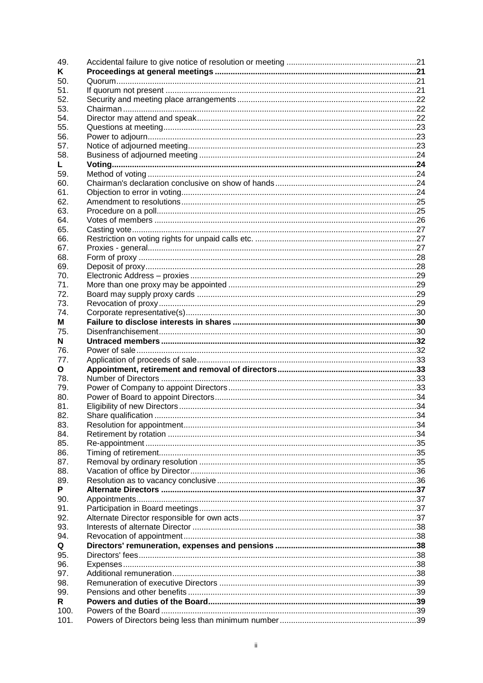| 49.          |  |
|--------------|--|
| Κ            |  |
| 50.          |  |
| 51.          |  |
| 52.          |  |
| 53.          |  |
| 54.          |  |
| 55.          |  |
| 56.          |  |
| 57.          |  |
| 58.          |  |
| L.           |  |
| 59.          |  |
| 60.          |  |
| 61.          |  |
| 62.          |  |
| 63.          |  |
| 64.          |  |
|              |  |
| 65.          |  |
| 66.          |  |
| 67.          |  |
| 68.          |  |
| 69.          |  |
| 70.          |  |
| 71.          |  |
| 72.          |  |
| 73.          |  |
| 74.          |  |
| м            |  |
| 75.          |  |
| N            |  |
|              |  |
| 76.          |  |
| 77.          |  |
| O            |  |
| 78.          |  |
| 79.          |  |
| 80.          |  |
| 81.          |  |
| 82.          |  |
| 83.          |  |
| 84.          |  |
| 85.          |  |
|              |  |
| 86.          |  |
| 87.          |  |
| 88.          |  |
| 89.          |  |
| P            |  |
| 90.          |  |
| 91.          |  |
| 92.          |  |
| 93.          |  |
| 94.          |  |
| Q            |  |
| 95.          |  |
| 96.          |  |
| 97.          |  |
| 98.          |  |
| 99.          |  |
| R            |  |
| 100.<br>101. |  |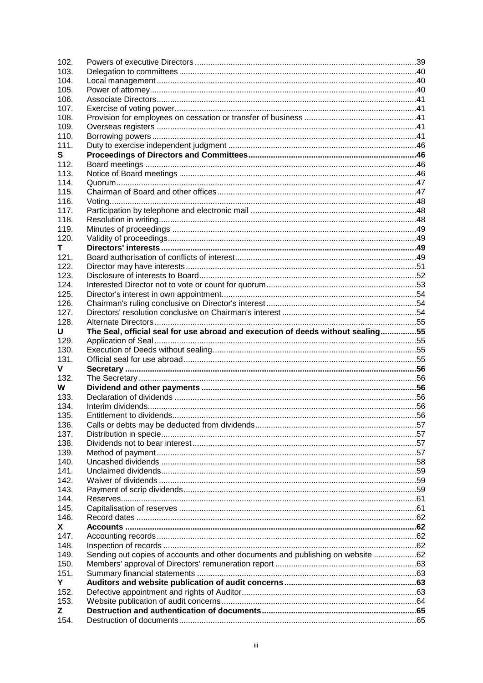| 102.       |                                                                                 |  |
|------------|---------------------------------------------------------------------------------|--|
| 103.       |                                                                                 |  |
| 104.       |                                                                                 |  |
| 105.       |                                                                                 |  |
| 106.       |                                                                                 |  |
| 107.       |                                                                                 |  |
| 108.       |                                                                                 |  |
| 109.       |                                                                                 |  |
| 110.       |                                                                                 |  |
| 111.       |                                                                                 |  |
| S          |                                                                                 |  |
| 112.       |                                                                                 |  |
| 113.       |                                                                                 |  |
| 114.       |                                                                                 |  |
| 115.       |                                                                                 |  |
| 116.       |                                                                                 |  |
|            |                                                                                 |  |
| 117.       |                                                                                 |  |
| 118.       |                                                                                 |  |
| 119.       |                                                                                 |  |
| 120.       |                                                                                 |  |
| Τ          |                                                                                 |  |
| 121.       |                                                                                 |  |
| 122.       |                                                                                 |  |
| 123.       |                                                                                 |  |
| 124.       |                                                                                 |  |
| 125.       |                                                                                 |  |
| 126.       |                                                                                 |  |
| 127.       |                                                                                 |  |
| 128.       |                                                                                 |  |
| U          | The Seal, official seal for use abroad and execution of deeds without sealing55 |  |
|            |                                                                                 |  |
|            |                                                                                 |  |
| 129.       |                                                                                 |  |
| 130.       |                                                                                 |  |
| 131.       |                                                                                 |  |
| v.         |                                                                                 |  |
| 132.       |                                                                                 |  |
| W          |                                                                                 |  |
| 133.       |                                                                                 |  |
| 134.       |                                                                                 |  |
| 135.       |                                                                                 |  |
| 136.       |                                                                                 |  |
| 137.       |                                                                                 |  |
| 138.       |                                                                                 |  |
| 139.       |                                                                                 |  |
| 140.       |                                                                                 |  |
| 141.       |                                                                                 |  |
| 142.       |                                                                                 |  |
| 143.       |                                                                                 |  |
| 144.       |                                                                                 |  |
| 145.       |                                                                                 |  |
| 146.       |                                                                                 |  |
| X.         |                                                                                 |  |
| 147.       |                                                                                 |  |
| 148.       |                                                                                 |  |
|            |                                                                                 |  |
| 149.       | Sending out copies of accounts and other documents and publishing on website 62 |  |
| 150.       |                                                                                 |  |
| 151.       |                                                                                 |  |
| Y          |                                                                                 |  |
| 152.       |                                                                                 |  |
| 153.       |                                                                                 |  |
| Z.<br>154. |                                                                                 |  |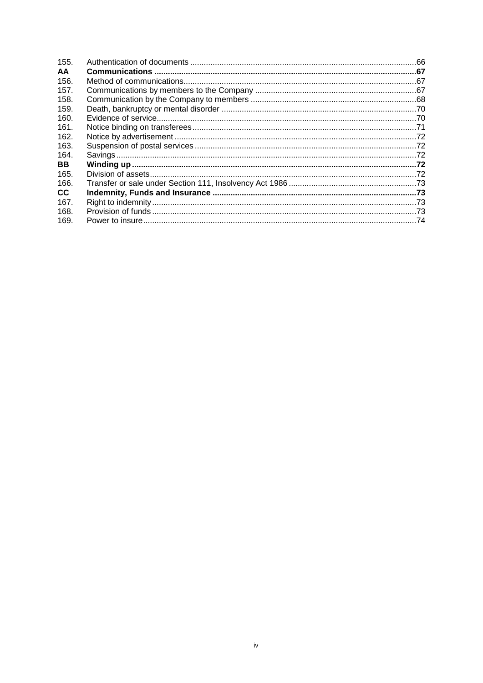| 155.      |  |
|-----------|--|
| AA        |  |
| 156.      |  |
| 157.      |  |
| 158.      |  |
| 159.      |  |
| 160.      |  |
| 161.      |  |
| 162.      |  |
| 163.      |  |
| 164.      |  |
| <b>BB</b> |  |
| 165.      |  |
| 166.      |  |
| CC.       |  |
| 167.      |  |
| 168.      |  |
| 169.      |  |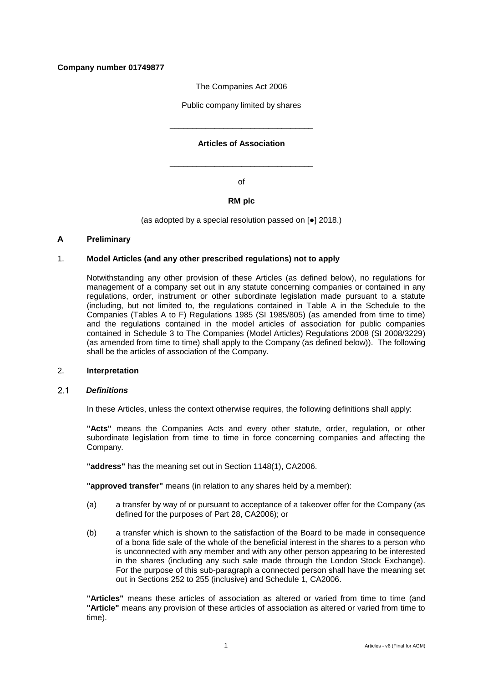# **Company number 01749877**

The Companies Act 2006

Public company limited by shares

# **Articles of Association**

\_\_\_\_\_\_\_\_\_\_\_\_\_\_\_\_\_\_\_\_\_\_\_\_\_\_\_\_\_\_\_\_

of

\_\_\_\_\_\_\_\_\_\_\_\_\_\_\_\_\_\_\_\_\_\_\_\_\_\_\_\_\_\_\_\_

# **RM plc**

(as adopted by a special resolution passed on [●] 2018.)

# <span id="page-5-0"></span>**A Preliminary**

### <span id="page-5-1"></span>1. **Model Articles (and any other prescribed regulations) not to apply**

Notwithstanding any other provision of these Articles (as defined below), no regulations for management of a company set out in any statute concerning companies or contained in any regulations, order, instrument or other subordinate legislation made pursuant to a statute (including, but not limited to, the regulations contained in Table A in the Schedule to the Companies (Tables A to F) Regulations 1985 (SI 1985/805) (as amended from time to time) and the regulations contained in the model articles of association for public companies contained in Schedule 3 to The Companies (Model Articles) Regulations 2008 (SI 2008/3229) (as amended from time to time) shall apply to the Company (as defined below)). The following shall be the articles of association of the Company.

# <span id="page-5-2"></span>2. **Interpretation**

#### <span id="page-5-3"></span>*Definitions*  $2<sub>1</sub>$

In these Articles, unless the context otherwise requires, the following definitions shall apply:

**"Acts"** means the Companies Acts and every other statute, order, regulation, or other subordinate legislation from time to time in force concerning companies and affecting the Company.

**"address"** has the meaning set out in Section 1148(1), CA2006.

**"approved transfer"** means (in relation to any shares held by a member):

- (a) a transfer by way of or pursuant to acceptance of a takeover offer for the Company (as defined for the purposes of Part 28, CA2006); or
- (b) a transfer which is shown to the satisfaction of the Board to be made in consequence of a bona fide sale of the whole of the beneficial interest in the shares to a person who is unconnected with any member and with any other person appearing to be interested in the shares (including any such sale made through the London Stock Exchange). For the purpose of this sub-paragraph a connected person shall have the meaning set out in Sections 252 to 255 (inclusive) and Schedule 1, CA2006.

**"Articles"** means these articles of association as altered or varied from time to time (and **"Article"** means any provision of these articles of association as altered or varied from time to time).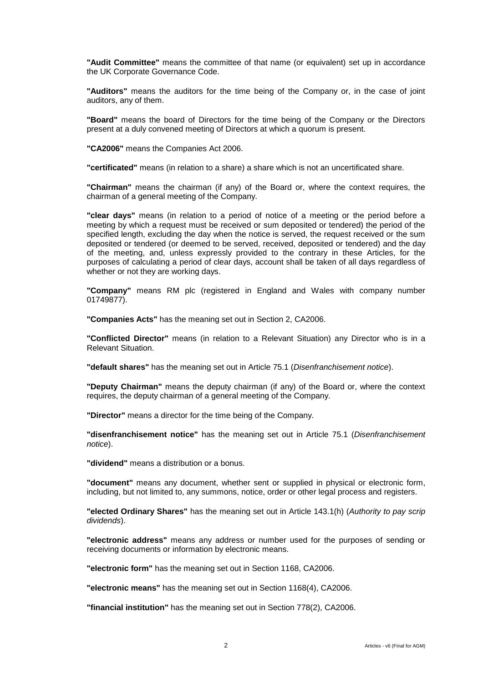**"Audit Committee"** means the committee of that name (or equivalent) set up in accordance the UK Corporate Governance Code.

**"Auditors"** means the auditors for the time being of the Company or, in the case of joint auditors, any of them.

**"Board"** means the board of Directors for the time being of the Company or the Directors present at a duly convened meeting of Directors at which a quorum is present.

**"CA2006"** means the Companies Act 2006.

**"certificated"** means (in relation to a share) a share which is not an uncertificated share.

**"Chairman"** means the chairman (if any) of the Board or, where the context requires, the chairman of a general meeting of the Company.

**"clear days"** means (in relation to a period of notice of a meeting or the period before a meeting by which a request must be received or sum deposited or tendered) the period of the specified length, excluding the day when the notice is served, the request received or the sum deposited or tendered (or deemed to be served, received, deposited or tendered) and the day of the meeting, and, unless expressly provided to the contrary in these Articles, for the purposes of calculating a period of clear days, account shall be taken of all days regardless of whether or not they are working days.

**"Company"** means RM plc (registered in England and Wales with company number 01749877).

**"Companies Acts"** has the meaning set out in Section 2, CA2006.

**"Conflicted Director"** means (in relation to a Relevant Situation) any Director who is in a Relevant Situation.

**"default shares"** has the meaning set out in Article [75.1](#page-34-3) (*Disenfranchisement notice*).

**"Deputy Chairman"** means the deputy chairman (if any) of the Board or, where the context requires, the deputy chairman of a general meeting of the Company.

**"Director"** means a director for the time being of the Company.

**"disenfranchisement notice"** has the meaning set out in Article [75.1](#page-34-3) (*Disenfranchisement notice*).

**"dividend"** means a distribution or a bonus.

**"document"** means any document, whether sent or supplied in physical or electronic form, including, but not limited to, any summons, notice, order or other legal process and registers.

**"elected Ordinary Shares"** has the meaning set out in Article [143.1\(h\)](#page-64-0) (*Authority to pay scrip dividends*).

**"electronic address"** means any address or number used for the purposes of sending or receiving documents or information by electronic means.

**"electronic form"** has the meaning set out in Section 1168, CA2006.

**"electronic means"** has the meaning set out in Section 1168(4), CA2006.

**"financial institution"** has the meaning set out in Section 778(2), CA2006.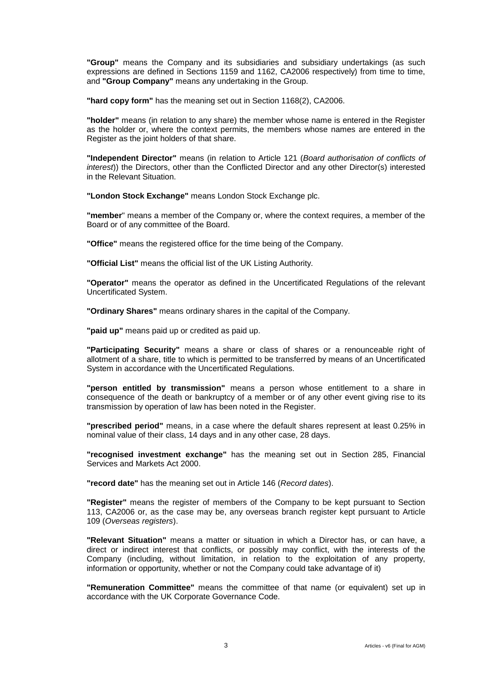**"Group"** means the Company and its subsidiaries and subsidiary undertakings (as such expressions are defined in Sections 1159 and 1162, CA2006 respectively) from time to time, and **"Group Company"** means any undertaking in the Group.

**"hard copy form"** has the meaning set out in Section 1168(2), CA2006.

**"holder"** means (in relation to any share) the member whose name is entered in the Register as the holder or, where the context permits, the members whose names are entered in the Register as the joint holders of that share.

**"Independent Director"** means (in relation to Article [121](#page-53-3) (*Board authorisation of conflicts of interest*)) the Directors, other than the Conflicted Director and any other Director(s) interested in the Relevant Situation.

**"London Stock Exchange"** means London Stock Exchange plc.

**"member**" means a member of the Company or, where the context requires, a member of the Board or of any committee of the Board.

**"Office"** means the registered office for the time being of the Company.

**"Official List"** means the official list of the UK Listing Authority.

**"Operator"** means the operator as defined in the Uncertificated Regulations of the relevant Uncertificated System.

**"Ordinary Shares"** means ordinary shares in the capital of the Company.

**"paid up"** means paid up or credited as paid up.

**"Participating Security"** means a share or class of shares or a renounceable right of allotment of a share, title to which is permitted to be transferred by means of an Uncertificated System in accordance with the Uncertificated Regulations.

**"person entitled by transmission"** means a person whose entitlement to a share in consequence of the death or bankruptcy of a member or of any other event giving rise to its transmission by operation of law has been noted in the Register.

**"prescribed period"** means, in a case where the default shares represent at least 0.25% in nominal value of their class, 14 days and in any other case, 28 days.

**"recognised investment exchange"** has the meaning set out in Section 285, Financial Services and Markets Act 2000.

**"record date"** has the meaning set out in Article [146](#page-66-0) (*Record dates*).

**"Register"** means the register of members of the Company to be kept pursuant to Section 113, CA2006 or, as the case may be, any overseas branch register kept pursuant to Article [109](#page-45-3) (*Overseas registers*).

**"Relevant Situation"** means a matter or situation in which a Director has, or can have, a direct or indirect interest that conflicts, or possibly may conflict, with the interests of the Company (including, without limitation, in relation to the exploitation of any property, information or opportunity, whether or not the Company could take advantage of it)

**"Remuneration Committee"** means the committee of that name (or equivalent) set up in accordance with the UK Corporate Governance Code.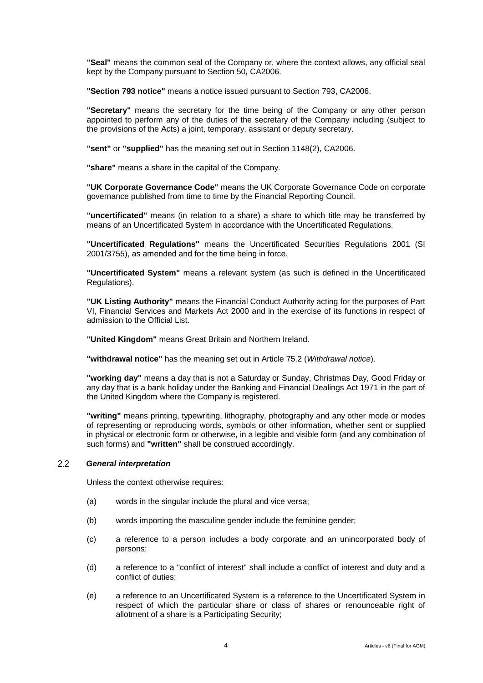**"Seal"** means the common seal of the Company or, where the context allows, any official seal kept by the Company pursuant to Section 50, CA2006.

**"Section 793 notice"** means a notice issued pursuant to Section 793, CA2006.

**"Secretary"** means the secretary for the time being of the Company or any other person appointed to perform any of the duties of the secretary of the Company including (subject to the provisions of the Acts) a joint, temporary, assistant or deputy secretary.

**"sent"** or **"supplied"** has the meaning set out in Section 1148(2), CA2006.

**"share"** means a share in the capital of the Company.

**"UK Corporate Governance Code"** means the UK Corporate Governance Code on corporate governance published from time to time by the Financial Reporting Council.

**"uncertificated"** means (in relation to a share) a share to which title may be transferred by means of an Uncertificated System in accordance with the Uncertificated Regulations.

**"Uncertificated Regulations"** means the Uncertificated Securities Regulations 2001 (SI 2001/3755), as amended and for the time being in force.

**"Uncertificated System"** means a relevant system (as such is defined in the Uncertificated Regulations).

**"UK Listing Authority"** means the Financial Conduct Authority acting for the purposes of Part VI, Financial Services and Markets Act 2000 and in the exercise of its functions in respect of admission to the Official List.

**"United Kingdom"** means Great Britain and Northern Ireland.

**"withdrawal notice"** has the meaning set out in Article [75.2](#page-35-0) (*Withdrawal notice*).

**"working day"** means a day that is not a Saturday or Sunday, Christmas Day, Good Friday or any day that is a bank holiday under the Banking and Financial Dealings Act 1971 in the part of the United Kingdom where the Company is registered.

**"writing"** means printing, typewriting, lithography, photography and any other mode or modes of representing or reproducing words, symbols or other information, whether sent or supplied in physical or electronic form or otherwise, in a legible and visible form (and any combination of such forms) and **"written"** shall be construed accordingly.

#### $22$ *General interpretation*

Unless the context otherwise requires:

- (a) words in the singular include the plural and vice versa;
- (b) words importing the masculine gender include the feminine gender;
- (c) a reference to a person includes a body corporate and an unincorporated body of persons;
- (d) a reference to a "conflict of interest" shall include a conflict of interest and duty and a conflict of duties;
- (e) a reference to an Uncertificated System is a reference to the Uncertificated System in respect of which the particular share or class of shares or renounceable right of allotment of a share is a Participating Security;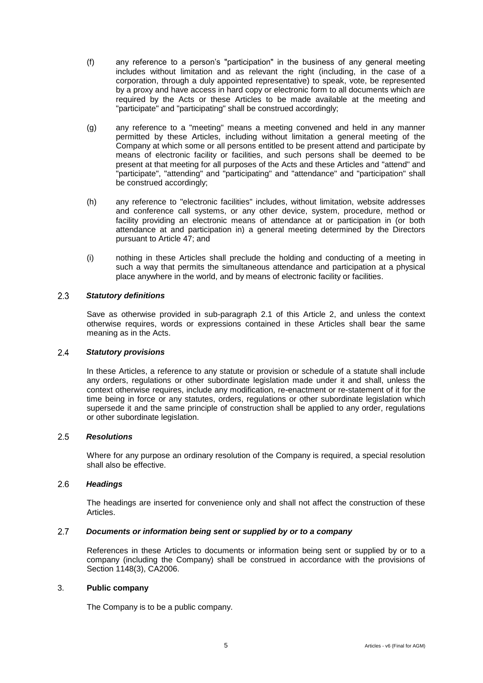- (f) any reference to a person's "participation" in the business of any general meeting includes without limitation and as relevant the right (including, in the case of a corporation, through a duly appointed representative) to speak, vote, be represented by a proxy and have access in hard copy or electronic form to all documents which are required by the Acts or these Articles to be made available at the meeting and "participate" and "participating" shall be construed accordingly;
- (g) any reference to a "meeting" means a meeting convened and held in any manner permitted by these Articles, including without limitation a general meeting of the Company at which some or all persons entitled to be present attend and participate by means of electronic facility or facilities, and such persons shall be deemed to be present at that meeting for all purposes of the Acts and these Articles and "attend" and "participate", "attending" and "participating" and "attendance" and "participation" shall be construed accordingly;
- (h) any reference to "electronic facilities" includes, without limitation, website addresses and conference call systems, or any other device, system, procedure, method or facility providing an electronic means of attendance at or participation in (or both attendance at and participation in) a general meeting determined by the Directors pursuant to Article [47;](#page-22-1) and
- (i) nothing in these Articles shall preclude the holding and conducting of a meeting in such a way that permits the simultaneous attendance and participation at a physical place anywhere in the world, and by means of electronic facility or facilities.

#### $2.3$ *Statutory definitions*

Save as otherwise provided in sub-paragraph [2.1](#page-5-3) of this Article [2,](#page-5-2) and unless the context otherwise requires, words or expressions contained in these Articles shall bear the same meaning as in the Acts.

#### 2.4 *Statutory provisions*

In these Articles, a reference to any statute or provision or schedule of a statute shall include any orders, regulations or other subordinate legislation made under it and shall, unless the context otherwise requires, include any modification, re-enactment or re-statement of it for the time being in force or any statutes, orders, regulations or other subordinate legislation which supersede it and the same principle of construction shall be applied to any order, regulations or other subordinate legislation.

#### $2.5$ *Resolutions*

Where for any purpose an ordinary resolution of the Company is required, a special resolution shall also be effective.

#### $2.6$ *Headings*

The headings are inserted for convenience only and shall not affect the construction of these Articles.

#### $2.7$ *Documents or information being sent or supplied by or to a company*

References in these Articles to documents or information being sent or supplied by or to a company (including the Company) shall be construed in accordance with the provisions of Section 1148(3), CA2006.

### <span id="page-9-0"></span>3. **Public company**

The Company is to be a public company.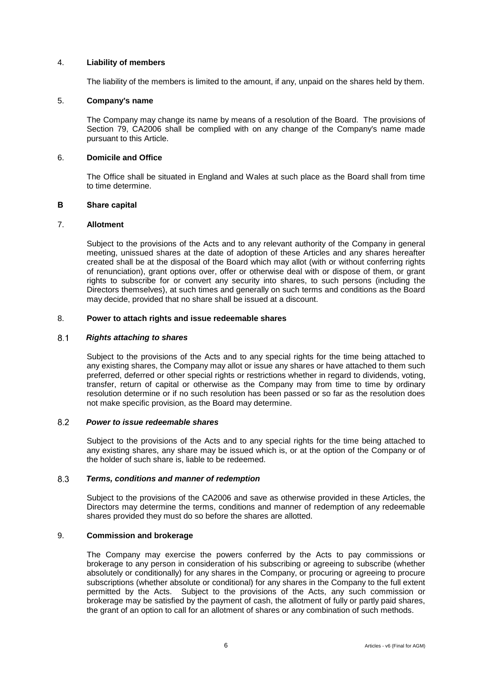### <span id="page-10-0"></span>4. **Liability of members**

The liability of the members is limited to the amount, if any, unpaid on the shares held by them.

# <span id="page-10-1"></span>5. **Company's name**

The Company may change its name by means of a resolution of the Board. The provisions of Section 79, CA2006 shall be complied with on any change of the Company's name made pursuant to this Article.

# <span id="page-10-2"></span>6. **Domicile and Office**

The Office shall be situated in England and Wales at such place as the Board shall from time to time determine.

# <span id="page-10-3"></span>**B Share capital**

# <span id="page-10-4"></span>7. **Allotment**

Subject to the provisions of the Acts and to any relevant authority of the Company in general meeting, unissued shares at the date of adoption of these Articles and any shares hereafter created shall be at the disposal of the Board which may allot (with or without conferring rights of renunciation), grant options over, offer or otherwise deal with or dispose of them, or grant rights to subscribe for or convert any security into shares, to such persons (including the Directors themselves), at such times and generally on such terms and conditions as the Board may decide, provided that no share shall be issued at a discount.

# <span id="page-10-5"></span>8. **Power to attach rights and issue redeemable shares**

#### $8.1$ *Rights attaching to shares*

Subject to the provisions of the Acts and to any special rights for the time being attached to any existing shares, the Company may allot or issue any shares or have attached to them such preferred, deferred or other special rights or restrictions whether in regard to dividends, voting, transfer, return of capital or otherwise as the Company may from time to time by ordinary resolution determine or if no such resolution has been passed or so far as the resolution does not make specific provision, as the Board may determine.

#### 8.2 *Power to issue redeemable shares*

Subject to the provisions of the Acts and to any special rights for the time being attached to any existing shares, any share may be issued which is, or at the option of the Company or of the holder of such share is, liable to be redeemed.

#### 8.3 *Terms, conditions and manner of redemption*

Subject to the provisions of the CA2006 and save as otherwise provided in these Articles, the Directors may determine the terms, conditions and manner of redemption of any redeemable shares provided they must do so before the shares are allotted.

# <span id="page-10-6"></span>9. **Commission and brokerage**

The Company may exercise the powers conferred by the Acts to pay commissions or brokerage to any person in consideration of his subscribing or agreeing to subscribe (whether absolutely or conditionally) for any shares in the Company, or procuring or agreeing to procure subscriptions (whether absolute or conditional) for any shares in the Company to the full extent permitted by the Acts. Subject to the provisions of the Acts, any such commission or brokerage may be satisfied by the payment of cash, the allotment of fully or partly paid shares, the grant of an option to call for an allotment of shares or any combination of such methods.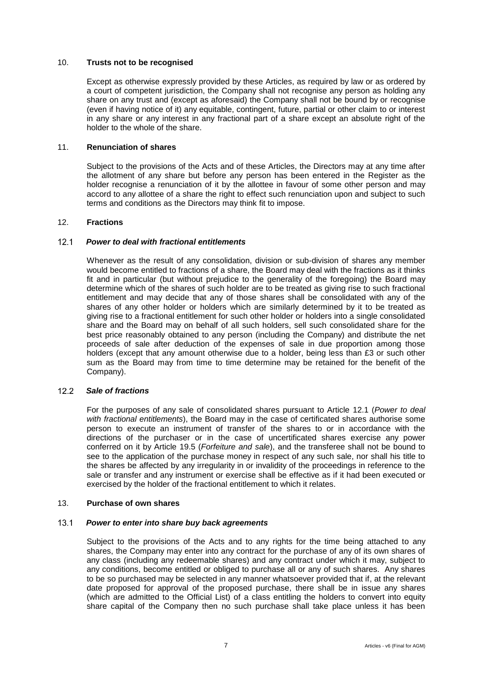### <span id="page-11-0"></span>10. **Trusts not to be recognised**

Except as otherwise expressly provided by these Articles, as required by law or as ordered by a court of competent jurisdiction, the Company shall not recognise any person as holding any share on any trust and (except as aforesaid) the Company shall not be bound by or recognise (even if having notice of it) any equitable, contingent, future, partial or other claim to or interest in any share or any interest in any fractional part of a share except an absolute right of the holder to the whole of the share.

# <span id="page-11-1"></span>11. **Renunciation of shares**

Subject to the provisions of the Acts and of these Articles, the Directors may at any time after the allotment of any share but before any person has been entered in the Register as the holder recognise a renunciation of it by the allottee in favour of some other person and may accord to any allottee of a share the right to effect such renunciation upon and subject to such terms and conditions as the Directors may think fit to impose.

# <span id="page-11-2"></span>12. **Fractions**

#### <span id="page-11-4"></span> $12.1$ *Power to deal with fractional entitlements*

Whenever as the result of any consolidation, division or sub-division of shares any member would become entitled to fractions of a share, the Board may deal with the fractions as it thinks fit and in particular (but without prejudice to the generality of the foregoing) the Board may determine which of the shares of such holder are to be treated as giving rise to such fractional entitlement and may decide that any of those shares shall be consolidated with any of the shares of any other holder or holders which are similarly determined by it to be treated as giving rise to a fractional entitlement for such other holder or holders into a single consolidated share and the Board may on behalf of all such holders, sell such consolidated share for the best price reasonably obtained to any person (including the Company) and distribute the net proceeds of sale after deduction of the expenses of sale in due proportion among those holders (except that any amount otherwise due to a holder, being less than £3 or such other sum as the Board may from time to time determine may be retained for the benefit of the Company).

#### $12.2$ *Sale of fractions*

For the purposes of any sale of consolidated shares pursuant to Article [12.1](#page-11-4) (*Power to deal with fractional entitlements*), the Board may in the case of certificated shares authorise some person to execute an instrument of transfer of the shares to or in accordance with the directions of the purchaser or in the case of uncertificated shares exercise any power conferred on it by Article [19.5](#page-15-2) (*Forfeiture and sale*), and the transferee shall not be bound to see to the application of the purchase money in respect of any such sale, nor shall his title to the shares be affected by any irregularity in or invalidity of the proceedings in reference to the sale or transfer and any instrument or exercise shall be effective as if it had been executed or exercised by the holder of the fractional entitlement to which it relates.

### <span id="page-11-3"></span>13. **Purchase of own shares**

#### <span id="page-11-5"></span> $13.1$ *Power to enter into share buy back agreements*

Subject to the provisions of the Acts and to any rights for the time being attached to any shares, the Company may enter into any contract for the purchase of any of its own shares of any class (including any redeemable shares) and any contract under which it may, subject to any conditions, become entitled or obliged to purchase all or any of such shares. Any shares to be so purchased may be selected in any manner whatsoever provided that if, at the relevant date proposed for approval of the proposed purchase, there shall be in issue any shares (which are admitted to the Official List) of a class entitling the holders to convert into equity share capital of the Company then no such purchase shall take place unless it has been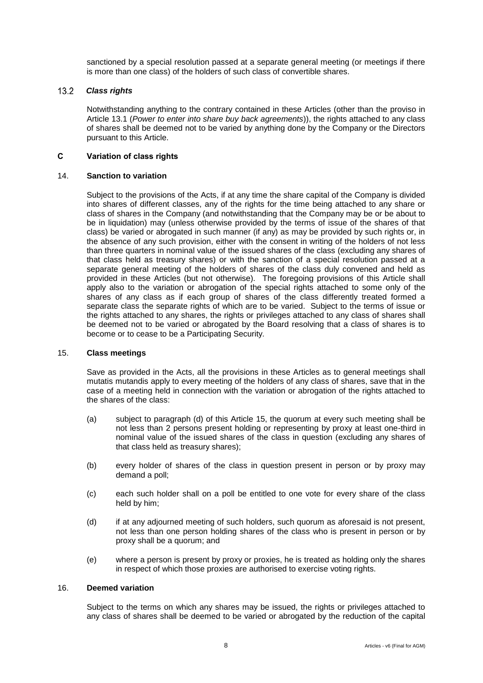sanctioned by a special resolution passed at a separate general meeting (or meetings if there is more than one class) of the holders of such class of convertible shares.

#### $13.2$ *Class rights*

Notwithstanding anything to the contrary contained in these Articles (other than the proviso in Article [13.1](#page-11-5) (*Power to enter into share buy back agreements*)), the rights attached to any class of shares shall be deemed not to be varied by anything done by the Company or the Directors pursuant to this Article.

### <span id="page-12-0"></span>**C Variation of class rights**

# <span id="page-12-1"></span>14. **Sanction to variation**

Subject to the provisions of the Acts, if at any time the share capital of the Company is divided into shares of different classes, any of the rights for the time being attached to any share or class of shares in the Company (and notwithstanding that the Company may be or be about to be in liquidation) may (unless otherwise provided by the terms of issue of the shares of that class) be varied or abrogated in such manner (if any) as may be provided by such rights or, in the absence of any such provision, either with the consent in writing of the holders of not less than three quarters in nominal value of the issued shares of the class (excluding any shares of that class held as treasury shares) or with the sanction of a special resolution passed at a separate general meeting of the holders of shares of the class duly convened and held as provided in these Articles (but not otherwise). The foregoing provisions of this Article shall apply also to the variation or abrogation of the special rights attached to some only of the shares of any class as if each group of shares of the class differently treated formed a separate class the separate rights of which are to be varied. Subject to the terms of issue or the rights attached to any shares, the rights or privileges attached to any class of shares shall be deemed not to be varied or abrogated by the Board resolving that a class of shares is to become or to cease to be a Participating Security.

### <span id="page-12-2"></span>15. **Class meetings**

Save as provided in the Acts, all the provisions in these Articles as to general meetings shall mutatis mutandis apply to every meeting of the holders of any class of shares, save that in the case of a meeting held in connection with the variation or abrogation of the rights attached to the shares of the class:

- (a) subject to paragraph (d) of this Article [15,](#page-12-2) the quorum at every such meeting shall be not less than 2 persons present holding or representing by proxy at least one-third in nominal value of the issued shares of the class in question (excluding any shares of that class held as treasury shares);
- (b) every holder of shares of the class in question present in person or by proxy may demand a poll;
- (c) each such holder shall on a poll be entitled to one vote for every share of the class held by him;
- (d) if at any adjourned meeting of such holders, such quorum as aforesaid is not present, not less than one person holding shares of the class who is present in person or by proxy shall be a quorum; and
- (e) where a person is present by proxy or proxies, he is treated as holding only the shares in respect of which those proxies are authorised to exercise voting rights.

# <span id="page-12-3"></span>16. **Deemed variation**

Subject to the terms on which any shares may be issued, the rights or privileges attached to any class of shares shall be deemed to be varied or abrogated by the reduction of the capital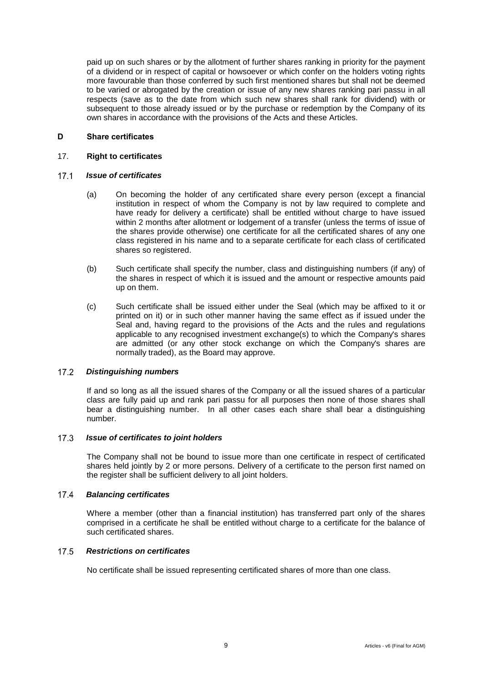paid up on such shares or by the allotment of further shares ranking in priority for the payment of a dividend or in respect of capital or howsoever or which confer on the holders voting rights more favourable than those conferred by such first mentioned shares but shall not be deemed to be varied or abrogated by the creation or issue of any new shares ranking pari passu in all respects (save as to the date from which such new shares shall rank for dividend) with or subsequent to those already issued or by the purchase or redemption by the Company of its own shares in accordance with the provisions of the Acts and these Articles.

### <span id="page-13-0"></span>**D Share certificates**

### <span id="page-13-1"></span>17. **Right to certificates**

#### $17.1$ *Issue of certificates*

- (a) On becoming the holder of any certificated share every person (except a financial institution in respect of whom the Company is not by law required to complete and have ready for delivery a certificate) shall be entitled without charge to have issued within 2 months after allotment or lodgement of a transfer (unless the terms of issue of the shares provide otherwise) one certificate for all the certificated shares of any one class registered in his name and to a separate certificate for each class of certificated shares so registered.
- (b) Such certificate shall specify the number, class and distinguishing numbers (if any) of the shares in respect of which it is issued and the amount or respective amounts paid up on them.
- (c) Such certificate shall be issued either under the Seal (which may be affixed to it or printed on it) or in such other manner having the same effect as if issued under the Seal and, having regard to the provisions of the Acts and the rules and regulations applicable to any recognised investment exchange(s) to which the Company's shares are admitted (or any other stock exchange on which the Company's shares are normally traded), as the Board may approve.

#### *Distinguishing numbers*  $17.2$

If and so long as all the issued shares of the Company or all the issued shares of a particular class are fully paid up and rank pari passu for all purposes then none of those shares shall bear a distinguishing number. In all other cases each share shall bear a distinguishing number.

#### *Issue of certificates to joint holders*  $17.3$

The Company shall not be bound to issue more than one certificate in respect of certificated shares held jointly by 2 or more persons. Delivery of a certificate to the person first named on the register shall be sufficient delivery to all joint holders.

#### $17.4$ *Balancing certificates*

Where a member (other than a financial institution) has transferred part only of the shares comprised in a certificate he shall be entitled without charge to a certificate for the balance of such certificated shares.

#### $17.5$ *Restrictions on certificates*

No certificate shall be issued representing certificated shares of more than one class.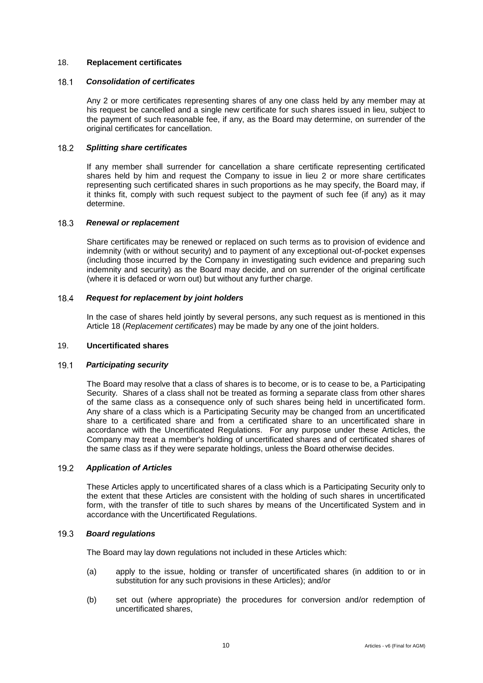## <span id="page-14-0"></span>18. **Replacement certificates**

#### $18.1$ *Consolidation of certificates*

Any 2 or more certificates representing shares of any one class held by any member may at his request be cancelled and a single new certificate for such shares issued in lieu, subject to the payment of such reasonable fee, if any, as the Board may determine, on surrender of the original certificates for cancellation.

#### $18.2$ *Splitting share certificates*

If any member shall surrender for cancellation a share certificate representing certificated shares held by him and request the Company to issue in lieu 2 or more share certificates representing such certificated shares in such proportions as he may specify, the Board may, if it thinks fit, comply with such request subject to the payment of such fee (if any) as it may determine.

#### $18.3$ *Renewal or replacement*

Share certificates may be renewed or replaced on such terms as to provision of evidence and indemnity (with or without security) and to payment of any exceptional out-of-pocket expenses (including those incurred by the Company in investigating such evidence and preparing such indemnity and security) as the Board may decide, and on surrender of the original certificate (where it is defaced or worn out) but without any further charge.

#### $18.4$ *Request for replacement by joint holders*

In the case of shares held jointly by several persons, any such request as is mentioned in this Article [18](#page-14-0) (*Replacement certificates*) may be made by any one of the joint holders.

# <span id="page-14-1"></span>19. **Uncertificated shares**

#### $19.1$ *Participating security*

The Board may resolve that a class of shares is to become, or is to cease to be, a Participating Security. Shares of a class shall not be treated as forming a separate class from other shares of the same class as a consequence only of such shares being held in uncertificated form. Any share of a class which is a Participating Security may be changed from an uncertificated share to a certificated share and from a certificated share to an uncertificated share in accordance with the Uncertificated Regulations. For any purpose under these Articles, the Company may treat a member's holding of uncertificated shares and of certificated shares of the same class as if they were separate holdings, unless the Board otherwise decides.

#### <span id="page-14-2"></span> $19.2$ *Application of Articles*

These Articles apply to uncertificated shares of a class which is a Participating Security only to the extent that these Articles are consistent with the holding of such shares in uncertificated form, with the transfer of title to such shares by means of the Uncertificated System and in accordance with the Uncertificated Regulations.

#### $19.3$ *Board regulations*

The Board may lay down regulations not included in these Articles which:

- (a) apply to the issue, holding or transfer of uncertificated shares (in addition to or in substitution for any such provisions in these Articles); and/or
- (b) set out (where appropriate) the procedures for conversion and/or redemption of uncertificated shares,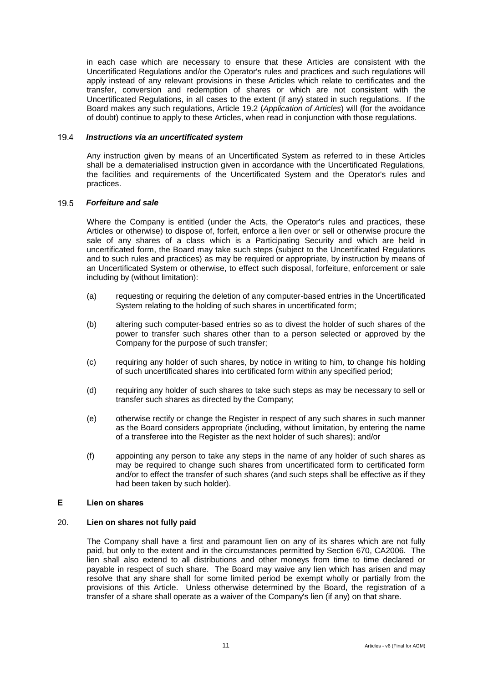in each case which are necessary to ensure that these Articles are consistent with the Uncertificated Regulations and/or the Operator's rules and practices and such regulations will apply instead of any relevant provisions in these Articles which relate to certificates and the transfer, conversion and redemption of shares or which are not consistent with the Uncertificated Regulations, in all cases to the extent (if any) stated in such regulations. If the Board makes any such regulations, Article [19.2](#page-14-2) (*Application of Articles*) will (for the avoidance of doubt) continue to apply to these Articles, when read in conjunction with those regulations.

#### $19.4$ *Instructions via an uncertificated system*

Any instruction given by means of an Uncertificated System as referred to in these Articles shall be a dematerialised instruction given in accordance with the Uncertificated Regulations, the facilities and requirements of the Uncertificated System and the Operator's rules and practices.

#### <span id="page-15-2"></span> $19.5$ *Forfeiture and sale*

Where the Company is entitled (under the Acts, the Operator's rules and practices, these Articles or otherwise) to dispose of, forfeit, enforce a lien over or sell or otherwise procure the sale of any shares of a class which is a Participating Security and which are held in uncertificated form, the Board may take such steps (subject to the Uncertificated Regulations and to such rules and practices) as may be required or appropriate, by instruction by means of an Uncertificated System or otherwise, to effect such disposal, forfeiture, enforcement or sale including by (without limitation):

- (a) requesting or requiring the deletion of any computer-based entries in the Uncertificated System relating to the holding of such shares in uncertificated form;
- (b) altering such computer-based entries so as to divest the holder of such shares of the power to transfer such shares other than to a person selected or approved by the Company for the purpose of such transfer;
- (c) requiring any holder of such shares, by notice in writing to him, to change his holding of such uncertificated shares into certificated form within any specified period;
- (d) requiring any holder of such shares to take such steps as may be necessary to sell or transfer such shares as directed by the Company;
- (e) otherwise rectify or change the Register in respect of any such shares in such manner as the Board considers appropriate (including, without limitation, by entering the name of a transferee into the Register as the next holder of such shares); and/or
- (f) appointing any person to take any steps in the name of any holder of such shares as may be required to change such shares from uncertificated form to certificated form and/or to effect the transfer of such shares (and such steps shall be effective as if they had been taken by such holder).

### <span id="page-15-0"></span>**E Lien on shares**

### <span id="page-15-1"></span>20. **Lien on shares not fully paid**

The Company shall have a first and paramount lien on any of its shares which are not fully paid, but only to the extent and in the circumstances permitted by Section 670, CA2006. The lien shall also extend to all distributions and other moneys from time to time declared or payable in respect of such share. The Board may waive any lien which has arisen and may resolve that any share shall for some limited period be exempt wholly or partially from the provisions of this Article. Unless otherwise determined by the Board, the registration of a transfer of a share shall operate as a waiver of the Company's lien (if any) on that share.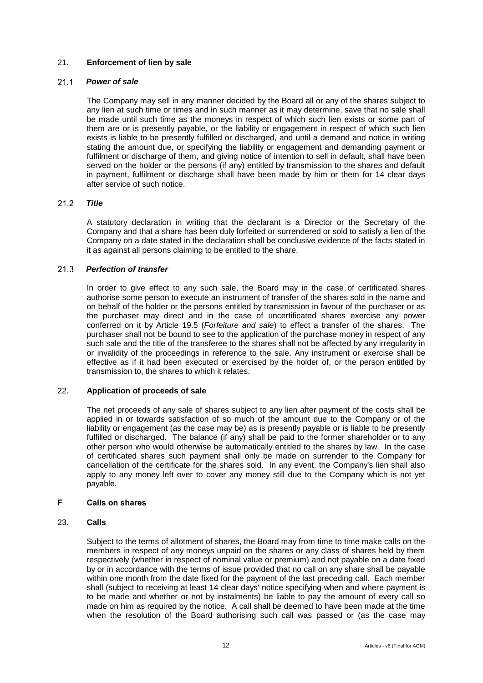# <span id="page-16-0"></span>21. **Enforcement of lien by sale**

#### $21.1$ *Power of sale*

The Company may sell in any manner decided by the Board all or any of the shares subject to any lien at such time or times and in such manner as it may determine, save that no sale shall be made until such time as the moneys in respect of which such lien exists or some part of them are or is presently payable, or the liability or engagement in respect of which such lien exists is liable to be presently fulfilled or discharged, and until a demand and notice in writing stating the amount due, or specifying the liability or engagement and demanding payment or fulfilment or discharge of them, and giving notice of intention to sell in default, shall have been served on the holder or the persons (if any) entitled by transmission to the shares and default in payment, fulfilment or discharge shall have been made by him or them for 14 clear days after service of such notice.

#### $21.2$ *Title*

A statutory declaration in writing that the declarant is a Director or the Secretary of the Company and that a share has been duly forfeited or surrendered or sold to satisfy a lien of the Company on a date stated in the declaration shall be conclusive evidence of the facts stated in it as against all persons claiming to be entitled to the share.

#### $21.3$ *Perfection of transfer*

In order to give effect to any such sale, the Board may in the case of certificated shares authorise some person to execute an instrument of transfer of the shares sold in the name and on behalf of the holder or the persons entitled by transmission in favour of the purchaser or as the purchaser may direct and in the case of uncertificated shares exercise any power conferred on it by Article [19.5](#page-15-2) (*Forfeiture and sale*) to effect a transfer of the shares. The purchaser shall not be bound to see to the application of the purchase money in respect of any such sale and the title of the transferee to the shares shall not be affected by any irregularity in or invalidity of the proceedings in reference to the sale. Any instrument or exercise shall be effective as if it had been executed or exercised by the holder of, or the person entitled by transmission to, the shares to which it relates.

### <span id="page-16-1"></span>22. **Application of proceeds of sale**

The net proceeds of any sale of shares subject to any lien after payment of the costs shall be applied in or towards satisfaction of so much of the amount due to the Company or of the liability or engagement (as the case may be) as is presently payable or is liable to be presently fulfilled or discharged. The balance (if any) shall be paid to the former shareholder or to any other person who would otherwise be automatically entitled to the shares by law. In the case of certificated shares such payment shall only be made on surrender to the Company for cancellation of the certificate for the shares sold. In any event, the Company's lien shall also apply to any money left over to cover any money still due to the Company which is not yet payable.

# <span id="page-16-2"></span>**F Calls on shares**

### <span id="page-16-3"></span>23. **Calls**

Subject to the terms of allotment of shares, the Board may from time to time make calls on the members in respect of any moneys unpaid on the shares or any class of shares held by them respectively (whether in respect of nominal value or premium) and not payable on a date fixed by or in accordance with the terms of issue provided that no call on any share shall be payable within one month from the date fixed for the payment of the last preceding call. Each member shall (subject to receiving at least 14 clear days' notice specifying when and where payment is to be made and whether or not by instalments) be liable to pay the amount of every call so made on him as required by the notice. A call shall be deemed to have been made at the time when the resolution of the Board authorising such call was passed or (as the case may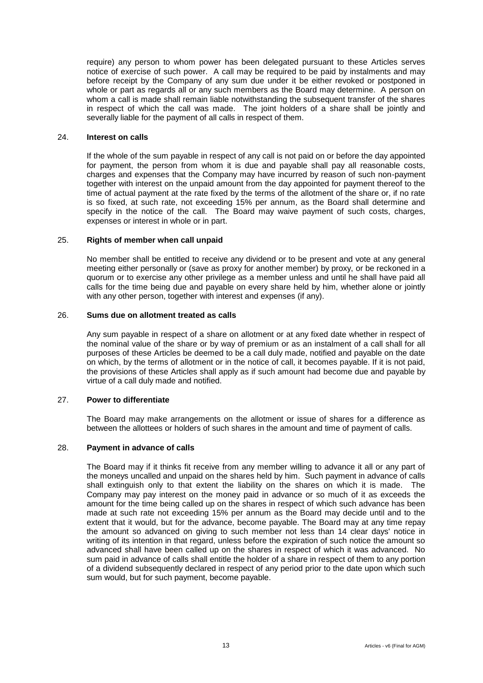require) any person to whom power has been delegated pursuant to these Articles serves notice of exercise of such power. A call may be required to be paid by instalments and may before receipt by the Company of any sum due under it be either revoked or postponed in whole or part as regards all or any such members as the Board may determine. A person on whom a call is made shall remain liable notwithstanding the subsequent transfer of the shares in respect of which the call was made. The joint holders of a share shall be jointly and severally liable for the payment of all calls in respect of them.

### <span id="page-17-0"></span>24. **Interest on calls**

If the whole of the sum payable in respect of any call is not paid on or before the day appointed for payment, the person from whom it is due and payable shall pay all reasonable costs, charges and expenses that the Company may have incurred by reason of such non-payment together with interest on the unpaid amount from the day appointed for payment thereof to the time of actual payment at the rate fixed by the terms of the allotment of the share or, if no rate is so fixed, at such rate, not exceeding 15% per annum, as the Board shall determine and specify in the notice of the call. The Board may waive payment of such costs, charges, expenses or interest in whole or in part.

### <span id="page-17-1"></span>25. **Rights of member when call unpaid**

No member shall be entitled to receive any dividend or to be present and vote at any general meeting either personally or (save as proxy for another member) by proxy, or be reckoned in a quorum or to exercise any other privilege as a member unless and until he shall have paid all calls for the time being due and payable on every share held by him, whether alone or jointly with any other person, together with interest and expenses (if any).

## <span id="page-17-2"></span>26. **Sums due on allotment treated as calls**

Any sum payable in respect of a share on allotment or at any fixed date whether in respect of the nominal value of the share or by way of premium or as an instalment of a call shall for all purposes of these Articles be deemed to be a call duly made, notified and payable on the date on which, by the terms of allotment or in the notice of call, it becomes payable. If it is not paid, the provisions of these Articles shall apply as if such amount had become due and payable by virtue of a call duly made and notified.

# <span id="page-17-3"></span>27. **Power to differentiate**

The Board may make arrangements on the allotment or issue of shares for a difference as between the allottees or holders of such shares in the amount and time of payment of calls.

### <span id="page-17-4"></span>28. **Payment in advance of calls**

The Board may if it thinks fit receive from any member willing to advance it all or any part of the moneys uncalled and unpaid on the shares held by him. Such payment in advance of calls shall extinguish only to that extent the liability on the shares on which it is made. The Company may pay interest on the money paid in advance or so much of it as exceeds the amount for the time being called up on the shares in respect of which such advance has been made at such rate not exceeding 15% per annum as the Board may decide until and to the extent that it would, but for the advance, become payable. The Board may at any time repay the amount so advanced on giving to such member not less than 14 clear days' notice in writing of its intention in that regard, unless before the expiration of such notice the amount so advanced shall have been called up on the shares in respect of which it was advanced. No sum paid in advance of calls shall entitle the holder of a share in respect of them to any portion of a dividend subsequently declared in respect of any period prior to the date upon which such sum would, but for such payment, become payable.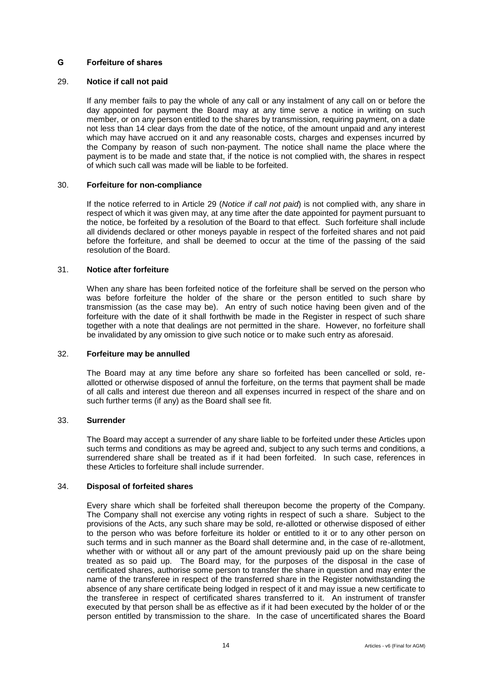# <span id="page-18-0"></span>**G Forfeiture of shares**

### <span id="page-18-1"></span>29. **Notice if call not paid**

If any member fails to pay the whole of any call or any instalment of any call on or before the day appointed for payment the Board may at any time serve a notice in writing on such member, or on any person entitled to the shares by transmission, requiring payment, on a date not less than 14 clear days from the date of the notice, of the amount unpaid and any interest which may have accrued on it and any reasonable costs, charges and expenses incurred by the Company by reason of such non-payment. The notice shall name the place where the payment is to be made and state that, if the notice is not complied with, the shares in respect of which such call was made will be liable to be forfeited.

### <span id="page-18-2"></span>30. **Forfeiture for non-compliance**

If the notice referred to in Article [29](#page-18-1) (*Notice if call not paid*) is not complied with, any share in respect of which it was given may, at any time after the date appointed for payment pursuant to the notice, be forfeited by a resolution of the Board to that effect. Such forfeiture shall include all dividends declared or other moneys payable in respect of the forfeited shares and not paid before the forfeiture, and shall be deemed to occur at the time of the passing of the said resolution of the Board.

### <span id="page-18-3"></span>31. **Notice after forfeiture**

When any share has been forfeited notice of the forfeiture shall be served on the person who was before forfeiture the holder of the share or the person entitled to such share by transmission (as the case may be). An entry of such notice having been given and of the forfeiture with the date of it shall forthwith be made in the Register in respect of such share together with a note that dealings are not permitted in the share. However, no forfeiture shall be invalidated by any omission to give such notice or to make such entry as aforesaid.

### <span id="page-18-4"></span>32. **Forfeiture may be annulled**

The Board may at any time before any share so forfeited has been cancelled or sold, reallotted or otherwise disposed of annul the forfeiture, on the terms that payment shall be made of all calls and interest due thereon and all expenses incurred in respect of the share and on such further terms (if any) as the Board shall see fit.

### <span id="page-18-5"></span>33. **Surrender**

The Board may accept a surrender of any share liable to be forfeited under these Articles upon such terms and conditions as may be agreed and, subject to any such terms and conditions, a surrendered share shall be treated as if it had been forfeited. In such case, references in these Articles to forfeiture shall include surrender.

# <span id="page-18-6"></span>34. **Disposal of forfeited shares**

Every share which shall be forfeited shall thereupon become the property of the Company. The Company shall not exercise any voting rights in respect of such a share. Subject to the provisions of the Acts, any such share may be sold, re-allotted or otherwise disposed of either to the person who was before forfeiture its holder or entitled to it or to any other person on such terms and in such manner as the Board shall determine and, in the case of re-allotment, whether with or without all or any part of the amount previously paid up on the share being treated as so paid up. The Board may, for the purposes of the disposal in the case of certificated shares, authorise some person to transfer the share in question and may enter the name of the transferee in respect of the transferred share in the Register notwithstanding the absence of any share certificate being lodged in respect of it and may issue a new certificate to the transferee in respect of certificated shares transferred to it. An instrument of transfer executed by that person shall be as effective as if it had been executed by the holder of or the person entitled by transmission to the share. In the case of uncertificated shares the Board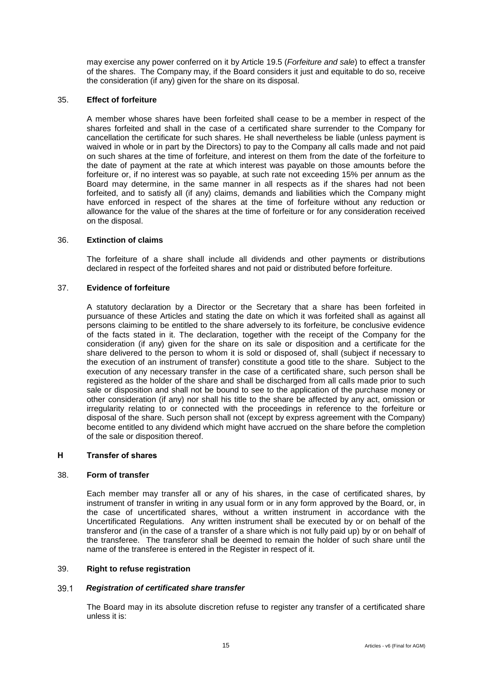may exercise any power conferred on it by Article [19.5](#page-15-2) (*Forfeiture and sale*) to effect a transfer of the shares. The Company may, if the Board considers it just and equitable to do so, receive the consideration (if any) given for the share on its disposal.

# <span id="page-19-0"></span>35. **Effect of forfeiture**

A member whose shares have been forfeited shall cease to be a member in respect of the shares forfeited and shall in the case of a certificated share surrender to the Company for cancellation the certificate for such shares. He shall nevertheless be liable (unless payment is waived in whole or in part by the Directors) to pay to the Company all calls made and not paid on such shares at the time of forfeiture, and interest on them from the date of the forfeiture to the date of payment at the rate at which interest was payable on those amounts before the forfeiture or, if no interest was so payable, at such rate not exceeding 15% per annum as the Board may determine, in the same manner in all respects as if the shares had not been forfeited, and to satisfy all (if any) claims, demands and liabilities which the Company might have enforced in respect of the shares at the time of forfeiture without any reduction or allowance for the value of the shares at the time of forfeiture or for any consideration received on the disposal.

### <span id="page-19-1"></span>36. **Extinction of claims**

The forfeiture of a share shall include all dividends and other payments or distributions declared in respect of the forfeited shares and not paid or distributed before forfeiture.

# <span id="page-19-2"></span>37. **Evidence of forfeiture**

A statutory declaration by a Director or the Secretary that a share has been forfeited in pursuance of these Articles and stating the date on which it was forfeited shall as against all persons claiming to be entitled to the share adversely to its forfeiture, be conclusive evidence of the facts stated in it. The declaration, together with the receipt of the Company for the consideration (if any) given for the share on its sale or disposition and a certificate for the share delivered to the person to whom it is sold or disposed of, shall (subject if necessary to the execution of an instrument of transfer) constitute a good title to the share. Subject to the execution of any necessary transfer in the case of a certificated share, such person shall be registered as the holder of the share and shall be discharged from all calls made prior to such sale or disposition and shall not be bound to see to the application of the purchase money or other consideration (if any) nor shall his title to the share be affected by any act, omission or irregularity relating to or connected with the proceedings in reference to the forfeiture or disposal of the share. Such person shall not (except by express agreement with the Company) become entitled to any dividend which might have accrued on the share before the completion of the sale or disposition thereof.

### <span id="page-19-3"></span>**H Transfer of shares**

### <span id="page-19-4"></span>38. **Form of transfer**

Each member may transfer all or any of his shares, in the case of certificated shares, by instrument of transfer in writing in any usual form or in any form approved by the Board, or, in the case of uncertificated shares, without a written instrument in accordance with the Uncertificated Regulations. Any written instrument shall be executed by or on behalf of the transferor and (in the case of a transfer of a share which is not fully paid up) by or on behalf of the transferee. The transferor shall be deemed to remain the holder of such share until the name of the transferee is entered in the Register in respect of it.

### <span id="page-19-5"></span>39. **Right to refuse registration**

#### *Registration of certificated share transfer* 39.1

The Board may in its absolute discretion refuse to register any transfer of a certificated share unless it is: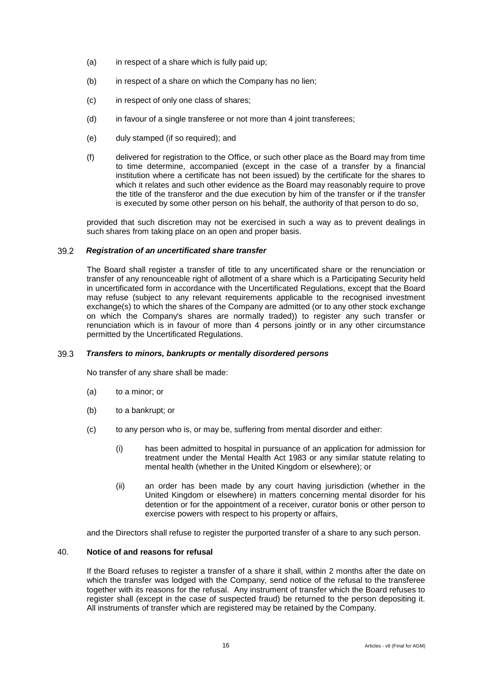- (a) in respect of a share which is fully paid up;
- (b) in respect of a share on which the Company has no lien;
- (c) in respect of only one class of shares;
- (d) in favour of a single transferee or not more than 4 joint transferees;
- (e) duly stamped (if so required); and
- (f) delivered for registration to the Office, or such other place as the Board may from time to time determine, accompanied (except in the case of a transfer by a financial institution where a certificate has not been issued) by the certificate for the shares to which it relates and such other evidence as the Board may reasonably require to prove the title of the transferor and the due execution by him of the transfer or if the transfer is executed by some other person on his behalf, the authority of that person to do so,

provided that such discretion may not be exercised in such a way as to prevent dealings in such shares from taking place on an open and proper basis.

#### 39.2 *Registration of an uncertificated share transfer*

The Board shall register a transfer of title to any uncertificated share or the renunciation or transfer of any renounceable right of allotment of a share which is a Participating Security held in uncertificated form in accordance with the Uncertificated Regulations, except that the Board may refuse (subject to any relevant requirements applicable to the recognised investment exchange(s) to which the shares of the Company are admitted (or to any other stock exchange on which the Company's shares are normally traded)) to register any such transfer or renunciation which is in favour of more than 4 persons jointly or in any other circumstance permitted by the Uncertificated Regulations.

#### 39.3 *Transfers to minors, bankrupts or mentally disordered persons*

No transfer of any share shall be made:

- (a) to a minor; or
- (b) to a bankrupt; or
- (c) to any person who is, or may be, suffering from mental disorder and either:
	- (i) has been admitted to hospital in pursuance of an application for admission for treatment under the Mental Health Act 1983 or any similar statute relating to mental health (whether in the United Kingdom or elsewhere); or
	- (ii) an order has been made by any court having jurisdiction (whether in the United Kingdom or elsewhere) in matters concerning mental disorder for his detention or for the appointment of a receiver, curator bonis or other person to exercise powers with respect to his property or affairs,

and the Directors shall refuse to register the purported transfer of a share to any such person.

### <span id="page-20-0"></span>40. **Notice of and reasons for refusal**

If the Board refuses to register a transfer of a share it shall, within 2 months after the date on which the transfer was lodged with the Company, send notice of the refusal to the transferee together with its reasons for the refusal. Any instrument of transfer which the Board refuses to register shall (except in the case of suspected fraud) be returned to the person depositing it. All instruments of transfer which are registered may be retained by the Company.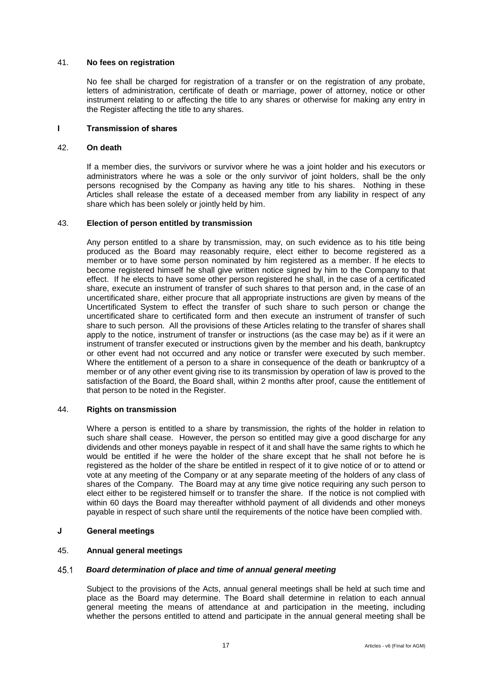### <span id="page-21-0"></span>41. **No fees on registration**

No fee shall be charged for registration of a transfer or on the registration of any probate, letters of administration, certificate of death or marriage, power of attorney, notice or other instrument relating to or affecting the title to any shares or otherwise for making any entry in the Register affecting the title to any shares.

### <span id="page-21-1"></span>**I Transmission of shares**

### <span id="page-21-2"></span>42. **On death**

If a member dies, the survivors or survivor where he was a joint holder and his executors or administrators where he was a sole or the only survivor of joint holders, shall be the only persons recognised by the Company as having any title to his shares. Nothing in these Articles shall release the estate of a deceased member from any liability in respect of any share which has been solely or jointly held by him.

### <span id="page-21-3"></span>43. **Election of person entitled by transmission**

Any person entitled to a share by transmission, may, on such evidence as to his title being produced as the Board may reasonably require, elect either to become registered as a member or to have some person nominated by him registered as a member. If he elects to become registered himself he shall give written notice signed by him to the Company to that effect. If he elects to have some other person registered he shall, in the case of a certificated share, execute an instrument of transfer of such shares to that person and, in the case of an uncertificated share, either procure that all appropriate instructions are given by means of the Uncertificated System to effect the transfer of such share to such person or change the uncertificated share to certificated form and then execute an instrument of transfer of such share to such person. All the provisions of these Articles relating to the transfer of shares shall apply to the notice, instrument of transfer or instructions (as the case may be) as if it were an instrument of transfer executed or instructions given by the member and his death, bankruptcy or other event had not occurred and any notice or transfer were executed by such member. Where the entitlement of a person to a share in consequence of the death or bankruptcy of a member or of any other event giving rise to its transmission by operation of law is proved to the satisfaction of the Board, the Board shall, within 2 months after proof, cause the entitlement of that person to be noted in the Register.

### <span id="page-21-4"></span>44. **Rights on transmission**

Where a person is entitled to a share by transmission, the rights of the holder in relation to such share shall cease. However, the person so entitled may give a good discharge for any dividends and other moneys payable in respect of it and shall have the same rights to which he would be entitled if he were the holder of the share except that he shall not before he is registered as the holder of the share be entitled in respect of it to give notice of or to attend or vote at any meeting of the Company or at any separate meeting of the holders of any class of shares of the Company. The Board may at any time give notice requiring any such person to elect either to be registered himself or to transfer the share. If the notice is not complied with within 60 days the Board may thereafter withhold payment of all dividends and other moneys payable in respect of such share until the requirements of the notice have been complied with.

# <span id="page-21-5"></span>**J General meetings**

# <span id="page-21-6"></span>45. **Annual general meetings**

#### 45.1 *Board determination of place and time of annual general meeting*

Subject to the provisions of the Acts, annual general meetings shall be held at such time and place as the Board may determine. The Board shall determine in relation to each annual general meeting the means of attendance at and participation in the meeting, including whether the persons entitled to attend and participate in the annual general meeting shall be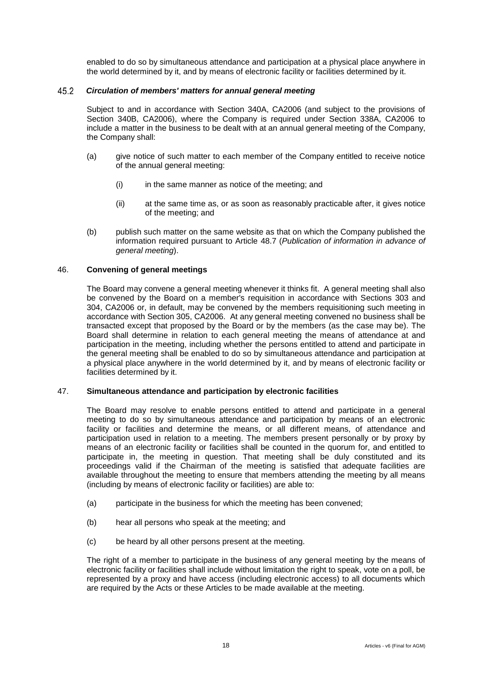enabled to do so by simultaneous attendance and participation at a physical place anywhere in the world determined by it, and by means of electronic facility or facilities determined by it.

#### 45.2 *Circulation of members' matters for annual general meeting*

Subject to and in accordance with Section 340A, CA2006 (and subject to the provisions of Section 340B, CA2006), where the Company is required under Section 338A, CA2006 to include a matter in the business to be dealt with at an annual general meeting of the Company, the Company shall:

- (a) give notice of such matter to each member of the Company entitled to receive notice of the annual general meeting:
	- (i) in the same manner as notice of the meeting; and
	- (ii) at the same time as, or as soon as reasonably practicable after, it gives notice of the meeting; and
- (b) publish such matter on the same website as that on which the Company published the information required pursuant to Article [48.7](#page-24-0) (*Publication of information in advance of general meeting*).

# <span id="page-22-0"></span>46. **Convening of general meetings**

The Board may convene a general meeting whenever it thinks fit. A general meeting shall also be convened by the Board on a member's requisition in accordance with Sections 303 and 304, CA2006 or, in default, may be convened by the members requisitioning such meeting in accordance with Section 305, CA2006. At any general meeting convened no business shall be transacted except that proposed by the Board or by the members (as the case may be). The Board shall determine in relation to each general meeting the means of attendance at and participation in the meeting, including whether the persons entitled to attend and participate in the general meeting shall be enabled to do so by simultaneous attendance and participation at a physical place anywhere in the world determined by it, and by means of electronic facility or facilities determined by it.

### <span id="page-22-1"></span>47. **Simultaneous attendance and participation by electronic facilities**

The Board may resolve to enable persons entitled to attend and participate in a general meeting to do so by simultaneous attendance and participation by means of an electronic facility or facilities and determine the means, or all different means, of attendance and participation used in relation to a meeting. The members present personally or by proxy by means of an electronic facility or facilities shall be counted in the quorum for, and entitled to participate in, the meeting in question. That meeting shall be duly constituted and its proceedings valid if the Chairman of the meeting is satisfied that adequate facilities are available throughout the meeting to ensure that members attending the meeting by all means (including by means of electronic facility or facilities) are able to:

- (a) participate in the business for which the meeting has been convened;
- (b) hear all persons who speak at the meeting; and
- (c) be heard by all other persons present at the meeting.

The right of a member to participate in the business of any general meeting by the means of electronic facility or facilities shall include without limitation the right to speak, vote on a poll, be represented by a proxy and have access (including electronic access) to all documents which are required by the Acts or these Articles to be made available at the meeting.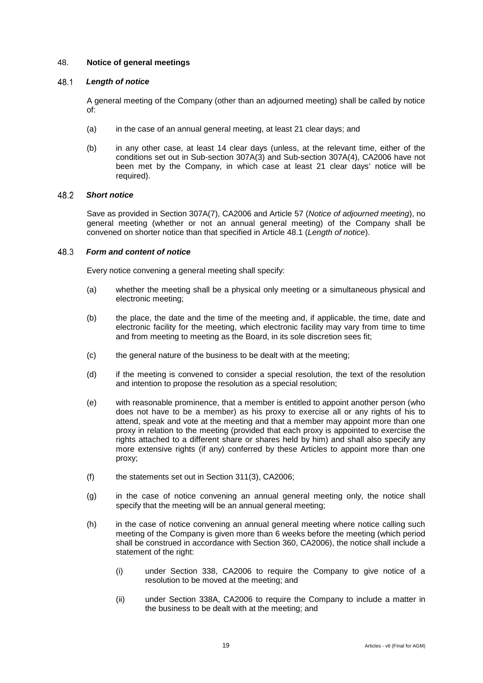# <span id="page-23-0"></span>48. **Notice of general meetings**

#### <span id="page-23-1"></span>48.1 *Length of notice*

A general meeting of the Company (other than an adjourned meeting) shall be called by notice of:

- (a) in the case of an annual general meeting, at least 21 clear days; and
- (b) in any other case, at least 14 clear days (unless, at the relevant time, either of the conditions set out in Sub-section 307A(3) and Sub-section 307A(4), CA2006 have not been met by the Company, in which case at least 21 clear days' notice will be required).

#### 48.2 *Short notice*

Save as provided in Section 307A(7), CA2006 and Article [57](#page-27-2) (*Notice of adjourned meeting*), no general meeting (whether or not an annual general meeting) of the Company shall be convened on shorter notice than that specified in Article [48.1](#page-23-1) (*Length of notice*).

#### 48.3 *Form and content of notice*

Every notice convening a general meeting shall specify:

- (a) whether the meeting shall be a physical only meeting or a simultaneous physical and electronic meeting;
- (b) the place, the date and the time of the meeting and, if applicable, the time, date and electronic facility for the meeting, which electronic facility may vary from time to time and from meeting to meeting as the Board, in its sole discretion sees fit;
- (c) the general nature of the business to be dealt with at the meeting;
- (d) if the meeting is convened to consider a special resolution, the text of the resolution and intention to propose the resolution as a special resolution;
- (e) with reasonable prominence, that a member is entitled to appoint another person (who does not have to be a member) as his proxy to exercise all or any rights of his to attend, speak and vote at the meeting and that a member may appoint more than one proxy in relation to the meeting (provided that each proxy is appointed to exercise the rights attached to a different share or shares held by him) and shall also specify any more extensive rights (if any) conferred by these Articles to appoint more than one proxy;
- (f) the statements set out in Section 311(3), CA2006;
- (g) in the case of notice convening an annual general meeting only, the notice shall specify that the meeting will be an annual general meeting;
- (h) in the case of notice convening an annual general meeting where notice calling such meeting of the Company is given more than 6 weeks before the meeting (which period shall be construed in accordance with Section 360, CA2006), the notice shall include a statement of the right:
	- (i) under Section 338, CA2006 to require the Company to give notice of a resolution to be moved at the meeting; and
	- (ii) under Section 338A, CA2006 to require the Company to include a matter in the business to be dealt with at the meeting; and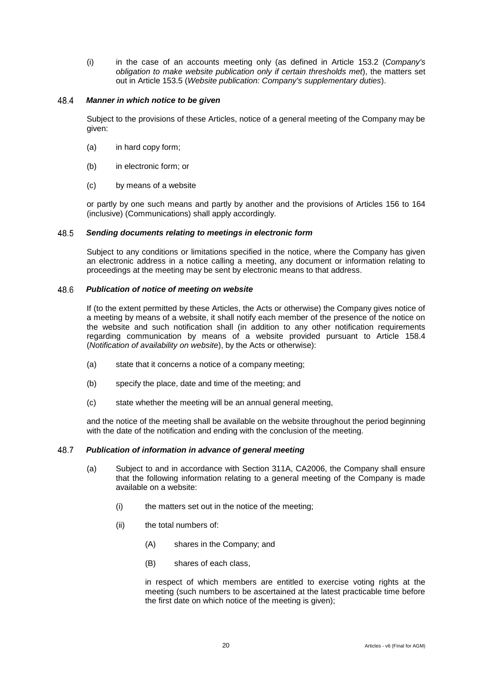(i) in the case of an accounts meeting only (as defined in Article [153.2](#page-68-1) (*Company's obligation to make website publication only if certain thresholds met*), the matters set out in Article [153.5](#page-69-2) (*Website publication: Company's supplementary duties*).

#### *Manner in which notice to be given* 48.4

Subject to the provisions of these Articles, notice of a general meeting of the Company may be given:

- (a) in hard copy form;
- (b) in electronic form; or
- (c) by means of a website

or partly by one such means and partly by another and the provisions of Articles [156](#page-71-1) to [164](#page-76-2) (inclusive) (Communications) shall apply accordingly.

#### 48.5 *Sending documents relating to meetings in electronic form*

Subject to any conditions or limitations specified in the notice, where the Company has given an electronic address in a notice calling a meeting, any document or information relating to proceedings at the meeting may be sent by electronic means to that address.

#### 48.6 *Publication of notice of meeting on website*

If (to the extent permitted by these Articles, the Acts or otherwise) the Company gives notice of a meeting by means of a website, it shall notify each member of the presence of the notice on the website and such notification shall (in addition to any other notification requirements regarding communication by means of a website provided pursuant to Article [158.4](#page-73-0) (*Notification of availability on website*), by the Acts or otherwise):

- (a) state that it concerns a notice of a company meeting;
- (b) specify the place, date and time of the meeting; and
- (c) state whether the meeting will be an annual general meeting,

and the notice of the meeting shall be available on the website throughout the period beginning with the date of the notification and ending with the conclusion of the meeting.

#### <span id="page-24-0"></span>48.7 *Publication of information in advance of general meeting*

- (a) Subject to and in accordance with Section 311A, CA2006, the Company shall ensure that the following information relating to a general meeting of the Company is made available on a website:
	- (i) the matters set out in the notice of the meeting;
	- (ii) the total numbers of:
		- (A) shares in the Company; and
		- (B) shares of each class,

in respect of which members are entitled to exercise voting rights at the meeting (such numbers to be ascertained at the latest practicable time before the first date on which notice of the meeting is given);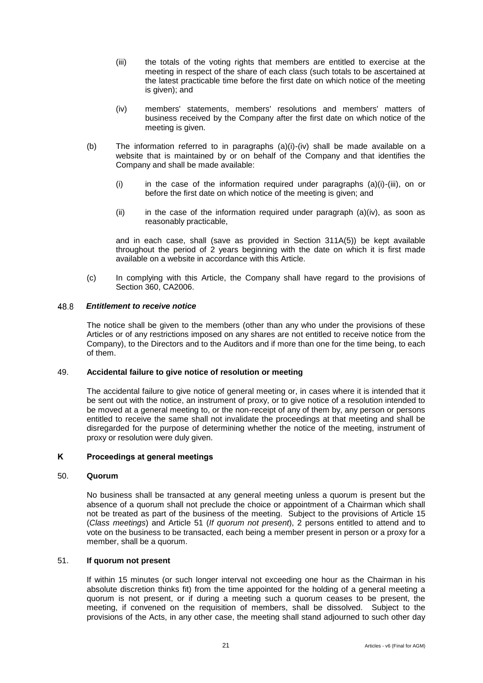- (iii) the totals of the voting rights that members are entitled to exercise at the meeting in respect of the share of each class (such totals to be ascertained at the latest practicable time before the first date on which notice of the meeting is given); and
- (iv) members' statements, members' resolutions and members' matters of business received by the Company after the first date on which notice of the meeting is given.
- (b) The information referred to in paragraphs (a)(i)-(iv) shall be made available on a website that is maintained by or on behalf of the Company and that identifies the Company and shall be made available:
	- (i) in the case of the information required under paragraphs  $(a)(i)-(iii)$ , on or before the first date on which notice of the meeting is given; and
	- $(iii)$  in the case of the information required under paragraph  $(a)(iv)$ , as soon as reasonably practicable,

and in each case, shall (save as provided in Section 311A(5)) be kept available throughout the period of 2 years beginning with the date on which it is first made available on a website in accordance with this Article.

(c) In complying with this Article, the Company shall have regard to the provisions of Section 360, CA2006.

#### 48.8 *Entitlement to receive notice*

The notice shall be given to the members (other than any who under the provisions of these Articles or of any restrictions imposed on any shares are not entitled to receive notice from the Company), to the Directors and to the Auditors and if more than one for the time being, to each of them.

### <span id="page-25-0"></span>49. **Accidental failure to give notice of resolution or meeting**

The accidental failure to give notice of general meeting or, in cases where it is intended that it be sent out with the notice, an instrument of proxy, or to give notice of a resolution intended to be moved at a general meeting to, or the non-receipt of any of them by, any person or persons entitled to receive the same shall not invalidate the proceedings at that meeting and shall be disregarded for the purpose of determining whether the notice of the meeting, instrument of proxy or resolution were duly given.

# <span id="page-25-1"></span>**K Proceedings at general meetings**

### <span id="page-25-2"></span>50. **Quorum**

No business shall be transacted at any general meeting unless a quorum is present but the absence of a quorum shall not preclude the choice or appointment of a Chairman which shall not be treated as part of the business of the meeting. Subject to the provisions of Article [15](#page-12-2) (*Class meetings*) and Article [51](#page-25-3) (*If quorum not present*), 2 persons entitled to attend and to vote on the business to be transacted, each being a member present in person or a proxy for a member, shall be a quorum.

### <span id="page-25-3"></span>51. **If quorum not present**

If within 15 minutes (or such longer interval not exceeding one hour as the Chairman in his absolute discretion thinks fit) from the time appointed for the holding of a general meeting a quorum is not present, or if during a meeting such a quorum ceases to be present, the meeting, if convened on the requisition of members, shall be dissolved. Subject to the provisions of the Acts, in any other case, the meeting shall stand adjourned to such other day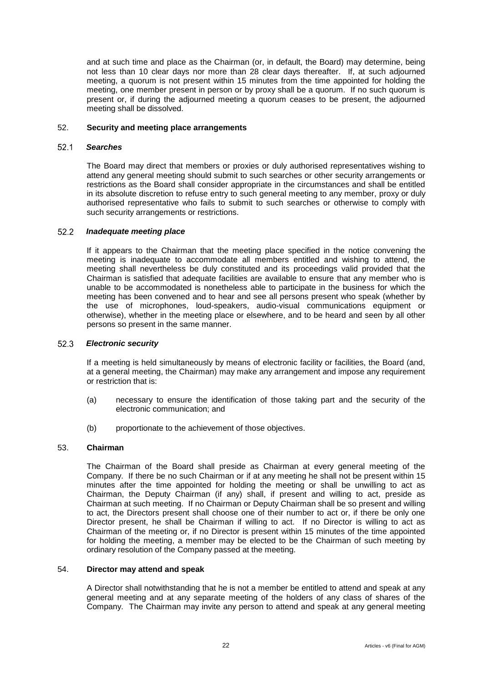and at such time and place as the Chairman (or, in default, the Board) may determine, being not less than 10 clear days nor more than 28 clear days thereafter. If, at such adjourned meeting, a quorum is not present within 15 minutes from the time appointed for holding the meeting, one member present in person or by proxy shall be a quorum. If no such quorum is present or, if during the adjourned meeting a quorum ceases to be present, the adjourned meeting shall be dissolved.

### <span id="page-26-0"></span>52. **Security and meeting place arrangements**

#### $52.1$ *Searches*

The Board may direct that members or proxies or duly authorised representatives wishing to attend any general meeting should submit to such searches or other security arrangements or restrictions as the Board shall consider appropriate in the circumstances and shall be entitled in its absolute discretion to refuse entry to such general meeting to any member, proxy or duly authorised representative who fails to submit to such searches or otherwise to comply with such security arrangements or restrictions.

#### $52.2$ *Inadequate meeting place*

If it appears to the Chairman that the meeting place specified in the notice convening the meeting is inadequate to accommodate all members entitled and wishing to attend, the meeting shall nevertheless be duly constituted and its proceedings valid provided that the Chairman is satisfied that adequate facilities are available to ensure that any member who is unable to be accommodated is nonetheless able to participate in the business for which the meeting has been convened and to hear and see all persons present who speak (whether by the use of microphones, loud-speakers, audio-visual communications equipment or otherwise), whether in the meeting place or elsewhere, and to be heard and seen by all other persons so present in the same manner.

#### $52.3$ *Electronic security*

If a meeting is held simultaneously by means of electronic facility or facilities, the Board (and, at a general meeting, the Chairman) may make any arrangement and impose any requirement or restriction that is:

- (a) necessary to ensure the identification of those taking part and the security of the electronic communication; and
- (b) proportionate to the achievement of those objectives.

# <span id="page-26-1"></span>53. **Chairman**

The Chairman of the Board shall preside as Chairman at every general meeting of the Company. If there be no such Chairman or if at any meeting he shall not be present within 15 minutes after the time appointed for holding the meeting or shall be unwilling to act as Chairman, the Deputy Chairman (if any) shall, if present and willing to act, preside as Chairman at such meeting. If no Chairman or Deputy Chairman shall be so present and willing to act, the Directors present shall choose one of their number to act or, if there be only one Director present, he shall be Chairman if willing to act. If no Director is willing to act as Chairman of the meeting or, if no Director is present within 15 minutes of the time appointed for holding the meeting, a member may be elected to be the Chairman of such meeting by ordinary resolution of the Company passed at the meeting.

### <span id="page-26-2"></span>54. **Director may attend and speak**

A Director shall notwithstanding that he is not a member be entitled to attend and speak at any general meeting and at any separate meeting of the holders of any class of shares of the Company. The Chairman may invite any person to attend and speak at any general meeting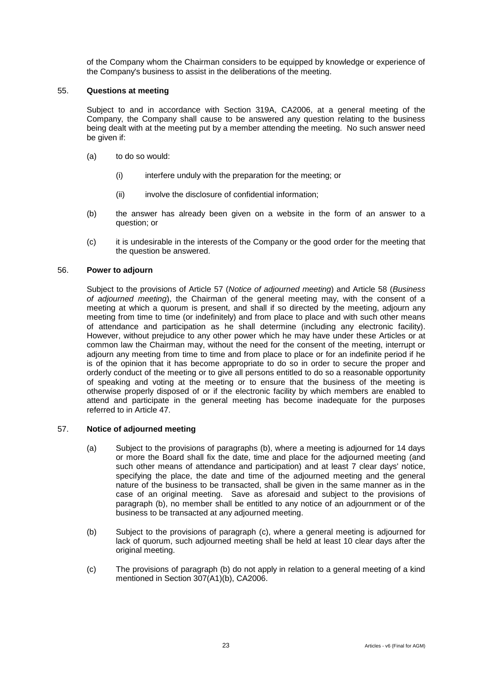of the Company whom the Chairman considers to be equipped by knowledge or experience of the Company's business to assist in the deliberations of the meeting.

### <span id="page-27-0"></span>55. **Questions at meeting**

Subject to and in accordance with Section 319A, CA2006, at a general meeting of the Company, the Company shall cause to be answered any question relating to the business being dealt with at the meeting put by a member attending the meeting. No such answer need be given if:

- (a) to do so would:
	- (i) interfere unduly with the preparation for the meeting; or
	- (ii) involve the disclosure of confidential information:
- (b) the answer has already been given on a website in the form of an answer to a question; or
- (c) it is undesirable in the interests of the Company or the good order for the meeting that the question be answered.

### <span id="page-27-1"></span>56. **Power to adjourn**

Subject to the provisions of Article [57](#page-27-2) (*Notice of adjourned meeting*) and Article [58](#page-28-0) (*Business of adjourned meeting*), the Chairman of the general meeting may, with the consent of a meeting at which a quorum is present, and shall if so directed by the meeting, adjourn any meeting from time to time (or indefinitely) and from place to place and with such other means of attendance and participation as he shall determine (including any electronic facility). However, without prejudice to any other power which he may have under these Articles or at common law the Chairman may, without the need for the consent of the meeting, interrupt or adjourn any meeting from time to time and from place to place or for an indefinite period if he is of the opinion that it has become appropriate to do so in order to secure the proper and orderly conduct of the meeting or to give all persons entitled to do so a reasonable opportunity of speaking and voting at the meeting or to ensure that the business of the meeting is otherwise properly disposed of or if the electronic facility by which members are enabled to attend and participate in the general meeting has become inadequate for the purposes referred to in Article [47.](#page-22-1)

### <span id="page-27-2"></span>57. **Notice of adjourned meeting**

- (a) Subject to the provisions of paragraphs (b), where a meeting is adjourned for 14 days or more the Board shall fix the date, time and place for the adjourned meeting (and such other means of attendance and participation) and at least 7 clear days' notice, specifying the place, the date and time of the adjourned meeting and the general nature of the business to be transacted, shall be given in the same manner as in the case of an original meeting. Save as aforesaid and subject to the provisions of paragraph (b), no member shall be entitled to any notice of an adjournment or of the business to be transacted at any adjourned meeting.
- (b) Subject to the provisions of paragraph (c), where a general meeting is adjourned for lack of quorum, such adjourned meeting shall be held at least 10 clear days after the original meeting.
- (c) The provisions of paragraph (b) do not apply in relation to a general meeting of a kind mentioned in Section 307(A1)(b), CA2006.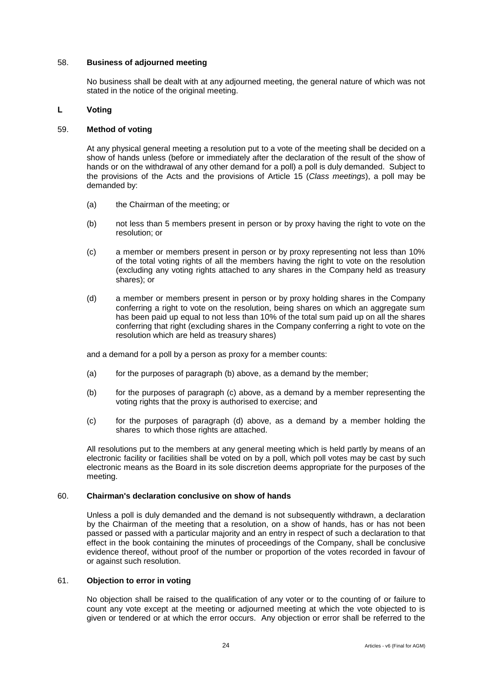### <span id="page-28-0"></span>58. **Business of adjourned meeting**

No business shall be dealt with at any adjourned meeting, the general nature of which was not stated in the notice of the original meeting.

# <span id="page-28-1"></span>**L Voting**

# <span id="page-28-2"></span>59. **Method of voting**

At any physical general meeting a resolution put to a vote of the meeting shall be decided on a show of hands unless (before or immediately after the declaration of the result of the show of hands or on the withdrawal of any other demand for a poll) a poll is duly demanded. Subject to the provisions of the Acts and the provisions of Article [15](#page-12-2) (*Class meetings*), a poll may be demanded by:

- (a) the Chairman of the meeting; or
- (b) not less than 5 members present in person or by proxy having the right to vote on the resolution; or
- (c) a member or members present in person or by proxy representing not less than 10% of the total voting rights of all the members having the right to vote on the resolution (excluding any voting rights attached to any shares in the Company held as treasury shares); or
- (d) a member or members present in person or by proxy holding shares in the Company conferring a right to vote on the resolution, being shares on which an aggregate sum has been paid up equal to not less than 10% of the total sum paid up on all the shares conferring that right (excluding shares in the Company conferring a right to vote on the resolution which are held as treasury shares)

and a demand for a poll by a person as proxy for a member counts:

- (a) for the purposes of paragraph (b) above, as a demand by the member;
- (b) for the purposes of paragraph (c) above, as a demand by a member representing the voting rights that the proxy is authorised to exercise; and
- (c) for the purposes of paragraph (d) above, as a demand by a member holding the shares to which those rights are attached.

All resolutions put to the members at any general meeting which is held partly by means of an electronic facility or facilities shall be voted on by a poll, which poll votes may be cast by such electronic means as the Board in its sole discretion deems appropriate for the purposes of the meeting.

# <span id="page-28-3"></span>60. **Chairman's declaration conclusive on show of hands**

Unless a poll is duly demanded and the demand is not subsequently withdrawn, a declaration by the Chairman of the meeting that a resolution, on a show of hands, has or has not been passed or passed with a particular majority and an entry in respect of such a declaration to that effect in the book containing the minutes of proceedings of the Company, shall be conclusive evidence thereof, without proof of the number or proportion of the votes recorded in favour of or against such resolution.

### <span id="page-28-4"></span>61. **Objection to error in voting**

No objection shall be raised to the qualification of any voter or to the counting of or failure to count any vote except at the meeting or adjourned meeting at which the vote objected to is given or tendered or at which the error occurs. Any objection or error shall be referred to the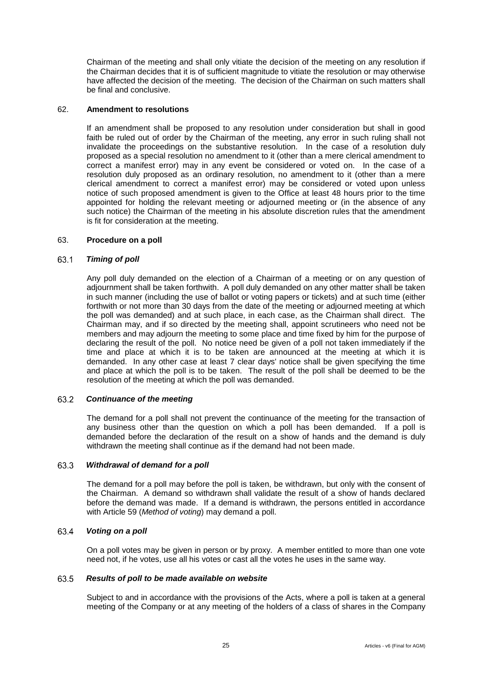Chairman of the meeting and shall only vitiate the decision of the meeting on any resolution if the Chairman decides that it is of sufficient magnitude to vitiate the resolution or may otherwise have affected the decision of the meeting. The decision of the Chairman on such matters shall be final and conclusive.

### <span id="page-29-0"></span>62. **Amendment to resolutions**

If an amendment shall be proposed to any resolution under consideration but shall in good faith be ruled out of order by the Chairman of the meeting, any error in such ruling shall not invalidate the proceedings on the substantive resolution. In the case of a resolution duly proposed as a special resolution no amendment to it (other than a mere clerical amendment to correct a manifest error) may in any event be considered or voted on. In the case of a resolution duly proposed as an ordinary resolution, no amendment to it (other than a mere clerical amendment to correct a manifest error) may be considered or voted upon unless notice of such proposed amendment is given to the Office at least 48 hours prior to the time appointed for holding the relevant meeting or adjourned meeting or (in the absence of any such notice) the Chairman of the meeting in his absolute discretion rules that the amendment is fit for consideration at the meeting.

# <span id="page-29-1"></span>63. **Procedure on a poll**

#### 63.1 *Timing of poll*

Any poll duly demanded on the election of a Chairman of a meeting or on any question of adjournment shall be taken forthwith. A poll duly demanded on any other matter shall be taken in such manner (including the use of ballot or voting papers or tickets) and at such time (either forthwith or not more than 30 days from the date of the meeting or adjourned meeting at which the poll was demanded) and at such place, in each case, as the Chairman shall direct. The Chairman may, and if so directed by the meeting shall, appoint scrutineers who need not be members and may adjourn the meeting to some place and time fixed by him for the purpose of declaring the result of the poll. No notice need be given of a poll not taken immediately if the time and place at which it is to be taken are announced at the meeting at which it is demanded. In any other case at least 7 clear days' notice shall be given specifying the time and place at which the poll is to be taken. The result of the poll shall be deemed to be the resolution of the meeting at which the poll was demanded.

#### 63.2 *Continuance of the meeting*

The demand for a poll shall not prevent the continuance of the meeting for the transaction of any business other than the question on which a poll has been demanded. If a poll is demanded before the declaration of the result on a show of hands and the demand is duly withdrawn the meeting shall continue as if the demand had not been made.

#### 63.3 *Withdrawal of demand for a poll*

The demand for a poll may before the poll is taken, be withdrawn, but only with the consent of the Chairman. A demand so withdrawn shall validate the result of a show of hands declared before the demand was made. If a demand is withdrawn, the persons entitled in accordance with Article [59](#page-28-2) (*Method of voting*) may demand a poll.

#### 63.4 *Voting on a poll*

On a poll votes may be given in person or by proxy. A member entitled to more than one vote need not, if he votes, use all his votes or cast all the votes he uses in the same way.

#### 63.5 *Results of poll to be made available on website*

Subject to and in accordance with the provisions of the Acts, where a poll is taken at a general meeting of the Company or at any meeting of the holders of a class of shares in the Company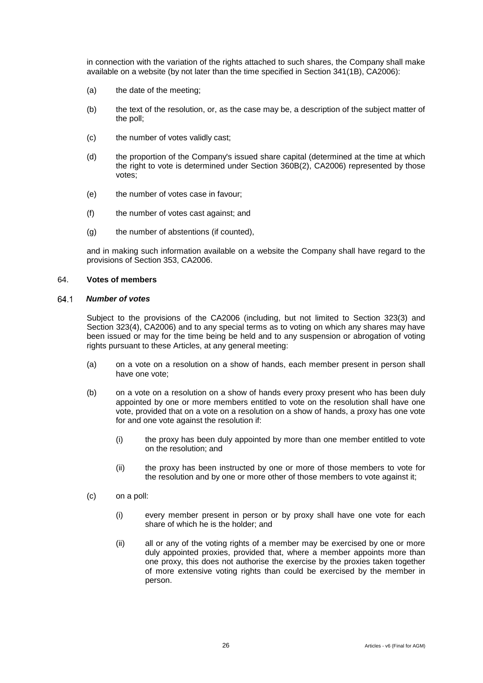in connection with the variation of the rights attached to such shares, the Company shall make available on a website (by not later than the time specified in Section 341(1B), CA2006):

- (a) the date of the meeting;
- (b) the text of the resolution, or, as the case may be, a description of the subject matter of the poll;
- (c) the number of votes validly cast;
- (d) the proportion of the Company's issued share capital (determined at the time at which the right to vote is determined under Section 360B(2), CA2006) represented by those votes;
- (e) the number of votes case in favour;
- (f) the number of votes cast against; and
- (g) the number of abstentions (if counted),

and in making such information available on a website the Company shall have regard to the provisions of Section 353, CA2006.

### <span id="page-30-0"></span>64. **Votes of members**

#### *Number of votes* 64.1

Subject to the provisions of the CA2006 (including, but not limited to Section 323(3) and Section 323(4), CA2006) and to any special terms as to voting on which any shares may have been issued or may for the time being be held and to any suspension or abrogation of voting rights pursuant to these Articles, at any general meeting:

- (a) on a vote on a resolution on a show of hands, each member present in person shall have one vote;
- (b) on a vote on a resolution on a show of hands every proxy present who has been duly appointed by one or more members entitled to vote on the resolution shall have one vote, provided that on a vote on a resolution on a show of hands, a proxy has one vote for and one vote against the resolution if:
	- (i) the proxy has been duly appointed by more than one member entitled to vote on the resolution; and
	- (ii) the proxy has been instructed by one or more of those members to vote for the resolution and by one or more other of those members to vote against it;
- (c) on a poll:
	- (i) every member present in person or by proxy shall have one vote for each share of which he is the holder; and
	- (ii) all or any of the voting rights of a member may be exercised by one or more duly appointed proxies, provided that, where a member appoints more than one proxy, this does not authorise the exercise by the proxies taken together of more extensive voting rights than could be exercised by the member in person.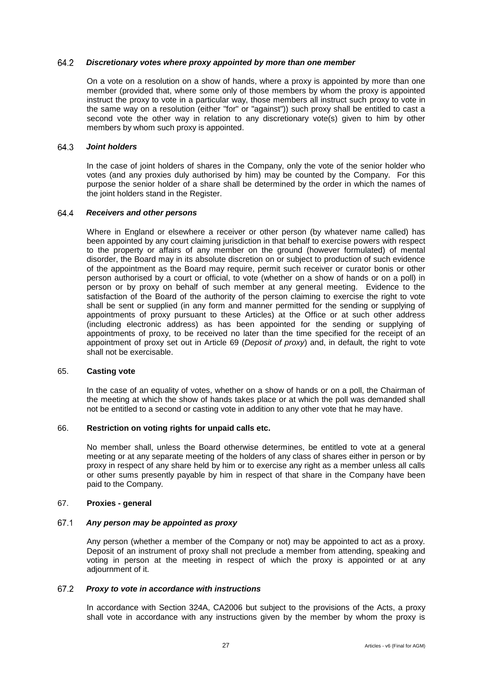#### 64.2 *Discretionary votes where proxy appointed by more than one member*

On a vote on a resolution on a show of hands, where a proxy is appointed by more than one member (provided that, where some only of those members by whom the proxy is appointed instruct the proxy to vote in a particular way, those members all instruct such proxy to vote in the same way on a resolution (either "for" or "against")) such proxy shall be entitled to cast a second vote the other way in relation to any discretionary vote(s) given to him by other members by whom such proxy is appointed.

#### 64.3 *Joint holders*

In the case of joint holders of shares in the Company, only the vote of the senior holder who votes (and any proxies duly authorised by him) may be counted by the Company. For this purpose the senior holder of a share shall be determined by the order in which the names of the joint holders stand in the Register.

#### 64.4 *Receivers and other persons*

Where in England or elsewhere a receiver or other person (by whatever name called) has been appointed by any court claiming jurisdiction in that behalf to exercise powers with respect to the property or affairs of any member on the ground (however formulated) of mental disorder, the Board may in its absolute discretion on or subject to production of such evidence of the appointment as the Board may require, permit such receiver or curator bonis or other person authorised by a court or official, to vote (whether on a show of hands or on a poll) in person or by proxy on behalf of such member at any general meeting. Evidence to the satisfaction of the Board of the authority of the person claiming to exercise the right to vote shall be sent or supplied (in any form and manner permitted for the sending or supplying of appointments of proxy pursuant to these Articles) at the Office or at such other address (including electronic address) as has been appointed for the sending or supplying of appointments of proxy, to be received no later than the time specified for the receipt of an appointment of proxy set out in Article [69](#page-32-1) (*Deposit of proxy*) and, in default, the right to vote shall not be exercisable.

### <span id="page-31-0"></span>65. **Casting vote**

In the case of an equality of votes, whether on a show of hands or on a poll, the Chairman of the meeting at which the show of hands takes place or at which the poll was demanded shall not be entitled to a second or casting vote in addition to any other vote that he may have.

# <span id="page-31-1"></span>66. **Restriction on voting rights for unpaid calls etc.**

No member shall, unless the Board otherwise determines, be entitled to vote at a general meeting or at any separate meeting of the holders of any class of shares either in person or by proxy in respect of any share held by him or to exercise any right as a member unless all calls or other sums presently payable by him in respect of that share in the Company have been paid to the Company.

# <span id="page-31-2"></span>67. **Proxies - general**

#### 67.1 *Any person may be appointed as proxy*

Any person (whether a member of the Company or not) may be appointed to act as a proxy. Deposit of an instrument of proxy shall not preclude a member from attending, speaking and voting in person at the meeting in respect of which the proxy is appointed or at any adiournment of it.

#### 67.2 *Proxy to vote in accordance with instructions*

In accordance with Section 324A, CA2006 but subject to the provisions of the Acts, a proxy shall vote in accordance with any instructions given by the member by whom the proxy is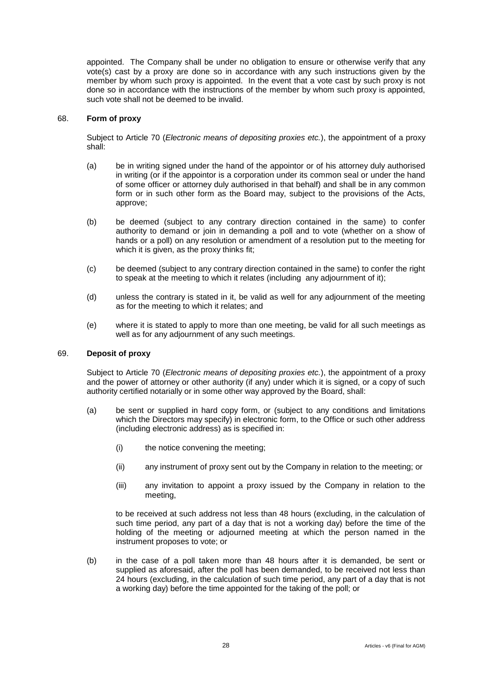appointed. The Company shall be under no obligation to ensure or otherwise verify that any vote(s) cast by a proxy are done so in accordance with any such instructions given by the member by whom such proxy is appointed. In the event that a vote cast by such proxy is not done so in accordance with the instructions of the member by whom such proxy is appointed, such vote shall not be deemed to be invalid.

### <span id="page-32-0"></span>68. **Form of proxy**

Subject to Article [70](#page-33-0) (*Electronic means of depositing proxies etc.*), the appointment of a proxy shall:

- <span id="page-32-2"></span>(a) be in writing signed under the hand of the appointor or of his attorney duly authorised in writing (or if the appointor is a corporation under its common seal or under the hand of some officer or attorney duly authorised in that behalf) and shall be in any common form or in such other form as the Board may, subject to the provisions of the Acts, approve;
- (b) be deemed (subject to any contrary direction contained in the same) to confer authority to demand or join in demanding a poll and to vote (whether on a show of hands or a poll) on any resolution or amendment of a resolution put to the meeting for which it is given, as the proxy thinks fit;
- (c) be deemed (subject to any contrary direction contained in the same) to confer the right to speak at the meeting to which it relates (including any adjournment of it);
- (d) unless the contrary is stated in it, be valid as well for any adjournment of the meeting as for the meeting to which it relates; and
- (e) where it is stated to apply to more than one meeting, be valid for all such meetings as well as for any adjournment of any such meetings.

# <span id="page-32-1"></span>69. **Deposit of proxy**

Subject to Article [70](#page-33-0) (*Electronic means of depositing proxies etc.*), the appointment of a proxy and the power of attorney or other authority (if any) under which it is signed, or a copy of such authority certified notarially or in some other way approved by the Board, shall:

- (a) be sent or supplied in hard copy form, or (subject to any conditions and limitations which the Directors may specify) in electronic form, to the Office or such other address (including electronic address) as is specified in:
	- (i) the notice convening the meeting;
	- (ii) any instrument of proxy sent out by the Company in relation to the meeting; or
	- (iii) any invitation to appoint a proxy issued by the Company in relation to the meeting,

to be received at such address not less than 48 hours (excluding, in the calculation of such time period, any part of a day that is not a working day) before the time of the holding of the meeting or adjourned meeting at which the person named in the instrument proposes to vote; or

(b) in the case of a poll taken more than 48 hours after it is demanded, be sent or supplied as aforesaid, after the poll has been demanded, to be received not less than 24 hours (excluding, in the calculation of such time period, any part of a day that is not a working day) before the time appointed for the taking of the poll; or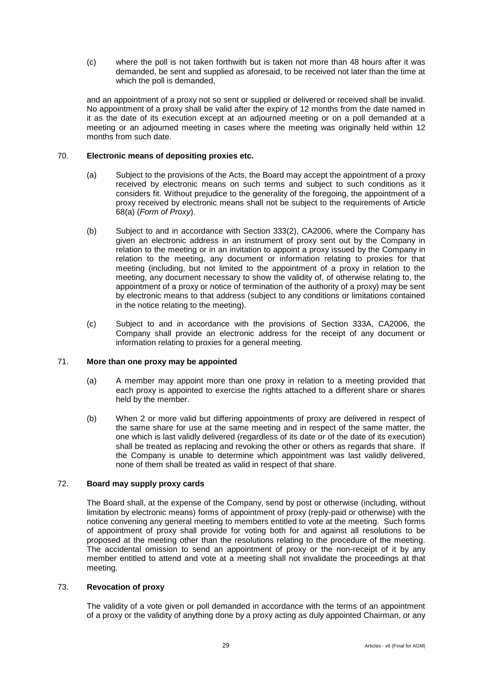(c) where the poll is not taken forthwith but is taken not more than 48 hours after it was demanded, be sent and supplied as aforesaid, to be received not later than the time at which the poll is demanded,

and an appointment of a proxy not so sent or supplied or delivered or received shall be invalid. No appointment of a proxy shall be valid after the expiry of 12 months from the date named in it as the date of its execution except at an adjourned meeting or on a poll demanded at a meeting or an adjourned meeting in cases where the meeting was originally held within 12 months from such date.

# <span id="page-33-0"></span>70. **Electronic means of depositing proxies etc.**

- (a) Subject to the provisions of the Acts, the Board may accept the appointment of a proxy received by electronic means on such terms and subject to such conditions as it considers fit. Without prejudice to the generality of the foregoing, the appointment of a proxy received by electronic means shall not be subject to the requirements of Article [68\(a\)](#page-32-2) (*Form of Proxy*).
- (b) Subject to and in accordance with Section 333(2), CA2006, where the Company has given an electronic address in an instrument of proxy sent out by the Company in relation to the meeting or in an invitation to appoint a proxy issued by the Company in relation to the meeting, any document or information relating to proxies for that meeting (including, but not limited to the appointment of a proxy in relation to the meeting, any document necessary to show the validity of, of otherwise relating to, the appointment of a proxy or notice of termination of the authority of a proxy) may be sent by electronic means to that address (subject to any conditions or limitations contained in the notice relating to the meeting).
- (c) Subject to and in accordance with the provisions of Section 333A, CA2006, the Company shall provide an electronic address for the receipt of any document or information relating to proxies for a general meeting.

### <span id="page-33-1"></span>71. **More than one proxy may be appointed**

- (a) A member may appoint more than one proxy in relation to a meeting provided that each proxy is appointed to exercise the rights attached to a different share or shares held by the member.
- (b) When 2 or more valid but differing appointments of proxy are delivered in respect of the same share for use at the same meeting and in respect of the same matter, the one which is last validly delivered (regardless of its date or of the date of its execution) shall be treated as replacing and revoking the other or others as regards that share. If the Company is unable to determine which appointment was last validly delivered, none of them shall be treated as valid in respect of that share.

# <span id="page-33-2"></span>72. **Board may supply proxy cards**

The Board shall, at the expense of the Company, send by post or otherwise (including, without limitation by electronic means) forms of appointment of proxy (reply-paid or otherwise) with the notice convening any general meeting to members entitled to vote at the meeting. Such forms of appointment of proxy shall provide for voting both for and against all resolutions to be proposed at the meeting other than the resolutions relating to the procedure of the meeting. The accidental omission to send an appointment of proxy or the non-receipt of it by any member entitled to attend and vote at a meeting shall not invalidate the proceedings at that meeting.

### <span id="page-33-3"></span>73. **Revocation of proxy**

The validity of a vote given or poll demanded in accordance with the terms of an appointment of a proxy or the validity of anything done by a proxy acting as duly appointed Chairman, or any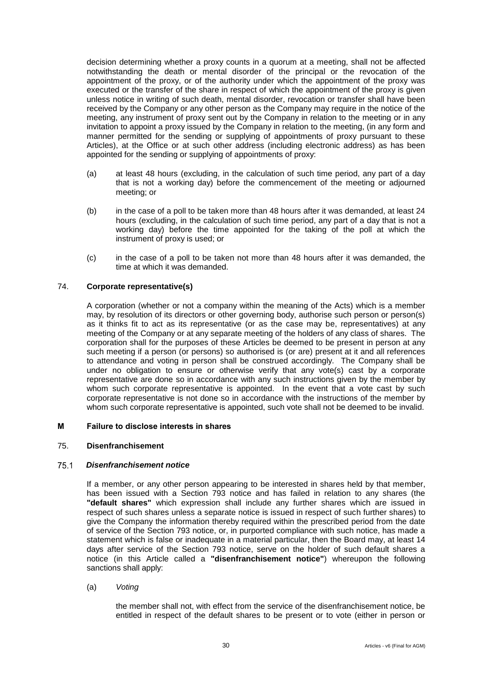decision determining whether a proxy counts in a quorum at a meeting, shall not be affected notwithstanding the death or mental disorder of the principal or the revocation of the appointment of the proxy, or of the authority under which the appointment of the proxy was executed or the transfer of the share in respect of which the appointment of the proxy is given unless notice in writing of such death, mental disorder, revocation or transfer shall have been received by the Company or any other person as the Company may require in the notice of the meeting, any instrument of proxy sent out by the Company in relation to the meeting or in any invitation to appoint a proxy issued by the Company in relation to the meeting, (in any form and manner permitted for the sending or supplying of appointments of proxy pursuant to these Articles), at the Office or at such other address (including electronic address) as has been appointed for the sending or supplying of appointments of proxy:

- (a) at least 48 hours (excluding, in the calculation of such time period, any part of a day that is not a working day) before the commencement of the meeting or adjourned meeting; or
- (b) in the case of a poll to be taken more than 48 hours after it was demanded, at least 24 hours (excluding, in the calculation of such time period, any part of a day that is not a working day) before the time appointed for the taking of the poll at which the instrument of proxy is used; or
- (c) in the case of a poll to be taken not more than 48 hours after it was demanded, the time at which it was demanded.

# <span id="page-34-0"></span>74. **Corporate representative(s)**

A corporation (whether or not a company within the meaning of the Acts) which is a member may, by resolution of its directors or other governing body, authorise such person or person(s) as it thinks fit to act as its representative (or as the case may be, representatives) at any meeting of the Company or at any separate meeting of the holders of any class of shares. The corporation shall for the purposes of these Articles be deemed to be present in person at any such meeting if a person (or persons) so authorised is (or are) present at it and all references to attendance and voting in person shall be construed accordingly. The Company shall be under no obligation to ensure or otherwise verify that any vote(s) cast by a corporate representative are done so in accordance with any such instructions given by the member by whom such corporate representative is appointed. In the event that a vote cast by such corporate representative is not done so in accordance with the instructions of the member by whom such corporate representative is appointed, such vote shall not be deemed to be invalid.

# <span id="page-34-1"></span>**M Failure to disclose interests in shares**

### <span id="page-34-2"></span>75. **Disenfranchisement**

#### <span id="page-34-3"></span>75.1 *Disenfranchisement notice*

If a member, or any other person appearing to be interested in shares held by that member, has been issued with a Section 793 notice and has failed in relation to any shares (the **"default shares"** which expression shall include any further shares which are issued in respect of such shares unless a separate notice is issued in respect of such further shares) to give the Company the information thereby required within the prescribed period from the date of service of the Section 793 notice, or, in purported compliance with such notice, has made a statement which is false or inadequate in a material particular, then the Board may, at least 14 days after service of the Section 793 notice, serve on the holder of such default shares a notice (in this Article called a **"disenfranchisement notice"**) whereupon the following sanctions shall apply:

(a) *Voting*

the member shall not, with effect from the service of the disenfranchisement notice, be entitled in respect of the default shares to be present or to vote (either in person or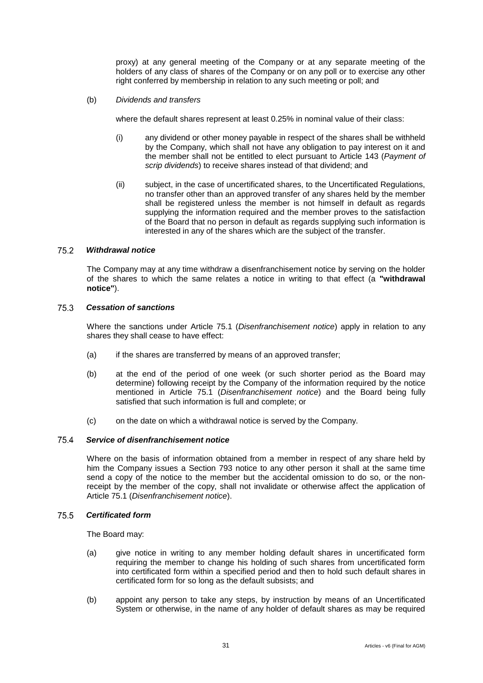proxy) at any general meeting of the Company or at any separate meeting of the holders of any class of shares of the Company or on any poll or to exercise any other right conferred by membership in relation to any such meeting or poll; and

(b) *Dividends and transfers*

where the default shares represent at least 0.25% in nominal value of their class:

- (i) any dividend or other money payable in respect of the shares shall be withheld by the Company, which shall not have any obligation to pay interest on it and the member shall not be entitled to elect pursuant to Article [143](#page-63-2) (*Payment of scrip dividends*) to receive shares instead of that dividend; and
- (ii) subject, in the case of uncertificated shares, to the Uncertificated Regulations, no transfer other than an approved transfer of any shares held by the member shall be registered unless the member is not himself in default as regards supplying the information required and the member proves to the satisfaction of the Board that no person in default as regards supplying such information is interested in any of the shares which are the subject of the transfer.

#### <span id="page-35-0"></span>75.2 *Withdrawal notice*

The Company may at any time withdraw a disenfranchisement notice by serving on the holder of the shares to which the same relates a notice in writing to that effect (a **"withdrawal notice"**).

#### 75.3 *Cessation of sanctions*

Where the sanctions under Article [75.1](#page-34-3) (*Disenfranchisement notice*) apply in relation to any shares they shall cease to have effect:

- (a) if the shares are transferred by means of an approved transfer;
- (b) at the end of the period of one week (or such shorter period as the Board may determine) following receipt by the Company of the information required by the notice mentioned in Article [75.1](#page-34-3) (*Disenfranchisement notice*) and the Board being fully satisfied that such information is full and complete; or
- (c) on the date on which a withdrawal notice is served by the Company.

#### 75.4 *Service of disenfranchisement notice*

Where on the basis of information obtained from a member in respect of any share held by him the Company issues a Section 793 notice to any other person it shall at the same time send a copy of the notice to the member but the accidental omission to do so, or the nonreceipt by the member of the copy, shall not invalidate or otherwise affect the application of Article [75.1](#page-34-3) (*Disenfranchisement notice*).

#### 75.5 *Certificated form*

The Board may:

- (a) give notice in writing to any member holding default shares in uncertificated form requiring the member to change his holding of such shares from uncertificated form into certificated form within a specified period and then to hold such default shares in certificated form for so long as the default subsists; and
- (b) appoint any person to take any steps, by instruction by means of an Uncertificated System or otherwise, in the name of any holder of default shares as may be required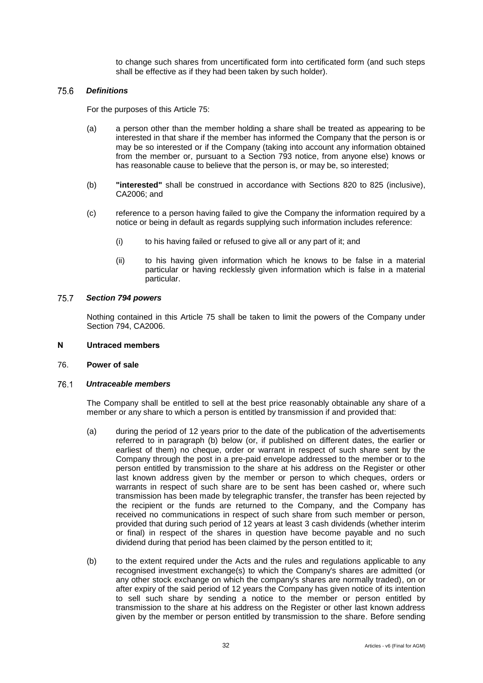to change such shares from uncertificated form into certificated form (and such steps shall be effective as if they had been taken by such holder).

#### 75.6 *Definitions*

For the purposes of this Article [75:](#page-34-0)

- (a) a person other than the member holding a share shall be treated as appearing to be interested in that share if the member has informed the Company that the person is or may be so interested or if the Company (taking into account any information obtained from the member or, pursuant to a Section 793 notice, from anyone else) knows or has reasonable cause to believe that the person is, or may be, so interested;
- (b) **"interested"** shall be construed in accordance with Sections 820 to 825 (inclusive), CA2006; and
- (c) reference to a person having failed to give the Company the information required by a notice or being in default as regards supplying such information includes reference:
	- (i) to his having failed or refused to give all or any part of it; and
	- (ii) to his having given information which he knows to be false in a material particular or having recklessly given information which is false in a material particular.

#### 75.7 *Section 794 powers*

Nothing contained in this Article [75](#page-34-0) shall be taken to limit the powers of the Company under Section 794, CA2006.

#### **N Untraced members**

#### <span id="page-36-0"></span>76. **Power of sale**

#### <span id="page-36-1"></span>76.1 *Untraceable members*

The Company shall be entitled to sell at the best price reasonably obtainable any share of a member or any share to which a person is entitled by transmission if and provided that:

- (a) during the period of 12 years prior to the date of the publication of the advertisements referred to in paragraph (b) below (or, if published on different dates, the earlier or earliest of them) no cheque, order or warrant in respect of such share sent by the Company through the post in a pre-paid envelope addressed to the member or to the person entitled by transmission to the share at his address on the Register or other last known address given by the member or person to which cheques, orders or warrants in respect of such share are to be sent has been cashed or, where such transmission has been made by telegraphic transfer, the transfer has been rejected by the recipient or the funds are returned to the Company, and the Company has received no communications in respect of such share from such member or person, provided that during such period of 12 years at least 3 cash dividends (whether interim or final) in respect of the shares in question have become payable and no such dividend during that period has been claimed by the person entitled to it;
- (b) to the extent required under the Acts and the rules and regulations applicable to any recognised investment exchange(s) to which the Company's shares are admitted (or any other stock exchange on which the company's shares are normally traded), on or after expiry of the said period of 12 years the Company has given notice of its intention to sell such share by sending a notice to the member or person entitled by transmission to the share at his address on the Register or other last known address given by the member or person entitled by transmission to the share. Before sending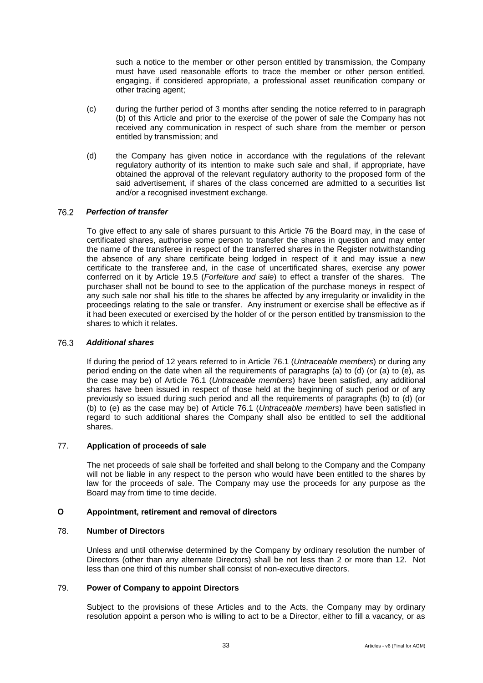such a notice to the member or other person entitled by transmission, the Company must have used reasonable efforts to trace the member or other person entitled, engaging, if considered appropriate, a professional asset reunification company or other tracing agent;

- (c) during the further period of 3 months after sending the notice referred to in paragraph (b) of this Article and prior to the exercise of the power of sale the Company has not received any communication in respect of such share from the member or person entitled by transmission; and
- (d) the Company has given notice in accordance with the regulations of the relevant regulatory authority of its intention to make such sale and shall, if appropriate, have obtained the approval of the relevant regulatory authority to the proposed form of the said advertisement, if shares of the class concerned are admitted to a securities list and/or a recognised investment exchange.

#### 76.2 *Perfection of transfer*

To give effect to any sale of shares pursuant to this Article [76](#page-36-0) the Board may, in the case of certificated shares, authorise some person to transfer the shares in question and may enter the name of the transferee in respect of the transferred shares in the Register notwithstanding the absence of any share certificate being lodged in respect of it and may issue a new certificate to the transferee and, in the case of uncertificated shares, exercise any power conferred on it by Article [19.5](#page-15-0) (*Forfeiture and sale*) to effect a transfer of the shares. The purchaser shall not be bound to see to the application of the purchase moneys in respect of any such sale nor shall his title to the shares be affected by any irregularity or invalidity in the proceedings relating to the sale or transfer. Any instrument or exercise shall be effective as if it had been executed or exercised by the holder of or the person entitled by transmission to the shares to which it relates.

#### 76.3 *Additional shares*

If during the period of 12 years referred to in Article [76.1](#page-36-1) (*Untraceable members*) or during any period ending on the date when all the requirements of paragraphs (a) to (d) (or (a) to (e), as the case may be) of Article [76.1](#page-36-1) (*Untraceable members*) have been satisfied, any additional shares have been issued in respect of those held at the beginning of such period or of any previously so issued during such period and all the requirements of paragraphs (b) to (d) (or (b) to (e) as the case may be) of Article [76.1](#page-36-1) (*Untraceable members*) have been satisfied in regard to such additional shares the Company shall also be entitled to sell the additional shares.

#### 77. **Application of proceeds of sale**

The net proceeds of sale shall be forfeited and shall belong to the Company and the Company will not be liable in any respect to the person who would have been entitled to the shares by law for the proceeds of sale. The Company may use the proceeds for any purpose as the Board may from time to time decide.

# **O Appointment, retirement and removal of directors**

## 78. **Number of Directors**

Unless and until otherwise determined by the Company by ordinary resolution the number of Directors (other than any alternate Directors) shall be not less than 2 or more than 12. Not less than one third of this number shall consist of non-executive directors.

#### 79. **Power of Company to appoint Directors**

Subject to the provisions of these Articles and to the Acts, the Company may by ordinary resolution appoint a person who is willing to act to be a Director, either to fill a vacancy, or as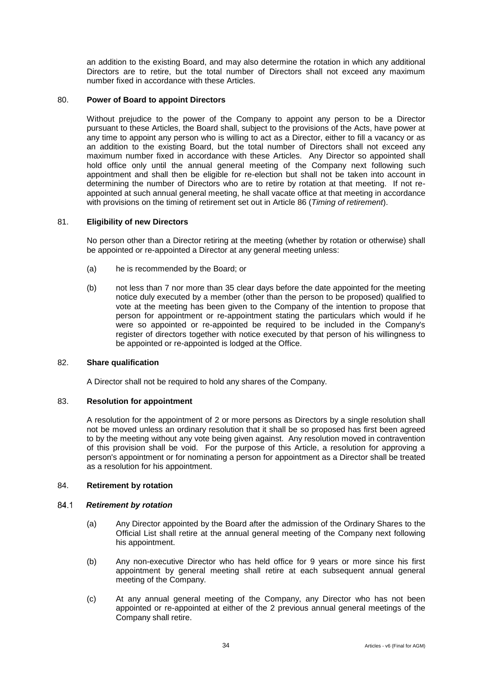an addition to the existing Board, and may also determine the rotation in which any additional Directors are to retire, but the total number of Directors shall not exceed any maximum number fixed in accordance with these Articles.

## 80. **Power of Board to appoint Directors**

Without prejudice to the power of the Company to appoint any person to be a Director pursuant to these Articles, the Board shall, subject to the provisions of the Acts, have power at any time to appoint any person who is willing to act as a Director, either to fill a vacancy or as an addition to the existing Board, but the total number of Directors shall not exceed any maximum number fixed in accordance with these Articles. Any Director so appointed shall hold office only until the annual general meeting of the Company next following such appointment and shall then be eligible for re-election but shall not be taken into account in determining the number of Directors who are to retire by rotation at that meeting. If not reappointed at such annual general meeting, he shall vacate office at that meeting in accordance with provisions on the timing of retirement set out in Article [86](#page-39-0) (*Timing of retirement*).

#### 81. **Eligibility of new Directors**

No person other than a Director retiring at the meeting (whether by rotation or otherwise) shall be appointed or re-appointed a Director at any general meeting unless:

- (a) he is recommended by the Board; or
- (b) not less than 7 nor more than 35 clear days before the date appointed for the meeting notice duly executed by a member (other than the person to be proposed) qualified to vote at the meeting has been given to the Company of the intention to propose that person for appointment or re-appointment stating the particulars which would if he were so appointed or re-appointed be required to be included in the Company's register of directors together with notice executed by that person of his willingness to be appointed or re-appointed is lodged at the Office.

## 82. **Share qualification**

A Director shall not be required to hold any shares of the Company.

#### <span id="page-38-4"></span>83. **Resolution for appointment**

A resolution for the appointment of 2 or more persons as Directors by a single resolution shall not be moved unless an ordinary resolution that it shall be so proposed has first been agreed to by the meeting without any vote being given against. Any resolution moved in contravention of this provision shall be void. For the purpose of this Article, a resolution for approving a person's appointment or for nominating a person for appointment as a Director shall be treated as a resolution for his appointment.

## 84. **Retirement by rotation**

#### <span id="page-38-2"></span><span id="page-38-0"></span>84.1 *Retirement by rotation*

- (a) Any Director appointed by the Board after the admission of the Ordinary Shares to the Official List shall retire at the annual general meeting of the Company next following his appointment.
- <span id="page-38-3"></span>(b) Any non-executive Director who has held office for 9 years or more since his first appointment by general meeting shall retire at each subsequent annual general meeting of the Company.
- <span id="page-38-1"></span>(c) At any annual general meeting of the Company, any Director who has not been appointed or re-appointed at either of the 2 previous annual general meetings of the Company shall retire.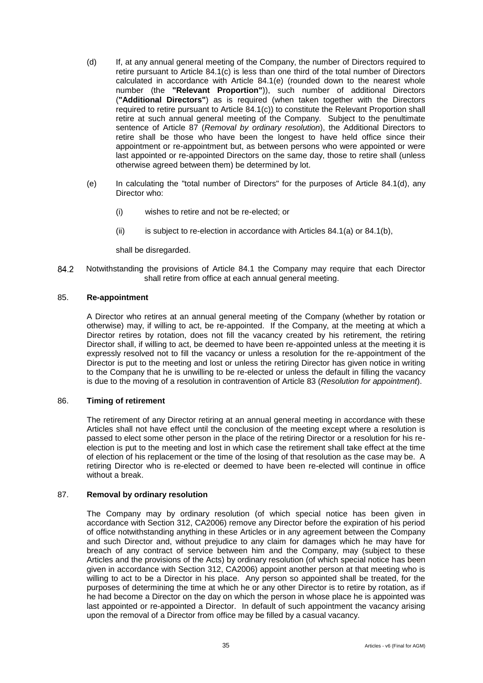- <span id="page-39-3"></span>(d) If, at any annual general meeting of the Company, the number of Directors required to retire pursuant to Article [84.1](#page-38-0)[\(c\)](#page-38-1) is less than one third of the total number of Directors calculated in accordance with Article [84.1](#page-38-0)[\(e\)](#page-39-1) (rounded down to the nearest whole number (the **"Relevant Proportion"**)), such number of additional Directors (**"Additional Directors"**) as is required (when taken together with the Directors required to retire pursuant to Article [84.1](#page-38-0)[\(c\)\)](#page-38-1) to constitute the Relevant Proportion shall retire at such annual general meeting of the Company. Subject to the penultimate sentence of Article [87](#page-39-2) (*Removal by ordinary resolution*), the Additional Directors to retire shall be those who have been the longest to have held office since their appointment or re-appointment but, as between persons who were appointed or were last appointed or re-appointed Directors on the same day, those to retire shall (unless otherwise agreed between them) be determined by lot.
- <span id="page-39-1"></span>(e) In calculating the "total number of Directors" for the purposes of Article [84.1](#page-38-0)[\(d\),](#page-39-3) any Director who:
	- (i) wishes to retire and not be re-elected; or
	- (ii) is subject to re-election in accordance with Articles  $84.1(a)$  $84.1(a)$  or  $84.1(b)$ ,

shall be disregarded.

84.2 Notwithstanding the provisions of Article [84.1](#page-38-0) the Company may require that each Director shall retire from office at each annual general meeting.

## 85. **Re-appointment**

A Director who retires at an annual general meeting of the Company (whether by rotation or otherwise) may, if willing to act, be re-appointed. If the Company, at the meeting at which a Director retires by rotation, does not fill the vacancy created by his retirement, the retiring Director shall, if willing to act, be deemed to have been re-appointed unless at the meeting it is expressly resolved not to fill the vacancy or unless a resolution for the re-appointment of the Director is put to the meeting and lost or unless the retiring Director has given notice in writing to the Company that he is unwilling to be re-elected or unless the default in filling the vacancy is due to the moving of a resolution in contravention of Article [83](#page-38-4) (*Resolution for appointment*).

#### <span id="page-39-0"></span>86. **Timing of retirement**

The retirement of any Director retiring at an annual general meeting in accordance with these Articles shall not have effect until the conclusion of the meeting except where a resolution is passed to elect some other person in the place of the retiring Director or a resolution for his reelection is put to the meeting and lost in which case the retirement shall take effect at the time of election of his replacement or the time of the losing of that resolution as the case may be. A retiring Director who is re-elected or deemed to have been re-elected will continue in office without a break.

#### <span id="page-39-2"></span>87. **Removal by ordinary resolution**

The Company may by ordinary resolution (of which special notice has been given in accordance with Section 312, CA2006) remove any Director before the expiration of his period of office notwithstanding anything in these Articles or in any agreement between the Company and such Director and, without prejudice to any claim for damages which he may have for breach of any contract of service between him and the Company, may (subject to these Articles and the provisions of the Acts) by ordinary resolution (of which special notice has been given in accordance with Section 312, CA2006) appoint another person at that meeting who is willing to act to be a Director in his place. Any person so appointed shall be treated, for the purposes of determining the time at which he or any other Director is to retire by rotation, as if he had become a Director on the day on which the person in whose place he is appointed was last appointed or re-appointed a Director. In default of such appointment the vacancy arising upon the removal of a Director from office may be filled by a casual vacancy.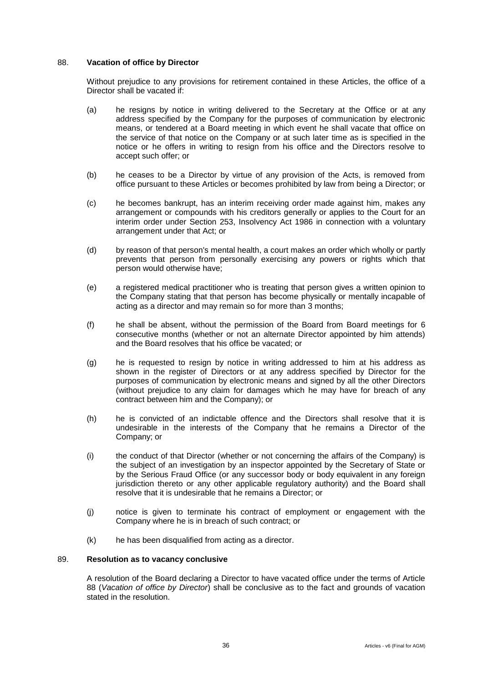## <span id="page-40-0"></span>88. **Vacation of office by Director**

Without prejudice to any provisions for retirement contained in these Articles, the office of a Director shall be vacated if:

- (a) he resigns by notice in writing delivered to the Secretary at the Office or at any address specified by the Company for the purposes of communication by electronic means, or tendered at a Board meeting in which event he shall vacate that office on the service of that notice on the Company or at such later time as is specified in the notice or he offers in writing to resign from his office and the Directors resolve to accept such offer; or
- (b) he ceases to be a Director by virtue of any provision of the Acts, is removed from office pursuant to these Articles or becomes prohibited by law from being a Director; or
- (c) he becomes bankrupt, has an interim receiving order made against him, makes any arrangement or compounds with his creditors generally or applies to the Court for an interim order under Section 253, Insolvency Act 1986 in connection with a voluntary arrangement under that Act; or
- (d) by reason of that person's mental health, a court makes an order which wholly or partly prevents that person from personally exercising any powers or rights which that person would otherwise have;
- (e) a registered medical practitioner who is treating that person gives a written opinion to the Company stating that that person has become physically or mentally incapable of acting as a director and may remain so for more than 3 months;
- (f) he shall be absent, without the permission of the Board from Board meetings for 6 consecutive months (whether or not an alternate Director appointed by him attends) and the Board resolves that his office be vacated; or
- (g) he is requested to resign by notice in writing addressed to him at his address as shown in the register of Directors or at any address specified by Director for the purposes of communication by electronic means and signed by all the other Directors (without prejudice to any claim for damages which he may have for breach of any contract between him and the Company); or
- (h) he is convicted of an indictable offence and the Directors shall resolve that it is undesirable in the interests of the Company that he remains a Director of the Company; or
- (i) the conduct of that Director (whether or not concerning the affairs of the Company) is the subject of an investigation by an inspector appointed by the Secretary of State or by the Serious Fraud Office (or any successor body or body equivalent in any foreign jurisdiction thereto or any other applicable regulatory authority) and the Board shall resolve that it is undesirable that he remains a Director; or
- (j) notice is given to terminate his contract of employment or engagement with the Company where he is in breach of such contract; or
- (k) he has been disqualified from acting as a director.

# 89. **Resolution as to vacancy conclusive**

A resolution of the Board declaring a Director to have vacated office under the terms of Article [88](#page-40-0) (*Vacation of office by Director*) shall be conclusive as to the fact and grounds of vacation stated in the resolution.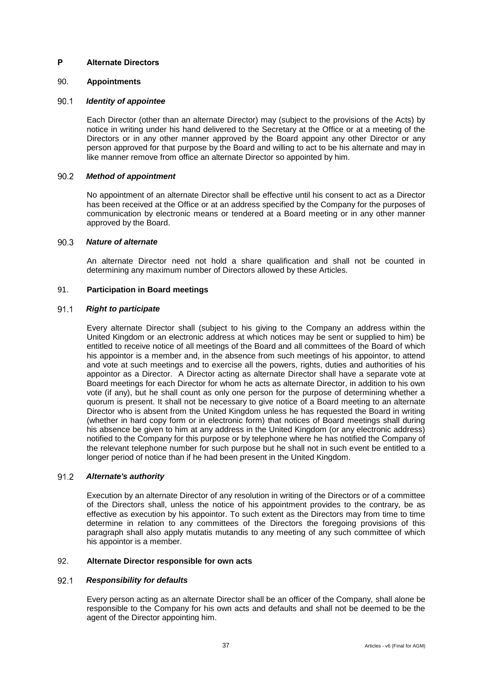## **P Alternate Directors**

## 90. **Appointments**

#### 90.1 *Identity of appointee*

Each Director (other than an alternate Director) may (subject to the provisions of the Acts) by notice in writing under his hand delivered to the Secretary at the Office or at a meeting of the Directors or in any other manner approved by the Board appoint any other Director or any person approved for that purpose by the Board and willing to act to be his alternate and may in like manner remove from office an alternate Director so appointed by him.

#### $90.2$ *Method of appointment*

No appointment of an alternate Director shall be effective until his consent to act as a Director has been received at the Office or at an address specified by the Company for the purposes of communication by electronic means or tendered at a Board meeting or in any other manner approved by the Board.

#### $90.3$ *Nature of alternate*

An alternate Director need not hold a share qualification and shall not be counted in determining any maximum number of Directors allowed by these Articles.

## 91. **Participation in Board meetings**

#### 91.1 *Right to participate*

Every alternate Director shall (subject to his giving to the Company an address within the United Kingdom or an electronic address at which notices may be sent or supplied to him) be entitled to receive notice of all meetings of the Board and all committees of the Board of which his appointor is a member and, in the absence from such meetings of his appointor, to attend and vote at such meetings and to exercise all the powers, rights, duties and authorities of his appointor as a Director. A Director acting as alternate Director shall have a separate vote at Board meetings for each Director for whom he acts as alternate Director, in addition to his own vote (if any), but he shall count as only one person for the purpose of determining whether a quorum is present. It shall not be necessary to give notice of a Board meeting to an alternate Director who is absent from the United Kingdom unless he has requested the Board in writing (whether in hard copy form or in electronic form) that notices of Board meetings shall during his absence be given to him at any address in the United Kingdom (or any electronic address) notified to the Company for this purpose or by telephone where he has notified the Company of the relevant telephone number for such purpose but he shall not in such event be entitled to a longer period of notice than if he had been present in the United Kingdom.

#### $91.2$ *Alternate's authority*

Execution by an alternate Director of any resolution in writing of the Directors or of a committee of the Directors shall, unless the notice of his appointment provides to the contrary, be as effective as execution by his appointor. To such extent as the Directors may from time to time determine in relation to any committees of the Directors the foregoing provisions of this paragraph shall also apply mutatis mutandis to any meeting of any such committee of which his appointor is a member.

## 92. **Alternate Director responsible for own acts**

#### $92.1$ *Responsibility for defaults*

Every person acting as an alternate Director shall be an officer of the Company, shall alone be responsible to the Company for his own acts and defaults and shall not be deemed to be the agent of the Director appointing him.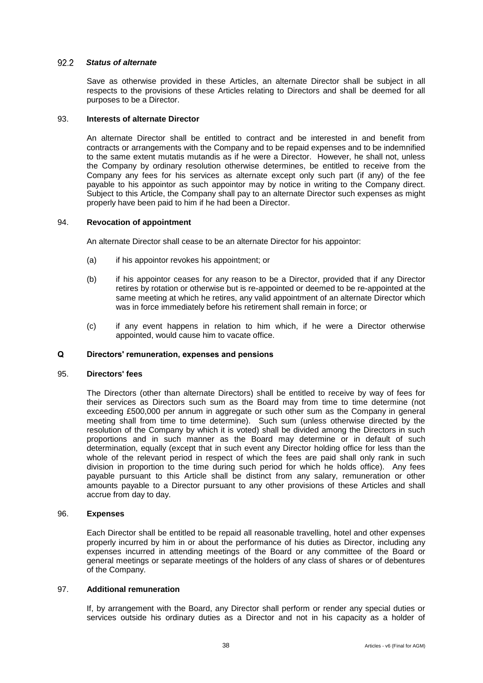#### $922$ *Status of alternate*

Save as otherwise provided in these Articles, an alternate Director shall be subject in all respects to the provisions of these Articles relating to Directors and shall be deemed for all purposes to be a Director.

## 93. **Interests of alternate Director**

An alternate Director shall be entitled to contract and be interested in and benefit from contracts or arrangements with the Company and to be repaid expenses and to be indemnified to the same extent mutatis mutandis as if he were a Director. However, he shall not, unless the Company by ordinary resolution otherwise determines, be entitled to receive from the Company any fees for his services as alternate except only such part (if any) of the fee payable to his appointor as such appointor may by notice in writing to the Company direct. Subject to this Article, the Company shall pay to an alternate Director such expenses as might properly have been paid to him if he had been a Director.

#### 94. **Revocation of appointment**

An alternate Director shall cease to be an alternate Director for his appointor:

- (a) if his appointor revokes his appointment; or
- (b) if his appointor ceases for any reason to be a Director, provided that if any Director retires by rotation or otherwise but is re-appointed or deemed to be re-appointed at the same meeting at which he retires, any valid appointment of an alternate Director which was in force immediately before his retirement shall remain in force; or
- (c) if any event happens in relation to him which, if he were a Director otherwise appointed, would cause him to vacate office.

## **Q Directors' remuneration, expenses and pensions**

#### 95. **Directors' fees**

The Directors (other than alternate Directors) shall be entitled to receive by way of fees for their services as Directors such sum as the Board may from time to time determine (not exceeding £500,000 per annum in aggregate or such other sum as the Company in general meeting shall from time to time determine). Such sum (unless otherwise directed by the resolution of the Company by which it is voted) shall be divided among the Directors in such proportions and in such manner as the Board may determine or in default of such determination, equally (except that in such event any Director holding office for less than the whole of the relevant period in respect of which the fees are paid shall only rank in such division in proportion to the time during such period for which he holds office). Any fees payable pursuant to this Article shall be distinct from any salary, remuneration or other amounts payable to a Director pursuant to any other provisions of these Articles and shall accrue from day to day.

#### 96. **Expenses**

Each Director shall be entitled to be repaid all reasonable travelling, hotel and other expenses properly incurred by him in or about the performance of his duties as Director, including any expenses incurred in attending meetings of the Board or any committee of the Board or general meetings or separate meetings of the holders of any class of shares or of debentures of the Company.

#### 97. **Additional remuneration**

If, by arrangement with the Board, any Director shall perform or render any special duties or services outside his ordinary duties as a Director and not in his capacity as a holder of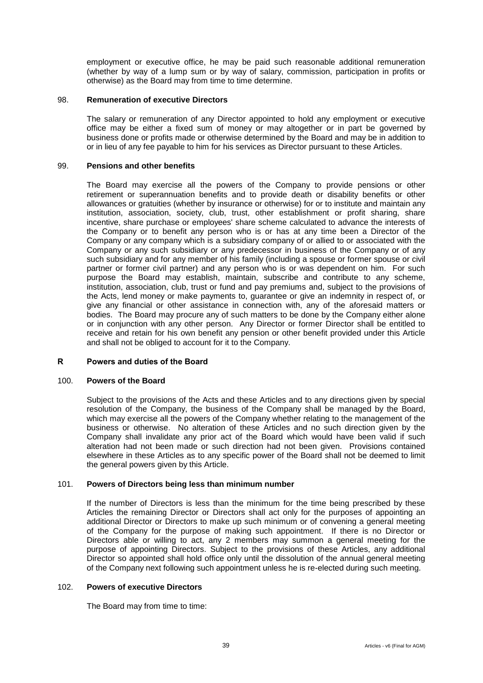employment or executive office, he may be paid such reasonable additional remuneration (whether by way of a lump sum or by way of salary, commission, participation in profits or otherwise) as the Board may from time to time determine.

#### 98. **Remuneration of executive Directors**

The salary or remuneration of any Director appointed to hold any employment or executive office may be either a fixed sum of money or may altogether or in part be governed by business done or profits made or otherwise determined by the Board and may be in addition to or in lieu of any fee payable to him for his services as Director pursuant to these Articles.

#### 99. **Pensions and other benefits**

The Board may exercise all the powers of the Company to provide pensions or other retirement or superannuation benefits and to provide death or disability benefits or other allowances or gratuities (whether by insurance or otherwise) for or to institute and maintain any institution, association, society, club, trust, other establishment or profit sharing, share incentive, share purchase or employees' share scheme calculated to advance the interests of the Company or to benefit any person who is or has at any time been a Director of the Company or any company which is a subsidiary company of or allied to or associated with the Company or any such subsidiary or any predecessor in business of the Company or of any such subsidiary and for any member of his family (including a spouse or former spouse or civil partner or former civil partner) and any person who is or was dependent on him. For such purpose the Board may establish, maintain, subscribe and contribute to any scheme, institution, association, club, trust or fund and pay premiums and, subject to the provisions of the Acts, lend money or make payments to, guarantee or give an indemnity in respect of, or give any financial or other assistance in connection with, any of the aforesaid matters or bodies. The Board may procure any of such matters to be done by the Company either alone or in conjunction with any other person. Any Director or former Director shall be entitled to receive and retain for his own benefit any pension or other benefit provided under this Article and shall not be obliged to account for it to the Company.

## **R Powers and duties of the Board**

#### 100. **Powers of the Board**

Subject to the provisions of the Acts and these Articles and to any directions given by special resolution of the Company, the business of the Company shall be managed by the Board, which may exercise all the powers of the Company whether relating to the management of the business or otherwise. No alteration of these Articles and no such direction given by the Company shall invalidate any prior act of the Board which would have been valid if such alteration had not been made or such direction had not been given. Provisions contained elsewhere in these Articles as to any specific power of the Board shall not be deemed to limit the general powers given by this Article.

## 101. **Powers of Directors being less than minimum number**

If the number of Directors is less than the minimum for the time being prescribed by these Articles the remaining Director or Directors shall act only for the purposes of appointing an additional Director or Directors to make up such minimum or of convening a general meeting of the Company for the purpose of making such appointment. If there is no Director or Directors able or willing to act, any 2 members may summon a general meeting for the purpose of appointing Directors. Subject to the provisions of these Articles, any additional Director so appointed shall hold office only until the dissolution of the annual general meeting of the Company next following such appointment unless he is re-elected during such meeting.

#### 102. **Powers of executive Directors**

The Board may from time to time: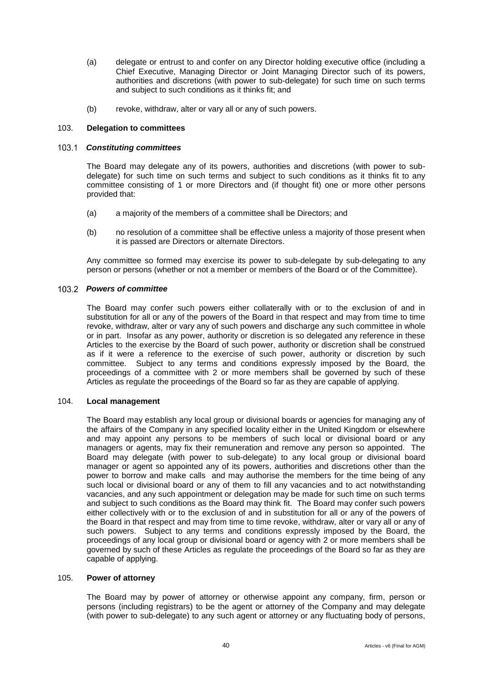- (a) delegate or entrust to and confer on any Director holding executive office (including a Chief Executive, Managing Director or Joint Managing Director such of its powers, authorities and discretions (with power to sub-delegate) for such time on such terms and subject to such conditions as it thinks fit; and
- (b) revoke, withdraw, alter or vary all or any of such powers.

## 103. **Delegation to committees**

## *Constituting committees*

The Board may delegate any of its powers, authorities and discretions (with power to subdelegate) for such time on such terms and subject to such conditions as it thinks fit to any committee consisting of 1 or more Directors and (if thought fit) one or more other persons provided that:

- (a) a majority of the members of a committee shall be Directors; and
- (b) no resolution of a committee shall be effective unless a majority of those present when it is passed are Directors or alternate Directors.

Any committee so formed may exercise its power to sub-delegate by sub-delegating to any person or persons (whether or not a member or members of the Board or of the Committee).

## *Powers of committee*

The Board may confer such powers either collaterally with or to the exclusion of and in substitution for all or any of the powers of the Board in that respect and may from time to time revoke, withdraw, alter or vary any of such powers and discharge any such committee in whole or in part. Insofar as any power, authority or discretion is so delegated any reference in these Articles to the exercise by the Board of such power, authority or discretion shall be construed as if it were a reference to the exercise of such power, authority or discretion by such committee. Subject to any terms and conditions expressly imposed by the Board, the proceedings of a committee with 2 or more members shall be governed by such of these Articles as regulate the proceedings of the Board so far as they are capable of applying.

#### 104. **Local management**

The Board may establish any local group or divisional boards or agencies for managing any of the affairs of the Company in any specified locality either in the United Kingdom or elsewhere and may appoint any persons to be members of such local or divisional board or any managers or agents, may fix their remuneration and remove any person so appointed. The Board may delegate (with power to sub-delegate) to any local group or divisional board manager or agent so appointed any of its powers, authorities and discretions other than the power to borrow and make calls and may authorise the members for the time being of any such local or divisional board or any of them to fill any vacancies and to act notwithstanding vacancies, and any such appointment or delegation may be made for such time on such terms and subject to such conditions as the Board may think fit. The Board may confer such powers either collectively with or to the exclusion of and in substitution for all or any of the powers of the Board in that respect and may from time to time revoke, withdraw, alter or vary all or any of such powers. Subject to any terms and conditions expressly imposed by the Board, the proceedings of any local group or divisional board or agency with 2 or more members shall be governed by such of these Articles as regulate the proceedings of the Board so far as they are capable of applying.

#### 105. **Power of attorney**

The Board may by power of attorney or otherwise appoint any company, firm, person or persons (including registrars) to be the agent or attorney of the Company and may delegate (with power to sub-delegate) to any such agent or attorney or any fluctuating body of persons,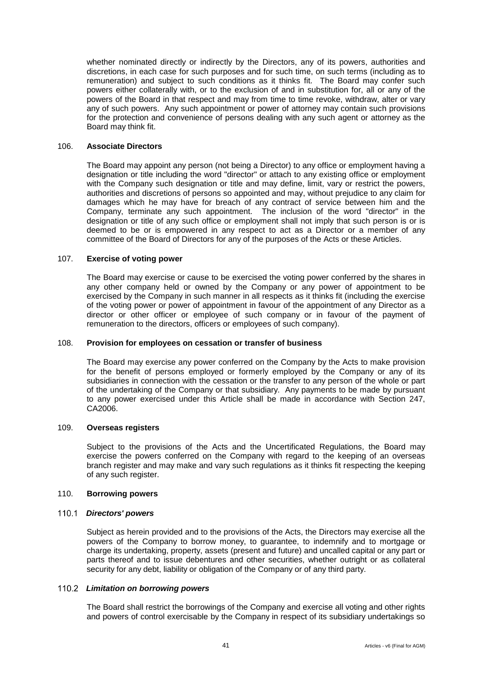whether nominated directly or indirectly by the Directors, any of its powers, authorities and discretions, in each case for such purposes and for such time, on such terms (including as to remuneration) and subject to such conditions as it thinks fit. The Board may confer such powers either collaterally with, or to the exclusion of and in substitution for, all or any of the powers of the Board in that respect and may from time to time revoke, withdraw, alter or vary any of such powers. Any such appointment or power of attorney may contain such provisions for the protection and convenience of persons dealing with any such agent or attorney as the Board may think fit.

## 106. **Associate Directors**

The Board may appoint any person (not being a Director) to any office or employment having a designation or title including the word "director" or attach to any existing office or employment with the Company such designation or title and may define, limit, vary or restrict the powers, authorities and discretions of persons so appointed and may, without prejudice to any claim for damages which he may have for breach of any contract of service between him and the Company, terminate any such appointment. The inclusion of the word "director" in the designation or title of any such office or employment shall not imply that such person is or is deemed to be or is empowered in any respect to act as a Director or a member of any committee of the Board of Directors for any of the purposes of the Acts or these Articles.

#### 107. **Exercise of voting power**

The Board may exercise or cause to be exercised the voting power conferred by the shares in any other company held or owned by the Company or any power of appointment to be exercised by the Company in such manner in all respects as it thinks fit (including the exercise of the voting power or power of appointment in favour of the appointment of any Director as a director or other officer or employee of such company or in favour of the payment of remuneration to the directors, officers or employees of such company).

#### 108. **Provision for employees on cessation or transfer of business**

The Board may exercise any power conferred on the Company by the Acts to make provision for the benefit of persons employed or formerly employed by the Company or any of its subsidiaries in connection with the cessation or the transfer to any person of the whole or part of the undertaking of the Company or that subsidiary. Any payments to be made by pursuant to any power exercised under this Article shall be made in accordance with Section 247, CA2006.

#### 109. **Overseas registers**

Subject to the provisions of the Acts and the Uncertificated Regulations, the Board may exercise the powers conferred on the Company with regard to the keeping of an overseas branch register and may make and vary such regulations as it thinks fit respecting the keeping of any such register.

#### <span id="page-45-0"></span>110. **Borrowing powers**

#### *Directors' powers*

Subject as herein provided and to the provisions of the Acts, the Directors may exercise all the powers of the Company to borrow money, to guarantee, to indemnify and to mortgage or charge its undertaking, property, assets (present and future) and uncalled capital or any part or parts thereof and to issue debentures and other securities, whether outright or as collateral security for any debt, liability or obligation of the Company or of any third party.

#### <span id="page-45-1"></span>*Limitation on borrowing powers*

The Board shall restrict the borrowings of the Company and exercise all voting and other rights and powers of control exercisable by the Company in respect of its subsidiary undertakings so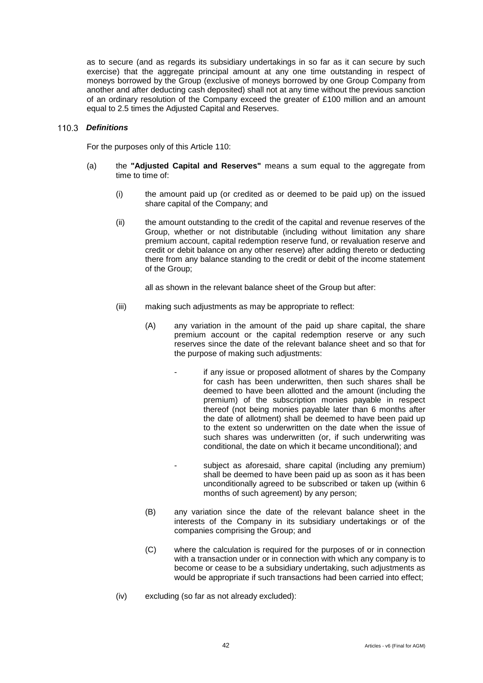as to secure (and as regards its subsidiary undertakings in so far as it can secure by such exercise) that the aggregate principal amount at any one time outstanding in respect of moneys borrowed by the Group (exclusive of moneys borrowed by one Group Company from another and after deducting cash deposited) shall not at any time without the previous sanction of an ordinary resolution of the Company exceed the greater of £100 million and an amount equal to 2.5 times the Adjusted Capital and Reserves.

## *Definitions*

For the purposes only of this Article [110:](#page-45-0)

- (a) the **"Adjusted Capital and Reserves"** means a sum equal to the aggregate from time to time of:
	- (i) the amount paid up (or credited as or deemed to be paid up) on the issued share capital of the Company; and
	- (ii) the amount outstanding to the credit of the capital and revenue reserves of the Group, whether or not distributable (including without limitation any share premium account, capital redemption reserve fund, or revaluation reserve and credit or debit balance on any other reserve) after adding thereto or deducting there from any balance standing to the credit or debit of the income statement of the Group;

all as shown in the relevant balance sheet of the Group but after:

- (iii) making such adjustments as may be appropriate to reflect:
	- (A) any variation in the amount of the paid up share capital, the share premium account or the capital redemption reserve or any such reserves since the date of the relevant balance sheet and so that for the purpose of making such adjustments:
		- if any issue or proposed allotment of shares by the Company for cash has been underwritten, then such shares shall be deemed to have been allotted and the amount (including the premium) of the subscription monies payable in respect thereof (not being monies payable later than 6 months after the date of allotment) shall be deemed to have been paid up to the extent so underwritten on the date when the issue of such shares was underwritten (or, if such underwriting was conditional, the date on which it became unconditional); and
		- subject as aforesaid, share capital (including any premium) shall be deemed to have been paid up as soon as it has been unconditionally agreed to be subscribed or taken up (within 6 months of such agreement) by any person;
	- (B) any variation since the date of the relevant balance sheet in the interests of the Company in its subsidiary undertakings or of the companies comprising the Group; and
	- (C) where the calculation is required for the purposes of or in connection with a transaction under or in connection with which any company is to become or cease to be a subsidiary undertaking, such adjustments as would be appropriate if such transactions had been carried into effect;
- (iv) excluding (so far as not already excluded):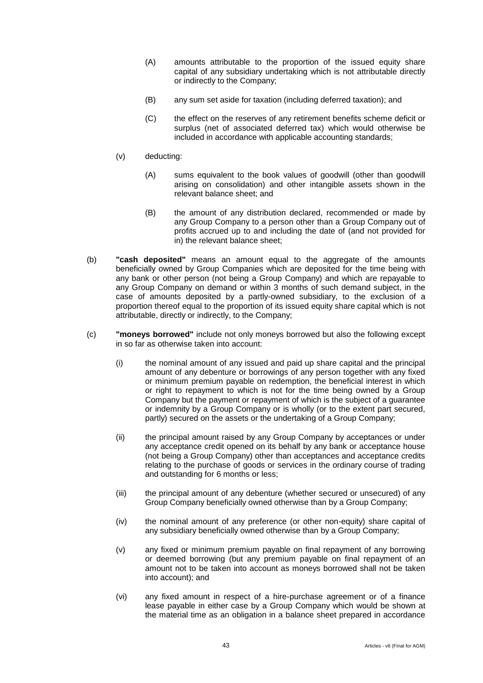- (A) amounts attributable to the proportion of the issued equity share capital of any subsidiary undertaking which is not attributable directly or indirectly to the Company;
- (B) any sum set aside for taxation (including deferred taxation); and
- (C) the effect on the reserves of any retirement benefits scheme deficit or surplus (net of associated deferred tax) which would otherwise be included in accordance with applicable accounting standards;
- (v) deducting:
	- (A) sums equivalent to the book values of goodwill (other than goodwill arising on consolidation) and other intangible assets shown in the relevant balance sheet; and
	- (B) the amount of any distribution declared, recommended or made by any Group Company to a person other than a Group Company out of profits accrued up to and including the date of (and not provided for in) the relevant balance sheet;
- (b) **"cash deposited"** means an amount equal to the aggregate of the amounts beneficially owned by Group Companies which are deposited for the time being with any bank or other person (not being a Group Company) and which are repayable to any Group Company on demand or within 3 months of such demand subject, in the case of amounts deposited by a partly-owned subsidiary, to the exclusion of a proportion thereof equal to the proportion of its issued equity share capital which is not attributable, directly or indirectly, to the Company;
- (c) **"moneys borrowed"** include not only moneys borrowed but also the following except in so far as otherwise taken into account:
	- (i) the nominal amount of any issued and paid up share capital and the principal amount of any debenture or borrowings of any person together with any fixed or minimum premium payable on redemption, the beneficial interest in which or right to repayment to which is not for the time being owned by a Group Company but the payment or repayment of which is the subject of a guarantee or indemnity by a Group Company or is wholly (or to the extent part secured, partly) secured on the assets or the undertaking of a Group Company;
	- (ii) the principal amount raised by any Group Company by acceptances or under any acceptance credit opened on its behalf by any bank or acceptance house (not being a Group Company) other than acceptances and acceptance credits relating to the purchase of goods or services in the ordinary course of trading and outstanding for 6 months or less;
	- (iii) the principal amount of any debenture (whether secured or unsecured) of any Group Company beneficially owned otherwise than by a Group Company;
	- (iv) the nominal amount of any preference (or other non-equity) share capital of any subsidiary beneficially owned otherwise than by a Group Company;
	- (v) any fixed or minimum premium payable on final repayment of any borrowing or deemed borrowing (but any premium payable on final repayment of an amount not to be taken into account as moneys borrowed shall not be taken into account); and
	- (vi) any fixed amount in respect of a hire-purchase agreement or of a finance lease payable in either case by a Group Company which would be shown at the material time as an obligation in a balance sheet prepared in accordance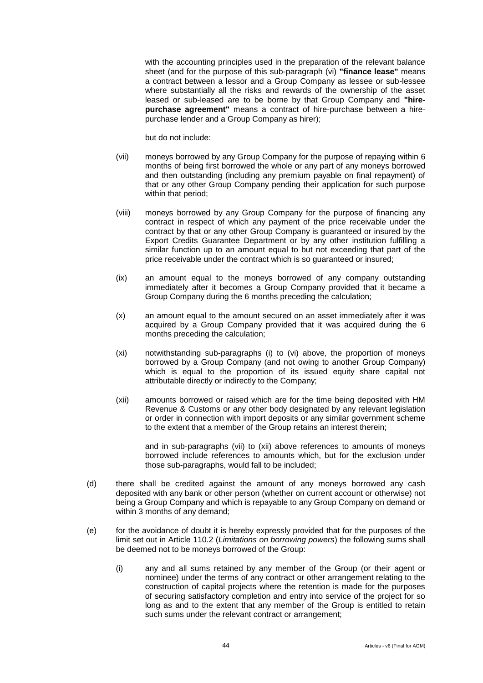with the accounting principles used in the preparation of the relevant balance sheet (and for the purpose of this sub-paragraph (vi) **"finance lease"** means a contract between a lessor and a Group Company as lessee or sub-lessee where substantially all the risks and rewards of the ownership of the asset leased or sub-leased are to be borne by that Group Company and **"hirepurchase agreement"** means a contract of hire-purchase between a hirepurchase lender and a Group Company as hirer);

but do not include:

- (vii) moneys borrowed by any Group Company for the purpose of repaying within 6 months of being first borrowed the whole or any part of any moneys borrowed and then outstanding (including any premium payable on final repayment) of that or any other Group Company pending their application for such purpose within that period;
- (viii) moneys borrowed by any Group Company for the purpose of financing any contract in respect of which any payment of the price receivable under the contract by that or any other Group Company is guaranteed or insured by the Export Credits Guarantee Department or by any other institution fulfilling a similar function up to an amount equal to but not exceeding that part of the price receivable under the contract which is so guaranteed or insured;
- (ix) an amount equal to the moneys borrowed of any company outstanding immediately after it becomes a Group Company provided that it became a Group Company during the 6 months preceding the calculation;
- (x) an amount equal to the amount secured on an asset immediately after it was acquired by a Group Company provided that it was acquired during the 6 months preceding the calculation;
- (xi) notwithstanding sub-paragraphs (i) to (vi) above, the proportion of moneys borrowed by a Group Company (and not owing to another Group Company) which is equal to the proportion of its issued equity share capital not attributable directly or indirectly to the Company;
- (xii) amounts borrowed or raised which are for the time being deposited with HM Revenue & Customs or any other body designated by any relevant legislation or order in connection with import deposits or any similar government scheme to the extent that a member of the Group retains an interest therein;

and in sub-paragraphs (vii) to (xii) above references to amounts of moneys borrowed include references to amounts which, but for the exclusion under those sub-paragraphs, would fall to be included;

- (d) there shall be credited against the amount of any moneys borrowed any cash deposited with any bank or other person (whether on current account or otherwise) not being a Group Company and which is repayable to any Group Company on demand or within 3 months of any demand;
- (e) for the avoidance of doubt it is hereby expressly provided that for the purposes of the limit set out in Article [110.2](#page-45-1) (*Limitations on borrowing powers*) the following sums shall be deemed not to be moneys borrowed of the Group:
	- (i) any and all sums retained by any member of the Group (or their agent or nominee) under the terms of any contract or other arrangement relating to the construction of capital projects where the retention is made for the purposes of securing satisfactory completion and entry into service of the project for so long as and to the extent that any member of the Group is entitled to retain such sums under the relevant contract or arrangement;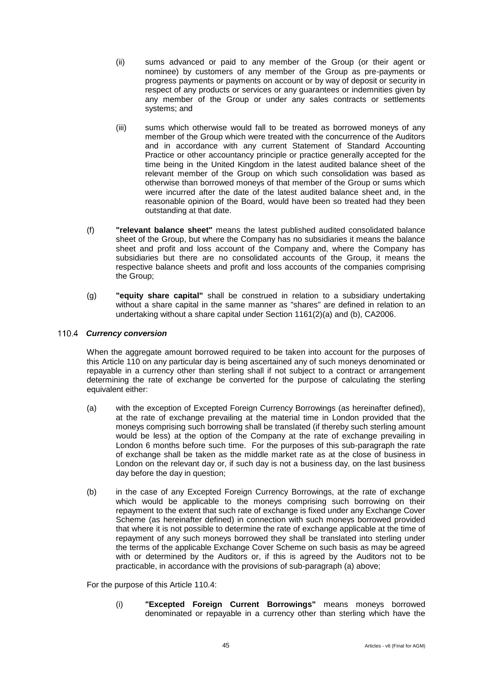- (ii) sums advanced or paid to any member of the Group (or their agent or nominee) by customers of any member of the Group as pre-payments or progress payments or payments on account or by way of deposit or security in respect of any products or services or any guarantees or indemnities given by any member of the Group or under any sales contracts or settlements systems; and
- (iii) sums which otherwise would fall to be treated as borrowed moneys of any member of the Group which were treated with the concurrence of the Auditors and in accordance with any current Statement of Standard Accounting Practice or other accountancy principle or practice generally accepted for the time being in the United Kingdom in the latest audited balance sheet of the relevant member of the Group on which such consolidation was based as otherwise than borrowed moneys of that member of the Group or sums which were incurred after the date of the latest audited balance sheet and, in the reasonable opinion of the Board, would have been so treated had they been outstanding at that date.
- (f) **"relevant balance sheet"** means the latest published audited consolidated balance sheet of the Group, but where the Company has no subsidiaries it means the balance sheet and profit and loss account of the Company and, where the Company has subsidiaries but there are no consolidated accounts of the Group, it means the respective balance sheets and profit and loss accounts of the companies comprising the Group;
- (g) **"equity share capital"** shall be construed in relation to a subsidiary undertaking without a share capital in the same manner as "shares" are defined in relation to an undertaking without a share capital under Section 1161(2)(a) and (b), CA2006.

# <span id="page-49-0"></span>*Currency conversion*

When the aggregate amount borrowed required to be taken into account for the purposes of this Article [110](#page-45-0) on any particular day is being ascertained any of such moneys denominated or repayable in a currency other than sterling shall if not subject to a contract or arrangement determining the rate of exchange be converted for the purpose of calculating the sterling equivalent either:

- (a) with the exception of Excepted Foreign Currency Borrowings (as hereinafter defined), at the rate of exchange prevailing at the material time in London provided that the moneys comprising such borrowing shall be translated (if thereby such sterling amount would be less) at the option of the Company at the rate of exchange prevailing in London 6 months before such time. For the purposes of this sub-paragraph the rate of exchange shall be taken as the middle market rate as at the close of business in London on the relevant day or, if such day is not a business day, on the last business day before the day in question;
- (b) in the case of any Excepted Foreign Currency Borrowings, at the rate of exchange which would be applicable to the moneys comprising such borrowing on their repayment to the extent that such rate of exchange is fixed under any Exchange Cover Scheme (as hereinafter defined) in connection with such moneys borrowed provided that where it is not possible to determine the rate of exchange applicable at the time of repayment of any such moneys borrowed they shall be translated into sterling under the terms of the applicable Exchange Cover Scheme on such basis as may be agreed with or determined by the Auditors or, if this is agreed by the Auditors not to be practicable, in accordance with the provisions of sub-paragraph (a) above;

For the purpose of this Article [110.4:](#page-49-0)

(i) **"Excepted Foreign Current Borrowings"** means moneys borrowed denominated or repayable in a currency other than sterling which have the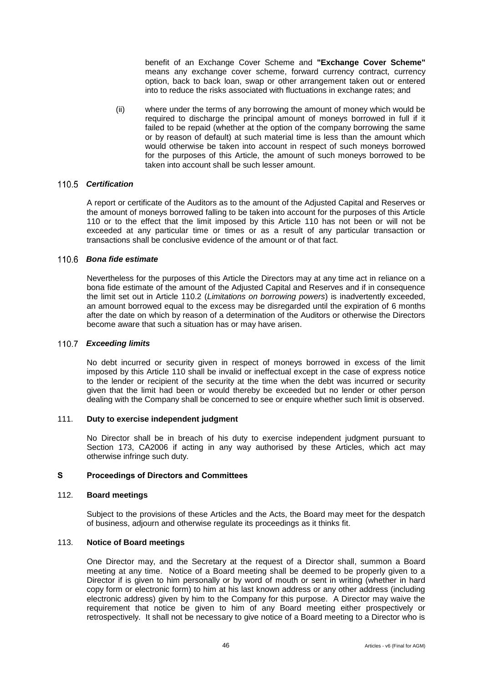benefit of an Exchange Cover Scheme and **"Exchange Cover Scheme"**  means any exchange cover scheme, forward currency contract, currency option, back to back loan, swap or other arrangement taken out or entered into to reduce the risks associated with fluctuations in exchange rates; and

(ii) where under the terms of any borrowing the amount of money which would be required to discharge the principal amount of moneys borrowed in full if it failed to be repaid (whether at the option of the company borrowing the same or by reason of default) at such material time is less than the amount which would otherwise be taken into account in respect of such moneys borrowed for the purposes of this Article, the amount of such moneys borrowed to be taken into account shall be such lesser amount.

## *Certification*

A report or certificate of the Auditors as to the amount of the Adjusted Capital and Reserves or the amount of moneys borrowed falling to be taken into account for the purposes of this Article [110](#page-45-0) or to the effect that the limit imposed by this Article [110](#page-45-0) has not been or will not be exceeded at any particular time or times or as a result of any particular transaction or transactions shall be conclusive evidence of the amount or of that fact.

# *Bona fide estimate*

Nevertheless for the purposes of this Article the Directors may at any time act in reliance on a bona fide estimate of the amount of the Adjusted Capital and Reserves and if in consequence the limit set out in Article [110.2](#page-45-1) (*Limitations on borrowing powers*) is inadvertently exceeded, an amount borrowed equal to the excess may be disregarded until the expiration of 6 months after the date on which by reason of a determination of the Auditors or otherwise the Directors become aware that such a situation has or may have arisen.

## *Exceeding limits*

No debt incurred or security given in respect of moneys borrowed in excess of the limit imposed by this Article [110](#page-45-0) shall be invalid or ineffectual except in the case of express notice to the lender or recipient of the security at the time when the debt was incurred or security given that the limit had been or would thereby be exceeded but no lender or other person dealing with the Company shall be concerned to see or enquire whether such limit is observed.

#### 111. **Duty to exercise independent judgment**

No Director shall be in breach of his duty to exercise independent judgment pursuant to Section 173, CA2006 if acting in any way authorised by these Articles, which act may otherwise infringe such duty.

## **S Proceedings of Directors and Committees**

#### 112. **Board meetings**

Subject to the provisions of these Articles and the Acts, the Board may meet for the despatch of business, adjourn and otherwise regulate its proceedings as it thinks fit.

#### 113. **Notice of Board meetings**

One Director may, and the Secretary at the request of a Director shall, summon a Board meeting at any time. Notice of a Board meeting shall be deemed to be properly given to a Director if is given to him personally or by word of mouth or sent in writing (whether in hard copy form or electronic form) to him at his last known address or any other address (including electronic address) given by him to the Company for this purpose. A Director may waive the requirement that notice be given to him of any Board meeting either prospectively or retrospectively. It shall not be necessary to give notice of a Board meeting to a Director who is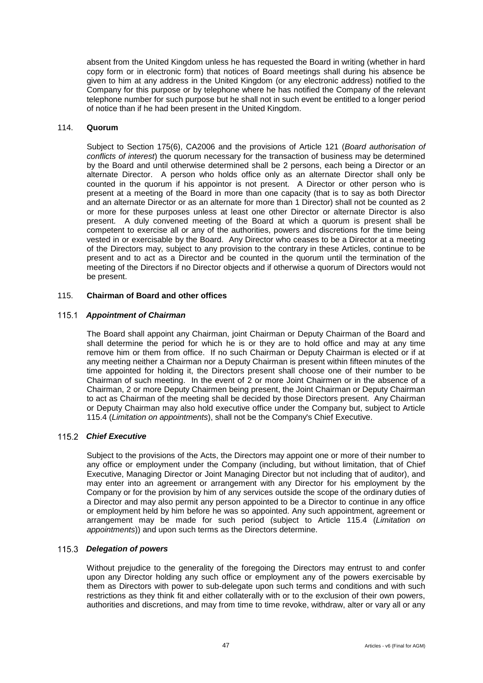absent from the United Kingdom unless he has requested the Board in writing (whether in hard copy form or in electronic form) that notices of Board meetings shall during his absence be given to him at any address in the United Kingdom (or any electronic address) notified to the Company for this purpose or by telephone where he has notified the Company of the relevant telephone number for such purpose but he shall not in such event be entitled to a longer period of notice than if he had been present in the United Kingdom.

#### 114. **Quorum**

Subject to Section 175(6), CA2006 and the provisions of Article [121](#page-53-0) (*Board authorisation of conflicts of interest*) the quorum necessary for the transaction of business may be determined by the Board and until otherwise determined shall be 2 persons, each being a Director or an alternate Director. A person who holds office only as an alternate Director shall only be counted in the quorum if his appointor is not present. A Director or other person who is present at a meeting of the Board in more than one capacity (that is to say as both Director and an alternate Director or as an alternate for more than 1 Director) shall not be counted as 2 or more for these purposes unless at least one other Director or alternate Director is also present. A duly convened meeting of the Board at which a quorum is present shall be competent to exercise all or any of the authorities, powers and discretions for the time being vested in or exercisable by the Board. Any Director who ceases to be a Director at a meeting of the Directors may, subject to any provision to the contrary in these Articles, continue to be present and to act as a Director and be counted in the quorum until the termination of the meeting of the Directors if no Director objects and if otherwise a quorum of Directors would not be present.

## 115. **Chairman of Board and other offices**

## *Appointment of Chairman*

The Board shall appoint any Chairman, joint Chairman or Deputy Chairman of the Board and shall determine the period for which he is or they are to hold office and may at any time remove him or them from office. If no such Chairman or Deputy Chairman is elected or if at any meeting neither a Chairman nor a Deputy Chairman is present within fifteen minutes of the time appointed for holding it, the Directors present shall choose one of their number to be Chairman of such meeting. In the event of 2 or more Joint Chairmen or in the absence of a Chairman, 2 or more Deputy Chairmen being present, the Joint Chairman or Deputy Chairman to act as Chairman of the meeting shall be decided by those Directors present. Any Chairman or Deputy Chairman may also hold executive office under the Company but, subject to Article [115.4](#page-52-0) (*Limitation on appointments*), shall not be the Company's Chief Executive.

### *Chief Executive*

Subject to the provisions of the Acts, the Directors may appoint one or more of their number to any office or employment under the Company (including, but without limitation, that of Chief Executive, Managing Director or Joint Managing Director but not including that of auditor), and may enter into an agreement or arrangement with any Director for his employment by the Company or for the provision by him of any services outside the scope of the ordinary duties of a Director and may also permit any person appointed to be a Director to continue in any office or employment held by him before he was so appointed. Any such appointment, agreement or arrangement may be made for such period (subject to Article [115.4](#page-52-0) (*Limitation on appointments*)) and upon such terms as the Directors determine.

#### *Delegation of powers*

Without prejudice to the generality of the foregoing the Directors may entrust to and confer upon any Director holding any such office or employment any of the powers exercisable by them as Directors with power to sub-delegate upon such terms and conditions and with such restrictions as they think fit and either collaterally with or to the exclusion of their own powers, authorities and discretions, and may from time to time revoke, withdraw, alter or vary all or any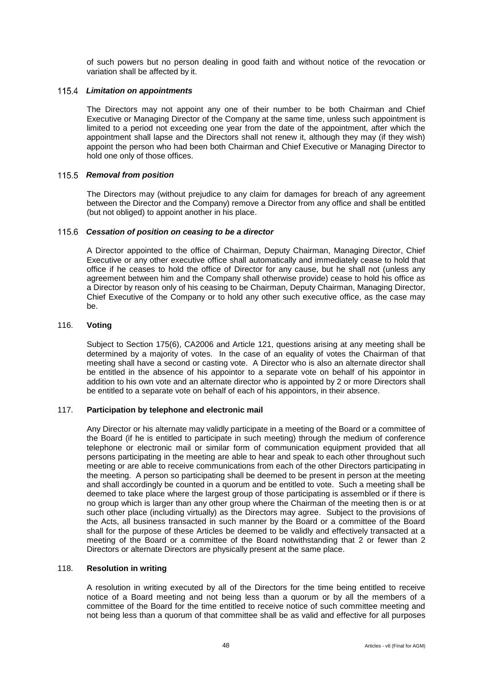of such powers but no person dealing in good faith and without notice of the revocation or variation shall be affected by it.

## <span id="page-52-0"></span>*Limitation on appointments*

The Directors may not appoint any one of their number to be both Chairman and Chief Executive or Managing Director of the Company at the same time, unless such appointment is limited to a period not exceeding one year from the date of the appointment, after which the appointment shall lapse and the Directors shall not renew it, although they may (if they wish) appoint the person who had been both Chairman and Chief Executive or Managing Director to hold one only of those offices.

## 115.5 Removal from position

The Directors may (without prejudice to any claim for damages for breach of any agreement between the Director and the Company) remove a Director from any office and shall be entitled (but not obliged) to appoint another in his place.

#### *Cessation of position on ceasing to be a director*

A Director appointed to the office of Chairman, Deputy Chairman, Managing Director, Chief Executive or any other executive office shall automatically and immediately cease to hold that office if he ceases to hold the office of Director for any cause, but he shall not (unless any agreement between him and the Company shall otherwise provide) cease to hold his office as a Director by reason only of his ceasing to be Chairman, Deputy Chairman, Managing Director, Chief Executive of the Company or to hold any other such executive office, as the case may be.

#### 116. **Voting**

Subject to Section 175(6), CA2006 and Article [121,](#page-53-0) questions arising at any meeting shall be determined by a majority of votes. In the case of an equality of votes the Chairman of that meeting shall have a second or casting vote. A Director who is also an alternate director shall be entitled in the absence of his appointor to a separate vote on behalf of his appointor in addition to his own vote and an alternate director who is appointed by 2 or more Directors shall be entitled to a separate vote on behalf of each of his appointors, in their absence.

#### 117. **Participation by telephone and electronic mail**

Any Director or his alternate may validly participate in a meeting of the Board or a committee of the Board (if he is entitled to participate in such meeting) through the medium of conference telephone or electronic mail or similar form of communication equipment provided that all persons participating in the meeting are able to hear and speak to each other throughout such meeting or are able to receive communications from each of the other Directors participating in the meeting. A person so participating shall be deemed to be present in person at the meeting and shall accordingly be counted in a quorum and be entitled to vote. Such a meeting shall be deemed to take place where the largest group of those participating is assembled or if there is no group which is larger than any other group where the Chairman of the meeting then is or at such other place (including virtually) as the Directors may agree. Subject to the provisions of the Acts, all business transacted in such manner by the Board or a committee of the Board shall for the purpose of these Articles be deemed to be validly and effectively transacted at a meeting of the Board or a committee of the Board notwithstanding that 2 or fewer than 2 Directors or alternate Directors are physically present at the same place.

## 118. **Resolution in writing**

A resolution in writing executed by all of the Directors for the time being entitled to receive notice of a Board meeting and not being less than a quorum or by all the members of a committee of the Board for the time entitled to receive notice of such committee meeting and not being less than a quorum of that committee shall be as valid and effective for all purposes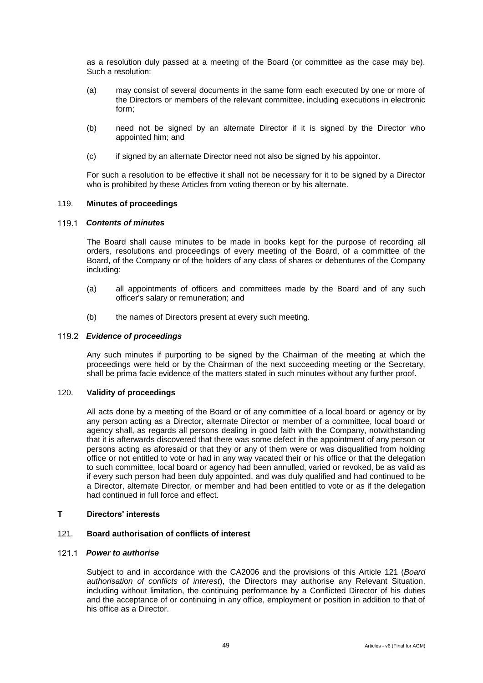as a resolution duly passed at a meeting of the Board (or committee as the case may be). Such a resolution:

- (a) may consist of several documents in the same form each executed by one or more of the Directors or members of the relevant committee, including executions in electronic form;
- (b) need not be signed by an alternate Director if it is signed by the Director who appointed him; and
- (c) if signed by an alternate Director need not also be signed by his appointor.

For such a resolution to be effective it shall not be necessary for it to be signed by a Director who is prohibited by these Articles from voting thereon or by his alternate.

## 119. **Minutes of proceedings**

#### *Contents of minutes*

The Board shall cause minutes to be made in books kept for the purpose of recording all orders, resolutions and proceedings of every meeting of the Board, of a committee of the Board, of the Company or of the holders of any class of shares or debentures of the Company including:

- (a) all appointments of officers and committees made by the Board and of any such officer's salary or remuneration; and
- (b) the names of Directors present at every such meeting.

#### *Evidence of proceedings*

Any such minutes if purporting to be signed by the Chairman of the meeting at which the proceedings were held or by the Chairman of the next succeeding meeting or the Secretary, shall be prima facie evidence of the matters stated in such minutes without any further proof.

#### 120. **Validity of proceedings**

All acts done by a meeting of the Board or of any committee of a local board or agency or by any person acting as a Director, alternate Director or member of a committee, local board or agency shall, as regards all persons dealing in good faith with the Company, notwithstanding that it is afterwards discovered that there was some defect in the appointment of any person or persons acting as aforesaid or that they or any of them were or was disqualified from holding office or not entitled to vote or had in any way vacated their or his office or that the delegation to such committee, local board or agency had been annulled, varied or revoked, be as valid as if every such person had been duly appointed, and was duly qualified and had continued to be a Director, alternate Director, or member and had been entitled to vote or as if the delegation had continued in full force and effect.

## **T Directors' interests**

#### <span id="page-53-0"></span>121. **Board authorisation of conflicts of interest**

#### <span id="page-53-1"></span>*Power to authorise*

Subject to and in accordance with the CA2006 and the provisions of this Article [121](#page-53-0) (*Board authorisation of conflicts of interest*), the Directors may authorise any Relevant Situation, including without limitation, the continuing performance by a Conflicted Director of his duties and the acceptance of or continuing in any office, employment or position in addition to that of his office as a Director.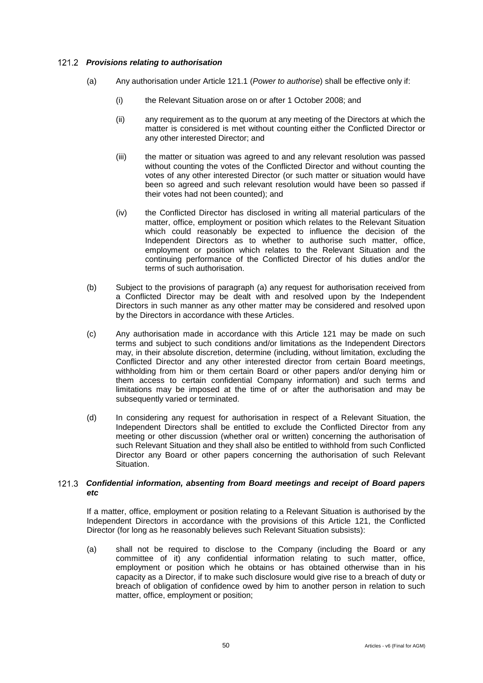## *Provisions relating to authorisation*

- (a) Any authorisation under Article [121.1](#page-53-1) (*Power to authorise*) shall be effective only if:
	- (i) the Relevant Situation arose on or after 1 October 2008; and
	- (ii) any requirement as to the quorum at any meeting of the Directors at which the matter is considered is met without counting either the Conflicted Director or any other interested Director; and
	- (iii) the matter or situation was agreed to and any relevant resolution was passed without counting the votes of the Conflicted Director and without counting the votes of any other interested Director (or such matter or situation would have been so agreed and such relevant resolution would have been so passed if their votes had not been counted); and
	- (iv) the Conflicted Director has disclosed in writing all material particulars of the matter, office, employment or position which relates to the Relevant Situation which could reasonably be expected to influence the decision of the Independent Directors as to whether to authorise such matter, office, employment or position which relates to the Relevant Situation and the continuing performance of the Conflicted Director of his duties and/or the terms of such authorisation.
- (b) Subject to the provisions of paragraph (a) any request for authorisation received from a Conflicted Director may be dealt with and resolved upon by the Independent Directors in such manner as any other matter may be considered and resolved upon by the Directors in accordance with these Articles.
- (c) Any authorisation made in accordance with this Article [121](#page-53-0) may be made on such terms and subject to such conditions and/or limitations as the Independent Directors may, in their absolute discretion, determine (including, without limitation, excluding the Conflicted Director and any other interested director from certain Board meetings, withholding from him or them certain Board or other papers and/or denying him or them access to certain confidential Company information) and such terms and limitations may be imposed at the time of or after the authorisation and may be subsequently varied or terminated.
- (d) In considering any request for authorisation in respect of a Relevant Situation, the Independent Directors shall be entitled to exclude the Conflicted Director from any meeting or other discussion (whether oral or written) concerning the authorisation of such Relevant Situation and they shall also be entitled to withhold from such Conflicted Director any Board or other papers concerning the authorisation of such Relevant Situation.

# <span id="page-54-0"></span>*Confidential information, absenting from Board meetings and receipt of Board papers etc*

If a matter, office, employment or position relating to a Relevant Situation is authorised by the Independent Directors in accordance with the provisions of this Article [121,](#page-53-0) the Conflicted Director (for long as he reasonably believes such Relevant Situation subsists):

(a) shall not be required to disclose to the Company (including the Board or any committee of it) any confidential information relating to such matter, office, employment or position which he obtains or has obtained otherwise than in his capacity as a Director, if to make such disclosure would give rise to a breach of duty or breach of obligation of confidence owed by him to another person in relation to such matter, office, employment or position;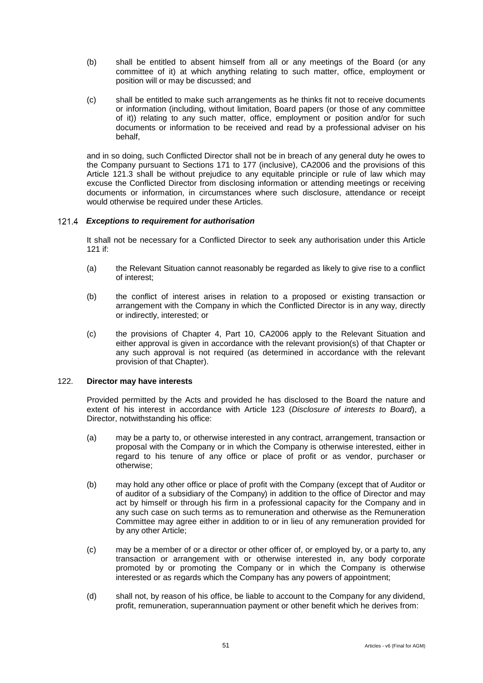- (b) shall be entitled to absent himself from all or any meetings of the Board (or any committee of it) at which anything relating to such matter, office, employment or position will or may be discussed; and
- (c) shall be entitled to make such arrangements as he thinks fit not to receive documents or information (including, without limitation, Board papers (or those of any committee of it)) relating to any such matter, office, employment or position and/or for such documents or information to be received and read by a professional adviser on his behalf,

and in so doing, such Conflicted Director shall not be in breach of any general duty he owes to the Company pursuant to Sections 171 to 177 (inclusive), CA2006 and the provisions of this Article [121.3](#page-54-0) shall be without prejudice to any equitable principle or rule of law which may excuse the Conflicted Director from disclosing information or attending meetings or receiving documents or information, in circumstances where such disclosure, attendance or receipt would otherwise be required under these Articles.

#### *Exceptions to requirement for authorisation*

It shall not be necessary for a Conflicted Director to seek any authorisation under this Article [121](#page-53-0) if:

- (a) the Relevant Situation cannot reasonably be regarded as likely to give rise to a conflict of interest;
- (b) the conflict of interest arises in relation to a proposed or existing transaction or arrangement with the Company in which the Conflicted Director is in any way, directly or indirectly, interested; or
- (c) the provisions of Chapter 4, Part 10, CA2006 apply to the Relevant Situation and either approval is given in accordance with the relevant provision(s) of that Chapter or any such approval is not required (as determined in accordance with the relevant provision of that Chapter).

## <span id="page-55-0"></span>122. **Director may have interests**

Provided permitted by the Acts and provided he has disclosed to the Board the nature and extent of his interest in accordance with Article [123](#page-56-0) (*Disclosure of interests to Board*), a Director, notwithstanding his office:

- (a) may be a party to, or otherwise interested in any contract, arrangement, transaction or proposal with the Company or in which the Company is otherwise interested, either in regard to his tenure of any office or place of profit or as vendor, purchaser or otherwise;
- (b) may hold any other office or place of profit with the Company (except that of Auditor or of auditor of a subsidiary of the Company) in addition to the office of Director and may act by himself or through his firm in a professional capacity for the Company and in any such case on such terms as to remuneration and otherwise as the Remuneration Committee may agree either in addition to or in lieu of any remuneration provided for by any other Article;
- (c) may be a member of or a director or other officer of, or employed by, or a party to, any transaction or arrangement with or otherwise interested in, any body corporate promoted by or promoting the Company or in which the Company is otherwise interested or as regards which the Company has any powers of appointment;
- (d) shall not, by reason of his office, be liable to account to the Company for any dividend, profit, remuneration, superannuation payment or other benefit which he derives from: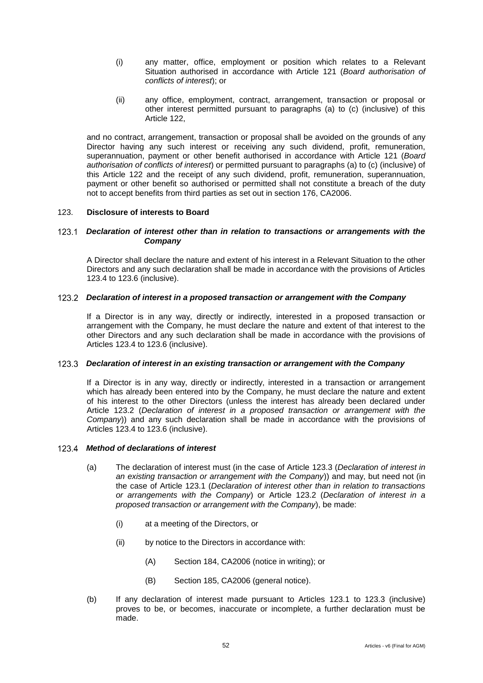- (i) any matter, office, employment or position which relates to a Relevant Situation authorised in accordance with Article [121](#page-53-0) (*Board authorisation of conflicts of interest*); or
- (ii) any office, employment, contract, arrangement, transaction or proposal or other interest permitted pursuant to paragraphs (a) to (c) (inclusive) of this Article [122,](#page-55-0)

and no contract, arrangement, transaction or proposal shall be avoided on the grounds of any Director having any such interest or receiving any such dividend, profit, remuneration, superannuation, payment or other benefit authorised in accordance with Article [121](#page-53-0) (*Board authorisation of conflicts of interest*) or permitted pursuant to paragraphs (a) to (c) (inclusive) of this Article [122](#page-55-0) and the receipt of any such dividend, profit, remuneration, superannuation, payment or other benefit so authorised or permitted shall not constitute a breach of the duty not to accept benefits from third parties as set out in section 176, CA2006.

#### <span id="page-56-0"></span>123. **Disclosure of interests to Board**

## <span id="page-56-4"></span>*Declaration of interest other than in relation to transactions or arrangements with the Company*

A Director shall declare the nature and extent of his interest in a Relevant Situation to the other Directors and any such declaration shall be made in accordance with the provisions of Articles [123.4](#page-56-1) to [123.6](#page-57-0) (inclusive).

## <span id="page-56-2"></span>*Declaration of interest in a proposed transaction or arrangement with the Company*

If a Director is in any way, directly or indirectly, interested in a proposed transaction or arrangement with the Company, he must declare the nature and extent of that interest to the other Directors and any such declaration shall be made in accordance with the provisions of Articles [123.4](#page-56-1) to [123.6](#page-57-0) (inclusive).

#### <span id="page-56-3"></span>*Declaration of interest in an existing transaction or arrangement with the Company*

If a Director is in any way, directly or indirectly, interested in a transaction or arrangement which has already been entered into by the Company, he must declare the nature and extent of his interest to the other Directors (unless the interest has already been declared under Article [123.2](#page-56-2) (*Declaration of interest in a proposed transaction or arrangement with the Company*)) and any such declaration shall be made in accordance with the provisions of Articles [123.4](#page-56-1) to [123.6](#page-57-0) (inclusive).

## <span id="page-56-1"></span>*Method of declarations of interest*

- (a) The declaration of interest must (in the case of Article [123.3](#page-56-3) (*Declaration of interest in an existing transaction or arrangement with the Company*)) and may, but need not (in the case of Article [123.1](#page-56-4) (*Declaration of interest other than in relation to transactions or arrangements with the Company*) or Article [123.2](#page-56-2) (*Declaration of interest in a proposed transaction or arrangement with the Company*), be made:
	- (i) at a meeting of the Directors, or
	- (ii) by notice to the Directors in accordance with:
		- (A) Section 184, CA2006 (notice in writing); or
		- (B) Section 185, CA2006 (general notice).
- (b) If any declaration of interest made pursuant to Articles [123.1](#page-56-4) to [123.3](#page-56-3) (inclusive) proves to be, or becomes, inaccurate or incomplete, a further declaration must be made.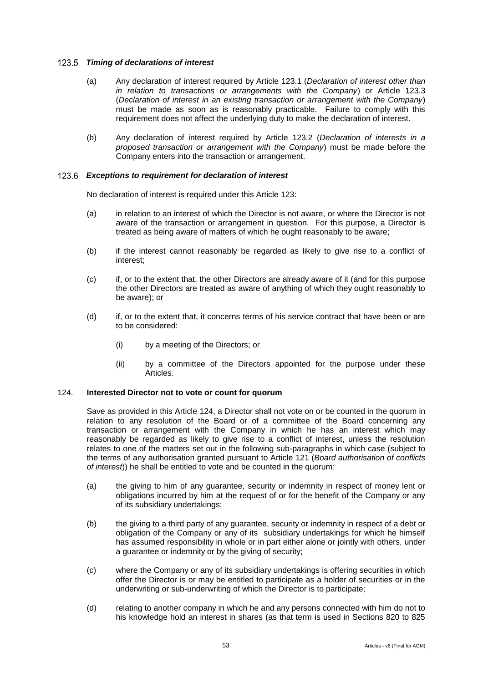#### *Timing of declarations of interest*

- (a) Any declaration of interest required by Article [123.1](#page-56-4) (*Declaration of interest other than in relation to transactions or arrangements with the Company*) or Article [123.3](#page-56-3) (*Declaration of interest in an existing transaction or arrangement with the Company*) must be made as soon as is reasonably practicable. Failure to comply with this requirement does not affect the underlying duty to make the declaration of interest.
- (b) Any declaration of interest required by Article [123.2](#page-56-2) (*Declaration of interests in a proposed transaction or arrangement with the Company*) must be made before the Company enters into the transaction or arrangement.

## <span id="page-57-0"></span>*Exceptions to requirement for declaration of interest*

No declaration of interest is required under this Article [123:](#page-56-0)

- (a) in relation to an interest of which the Director is not aware, or where the Director is not aware of the transaction or arrangement in question. For this purpose, a Director is treated as being aware of matters of which he ought reasonably to be aware;
- (b) if the interest cannot reasonably be regarded as likely to give rise to a conflict of interest;
- (c) if, or to the extent that, the other Directors are already aware of it (and for this purpose the other Directors are treated as aware of anything of which they ought reasonably to be aware); or
- (d) if, or to the extent that, it concerns terms of his service contract that have been or are to be considered:
	- (i) by a meeting of the Directors; or
	- (ii) by a committee of the Directors appointed for the purpose under these Articles.

#### <span id="page-57-1"></span>124. **Interested Director not to vote or count for quorum**

Save as provided in this Article [124,](#page-57-1) a Director shall not vote on or be counted in the quorum in relation to any resolution of the Board or of a committee of the Board concerning any transaction or arrangement with the Company in which he has an interest which may reasonably be regarded as likely to give rise to a conflict of interest, unless the resolution relates to one of the matters set out in the following sub-paragraphs in which case (subject to the terms of any authorisation granted pursuant to Article [121](#page-53-0) (*Board authorisation of conflicts of interest*)) he shall be entitled to vote and be counted in the quorum:

- (a) the giving to him of any guarantee, security or indemnity in respect of money lent or obligations incurred by him at the request of or for the benefit of the Company or any of its subsidiary undertakings;
- (b) the giving to a third party of any guarantee, security or indemnity in respect of a debt or obligation of the Company or any of its subsidiary undertakings for which he himself has assumed responsibility in whole or in part either alone or jointly with others, under a guarantee or indemnity or by the giving of security;
- (c) where the Company or any of its subsidiary undertakings is offering securities in which offer the Director is or may be entitled to participate as a holder of securities or in the underwriting or sub-underwriting of which the Director is to participate;
- (d) relating to another company in which he and any persons connected with him do not to his knowledge hold an interest in shares (as that term is used in Sections 820 to 825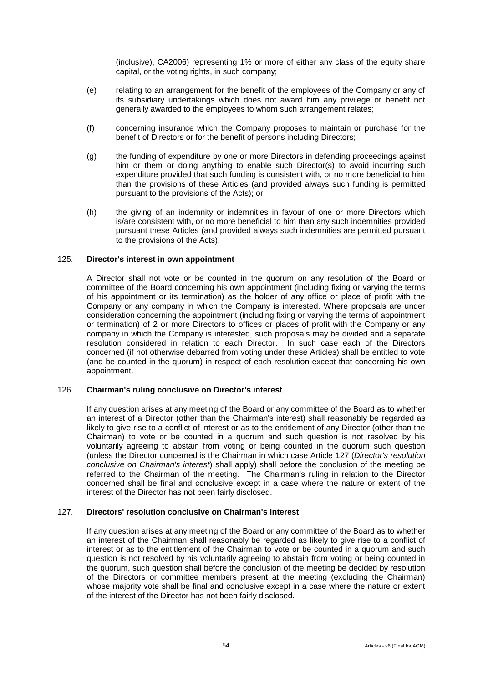(inclusive), CA2006) representing 1% or more of either any class of the equity share capital, or the voting rights, in such company;

- (e) relating to an arrangement for the benefit of the employees of the Company or any of its subsidiary undertakings which does not award him any privilege or benefit not generally awarded to the employees to whom such arrangement relates;
- (f) concerning insurance which the Company proposes to maintain or purchase for the benefit of Directors or for the benefit of persons including Directors;
- (g) the funding of expenditure by one or more Directors in defending proceedings against him or them or doing anything to enable such Director(s) to avoid incurring such expenditure provided that such funding is consistent with, or no more beneficial to him than the provisions of these Articles (and provided always such funding is permitted pursuant to the provisions of the Acts); or
- (h) the giving of an indemnity or indemnities in favour of one or more Directors which is/are consistent with, or no more beneficial to him than any such indemnities provided pursuant these Articles (and provided always such indemnities are permitted pursuant to the provisions of the Acts).

#### 125. **Director's interest in own appointment**

A Director shall not vote or be counted in the quorum on any resolution of the Board or committee of the Board concerning his own appointment (including fixing or varying the terms of his appointment or its termination) as the holder of any office or place of profit with the Company or any company in which the Company is interested. Where proposals are under consideration concerning the appointment (including fixing or varying the terms of appointment or termination) of 2 or more Directors to offices or places of profit with the Company or any company in which the Company is interested, such proposals may be divided and a separate resolution considered in relation to each Director. In such case each of the Directors concerned (if not otherwise debarred from voting under these Articles) shall be entitled to vote (and be counted in the quorum) in respect of each resolution except that concerning his own appointment.

#### 126. **Chairman's ruling conclusive on Director's interest**

If any question arises at any meeting of the Board or any committee of the Board as to whether an interest of a Director (other than the Chairman's interest) shall reasonably be regarded as likely to give rise to a conflict of interest or as to the entitlement of any Director (other than the Chairman) to vote or be counted in a quorum and such question is not resolved by his voluntarily agreeing to abstain from voting or being counted in the quorum such question (unless the Director concerned is the Chairman in which case Article [127](#page-58-0) (*Director's resolution conclusive on Chairman's interest*) shall apply) shall before the conclusion of the meeting be referred to the Chairman of the meeting. The Chairman's ruling in relation to the Director concerned shall be final and conclusive except in a case where the nature or extent of the interest of the Director has not been fairly disclosed.

# <span id="page-58-0"></span>127. **Directors' resolution conclusive on Chairman's interest**

If any question arises at any meeting of the Board or any committee of the Board as to whether an interest of the Chairman shall reasonably be regarded as likely to give rise to a conflict of interest or as to the entitlement of the Chairman to vote or be counted in a quorum and such question is not resolved by his voluntarily agreeing to abstain from voting or being counted in the quorum, such question shall before the conclusion of the meeting be decided by resolution of the Directors or committee members present at the meeting (excluding the Chairman) whose majority vote shall be final and conclusive except in a case where the nature or extent of the interest of the Director has not been fairly disclosed.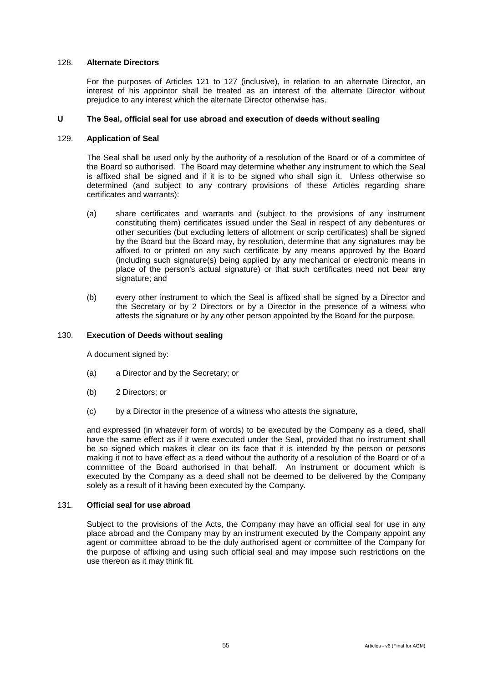## 128. **Alternate Directors**

For the purposes of Articles [121](#page-53-0) to [127](#page-58-0) (inclusive), in relation to an alternate Director, an interest of his appointor shall be treated as an interest of the alternate Director without prejudice to any interest which the alternate Director otherwise has.

## **U The Seal, official seal for use abroad and execution of deeds without sealing**

## 129. **Application of Seal**

The Seal shall be used only by the authority of a resolution of the Board or of a committee of the Board so authorised. The Board may determine whether any instrument to which the Seal is affixed shall be signed and if it is to be signed who shall sign it. Unless otherwise so determined (and subject to any contrary provisions of these Articles regarding share certificates and warrants):

- (a) share certificates and warrants and (subject to the provisions of any instrument constituting them) certificates issued under the Seal in respect of any debentures or other securities (but excluding letters of allotment or scrip certificates) shall be signed by the Board but the Board may, by resolution, determine that any signatures may be affixed to or printed on any such certificate by any means approved by the Board (including such signature(s) being applied by any mechanical or electronic means in place of the person's actual signature) or that such certificates need not bear any signature; and
- (b) every other instrument to which the Seal is affixed shall be signed by a Director and the Secretary or by 2 Directors or by a Director in the presence of a witness who attests the signature or by any other person appointed by the Board for the purpose.

## 130. **Execution of Deeds without sealing**

A document signed by:

- (a) a Director and by the Secretary; or
- (b) 2 Directors; or
- (c) by a Director in the presence of a witness who attests the signature,

and expressed (in whatever form of words) to be executed by the Company as a deed, shall have the same effect as if it were executed under the Seal, provided that no instrument shall be so signed which makes it clear on its face that it is intended by the person or persons making it not to have effect as a deed without the authority of a resolution of the Board or of a committee of the Board authorised in that behalf. An instrument or document which is executed by the Company as a deed shall not be deemed to be delivered by the Company solely as a result of it having been executed by the Company.

## 131. **Official seal for use abroad**

Subject to the provisions of the Acts, the Company may have an official seal for use in any place abroad and the Company may by an instrument executed by the Company appoint any agent or committee abroad to be the duly authorised agent or committee of the Company for the purpose of affixing and using such official seal and may impose such restrictions on the use thereon as it may think fit.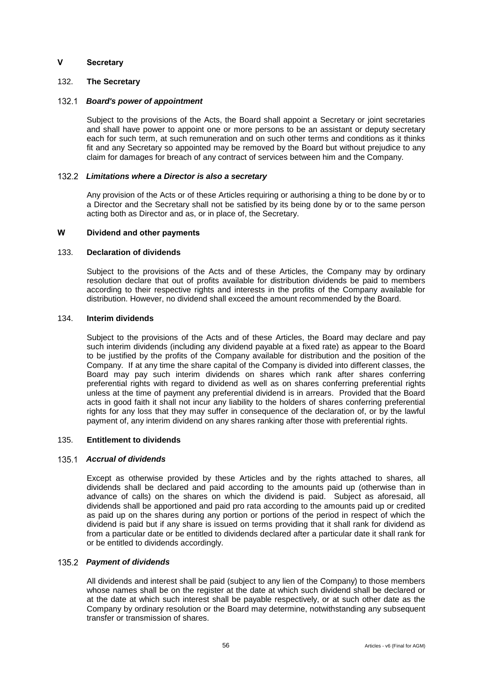## **V Secretary**

## 132. **The Secretary**

## *Board's power of appointment*

Subject to the provisions of the Acts, the Board shall appoint a Secretary or joint secretaries and shall have power to appoint one or more persons to be an assistant or deputy secretary each for such term, at such remuneration and on such other terms and conditions as it thinks fit and any Secretary so appointed may be removed by the Board but without prejudice to any claim for damages for breach of any contract of services between him and the Company.

#### *Limitations where a Director is also a secretary*

Any provision of the Acts or of these Articles requiring or authorising a thing to be done by or to a Director and the Secretary shall not be satisfied by its being done by or to the same person acting both as Director and as, or in place of, the Secretary.

# **W Dividend and other payments**

# 133. **Declaration of dividends**

Subject to the provisions of the Acts and of these Articles, the Company may by ordinary resolution declare that out of profits available for distribution dividends be paid to members according to their respective rights and interests in the profits of the Company available for distribution. However, no dividend shall exceed the amount recommended by the Board.

#### 134. **Interim dividends**

Subject to the provisions of the Acts and of these Articles, the Board may declare and pay such interim dividends (including any dividend payable at a fixed rate) as appear to the Board to be justified by the profits of the Company available for distribution and the position of the Company. If at any time the share capital of the Company is divided into different classes, the Board may pay such interim dividends on shares which rank after shares conferring preferential rights with regard to dividend as well as on shares conferring preferential rights unless at the time of payment any preferential dividend is in arrears. Provided that the Board acts in good faith it shall not incur any liability to the holders of shares conferring preferential rights for any loss that they may suffer in consequence of the declaration of, or by the lawful payment of, any interim dividend on any shares ranking after those with preferential rights.

## 135. **Entitlement to dividends**

#### *Accrual of dividends*

Except as otherwise provided by these Articles and by the rights attached to shares, all dividends shall be declared and paid according to the amounts paid up (otherwise than in advance of calls) on the shares on which the dividend is paid. Subject as aforesaid, all dividends shall be apportioned and paid pro rata according to the amounts paid up or credited as paid up on the shares during any portion or portions of the period in respect of which the dividend is paid but if any share is issued on terms providing that it shall rank for dividend as from a particular date or be entitled to dividends declared after a particular date it shall rank for or be entitled to dividends accordingly.

#### *Payment of dividends*

All dividends and interest shall be paid (subject to any lien of the Company) to those members whose names shall be on the register at the date at which such dividend shall be declared or at the date at which such interest shall be payable respectively, or at such other date as the Company by ordinary resolution or the Board may determine, notwithstanding any subsequent transfer or transmission of shares.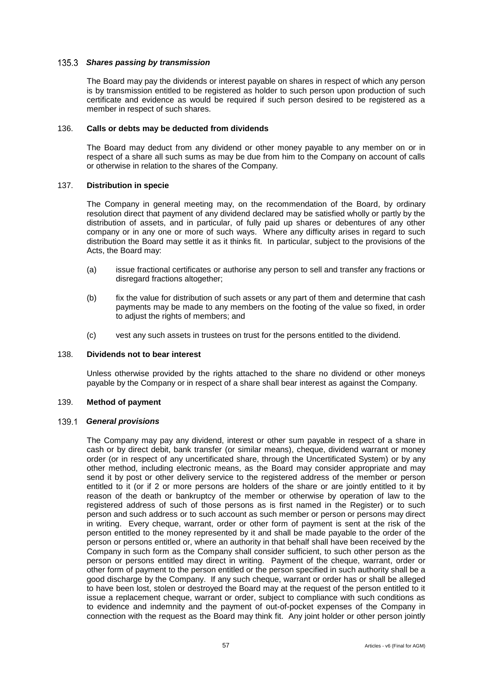## *Shares passing by transmission*

The Board may pay the dividends or interest payable on shares in respect of which any person is by transmission entitled to be registered as holder to such person upon production of such certificate and evidence as would be required if such person desired to be registered as a member in respect of such shares.

# 136. **Calls or debts may be deducted from dividends**

The Board may deduct from any dividend or other money payable to any member on or in respect of a share all such sums as may be due from him to the Company on account of calls or otherwise in relation to the shares of the Company.

## 137. **Distribution in specie**

The Company in general meeting may, on the recommendation of the Board, by ordinary resolution direct that payment of any dividend declared may be satisfied wholly or partly by the distribution of assets, and in particular, of fully paid up shares or debentures of any other company or in any one or more of such ways. Where any difficulty arises in regard to such distribution the Board may settle it as it thinks fit. In particular, subject to the provisions of the Acts, the Board may:

- (a) issue fractional certificates or authorise any person to sell and transfer any fractions or disregard fractions altogether;
- (b) fix the value for distribution of such assets or any part of them and determine that cash payments may be made to any members on the footing of the value so fixed, in order to adjust the rights of members; and
- (c) vest any such assets in trustees on trust for the persons entitled to the dividend.

#### 138. **Dividends not to bear interest**

Unless otherwise provided by the rights attached to the share no dividend or other moneys payable by the Company or in respect of a share shall bear interest as against the Company.

#### 139. **Method of payment**

## *General provisions*

The Company may pay any dividend, interest or other sum payable in respect of a share in cash or by direct debit, bank transfer (or similar means), cheque, dividend warrant or money order (or in respect of any uncertificated share, through the Uncertificated System) or by any other method, including electronic means, as the Board may consider appropriate and may send it by post or other delivery service to the registered address of the member or person entitled to it (or if 2 or more persons are holders of the share or are jointly entitled to it by reason of the death or bankruptcy of the member or otherwise by operation of law to the registered address of such of those persons as is first named in the Register) or to such person and such address or to such account as such member or person or persons may direct in writing. Every cheque, warrant, order or other form of payment is sent at the risk of the person entitled to the money represented by it and shall be made payable to the order of the person or persons entitled or, where an authority in that behalf shall have been received by the Company in such form as the Company shall consider sufficient, to such other person as the person or persons entitled may direct in writing. Payment of the cheque, warrant, order or other form of payment to the person entitled or the person specified in such authority shall be a good discharge by the Company. If any such cheque, warrant or order has or shall be alleged to have been lost, stolen or destroyed the Board may at the request of the person entitled to it issue a replacement cheque, warrant or order, subject to compliance with such conditions as to evidence and indemnity and the payment of out-of-pocket expenses of the Company in connection with the request as the Board may think fit. Any joint holder or other person jointly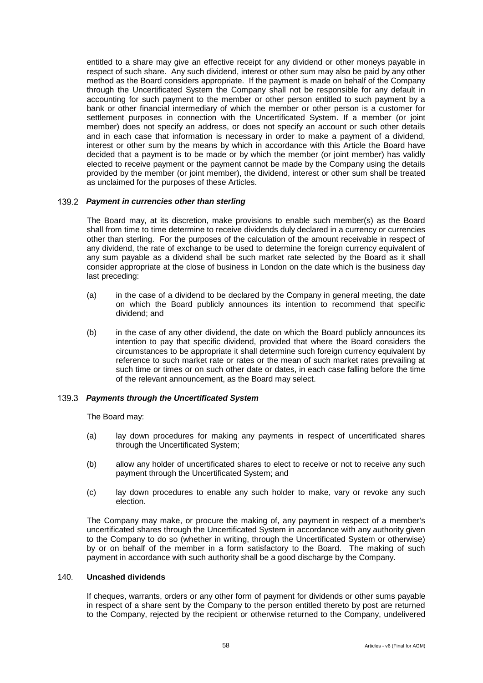entitled to a share may give an effective receipt for any dividend or other moneys payable in respect of such share. Any such dividend, interest or other sum may also be paid by any other method as the Board considers appropriate. If the payment is made on behalf of the Company through the Uncertificated System the Company shall not be responsible for any default in accounting for such payment to the member or other person entitled to such payment by a bank or other financial intermediary of which the member or other person is a customer for settlement purposes in connection with the Uncertificated System. If a member (or joint member) does not specify an address, or does not specify an account or such other details and in each case that information is necessary in order to make a payment of a dividend, interest or other sum by the means by which in accordance with this Article the Board have decided that a payment is to be made or by which the member (or joint member) has validly elected to receive payment or the payment cannot be made by the Company using the details provided by the member (or joint member), the dividend, interest or other sum shall be treated as unclaimed for the purposes of these Articles.

#### *Payment in currencies other than sterling*

The Board may, at its discretion, make provisions to enable such member(s) as the Board shall from time to time determine to receive dividends duly declared in a currency or currencies other than sterling. For the purposes of the calculation of the amount receivable in respect of any dividend, the rate of exchange to be used to determine the foreign currency equivalent of any sum payable as a dividend shall be such market rate selected by the Board as it shall consider appropriate at the close of business in London on the date which is the business day last preceding:

- (a) in the case of a dividend to be declared by the Company in general meeting, the date on which the Board publicly announces its intention to recommend that specific dividend; and
- (b) in the case of any other dividend, the date on which the Board publicly announces its intention to pay that specific dividend, provided that where the Board considers the circumstances to be appropriate it shall determine such foreign currency equivalent by reference to such market rate or rates or the mean of such market rates prevailing at such time or times or on such other date or dates, in each case falling before the time of the relevant announcement, as the Board may select.

#### *Payments through the Uncertificated System*

The Board may:

- (a) lay down procedures for making any payments in respect of uncertificated shares through the Uncertificated System;
- (b) allow any holder of uncertificated shares to elect to receive or not to receive any such payment through the Uncertificated System; and
- (c) lay down procedures to enable any such holder to make, vary or revoke any such election.

The Company may make, or procure the making of, any payment in respect of a member's uncertificated shares through the Uncertificated System in accordance with any authority given to the Company to do so (whether in writing, through the Uncertificated System or otherwise) by or on behalf of the member in a form satisfactory to the Board. The making of such payment in accordance with such authority shall be a good discharge by the Company.

# 140. **Uncashed dividends**

If cheques, warrants, orders or any other form of payment for dividends or other sums payable in respect of a share sent by the Company to the person entitled thereto by post are returned to the Company, rejected by the recipient or otherwise returned to the Company, undelivered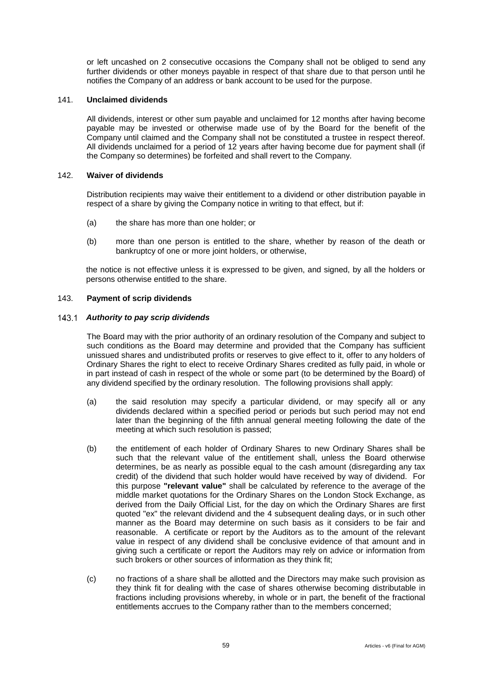or left uncashed on 2 consecutive occasions the Company shall not be obliged to send any further dividends or other moneys payable in respect of that share due to that person until he notifies the Company of an address or bank account to be used for the purpose.

#### 141. **Unclaimed dividends**

All dividends, interest or other sum payable and unclaimed for 12 months after having become payable may be invested or otherwise made use of by the Board for the benefit of the Company until claimed and the Company shall not be constituted a trustee in respect thereof. All dividends unclaimed for a period of 12 years after having become due for payment shall (if the Company so determines) be forfeited and shall revert to the Company.

#### 142. **Waiver of dividends**

Distribution recipients may waive their entitlement to a dividend or other distribution payable in respect of a share by giving the Company notice in writing to that effect, but if:

- (a) the share has more than one holder; or
- (b) more than one person is entitled to the share, whether by reason of the death or bankruptcy of one or more joint holders, or otherwise,

the notice is not effective unless it is expressed to be given, and signed, by all the holders or persons otherwise entitled to the share.

#### 143. **Payment of scrip dividends**

#### *Authority to pay scrip dividends*

The Board may with the prior authority of an ordinary resolution of the Company and subject to such conditions as the Board may determine and provided that the Company has sufficient unissued shares and undistributed profits or reserves to give effect to it, offer to any holders of Ordinary Shares the right to elect to receive Ordinary Shares credited as fully paid, in whole or in part instead of cash in respect of the whole or some part (to be determined by the Board) of any dividend specified by the ordinary resolution. The following provisions shall apply:

- (a) the said resolution may specify a particular dividend, or may specify all or any dividends declared within a specified period or periods but such period may not end later than the beginning of the fifth annual general meeting following the date of the meeting at which such resolution is passed;
- (b) the entitlement of each holder of Ordinary Shares to new Ordinary Shares shall be such that the relevant value of the entitlement shall, unless the Board otherwise determines, be as nearly as possible equal to the cash amount (disregarding any tax credit) of the dividend that such holder would have received by way of dividend. For this purpose **"relevant value"** shall be calculated by reference to the average of the middle market quotations for the Ordinary Shares on the London Stock Exchange, as derived from the Daily Official List, for the day on which the Ordinary Shares are first quoted "ex" the relevant dividend and the 4 subsequent dealing days, or in such other manner as the Board may determine on such basis as it considers to be fair and reasonable. A certificate or report by the Auditors as to the amount of the relevant value in respect of any dividend shall be conclusive evidence of that amount and in giving such a certificate or report the Auditors may rely on advice or information from such brokers or other sources of information as they think fit;
- (c) no fractions of a share shall be allotted and the Directors may make such provision as they think fit for dealing with the case of shares otherwise becoming distributable in fractions including provisions whereby, in whole or in part, the benefit of the fractional entitlements accrues to the Company rather than to the members concerned;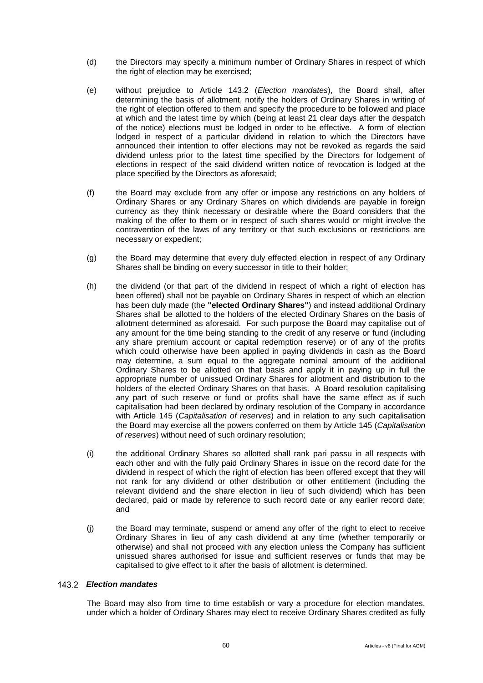- (d) the Directors may specify a minimum number of Ordinary Shares in respect of which the right of election may be exercised;
- (e) without prejudice to Article [143.2](#page-64-0) (*Election mandates*), the Board shall, after determining the basis of allotment, notify the holders of Ordinary Shares in writing of the right of election offered to them and specify the procedure to be followed and place at which and the latest time by which (being at least 21 clear days after the despatch of the notice) elections must be lodged in order to be effective. A form of election lodged in respect of a particular dividend in relation to which the Directors have announced their intention to offer elections may not be revoked as regards the said dividend unless prior to the latest time specified by the Directors for lodgement of elections in respect of the said dividend written notice of revocation is lodged at the place specified by the Directors as aforesaid;
- (f) the Board may exclude from any offer or impose any restrictions on any holders of Ordinary Shares or any Ordinary Shares on which dividends are payable in foreign currency as they think necessary or desirable where the Board considers that the making of the offer to them or in respect of such shares would or might involve the contravention of the laws of any territory or that such exclusions or restrictions are necessary or expedient;
- (g) the Board may determine that every duly effected election in respect of any Ordinary Shares shall be binding on every successor in title to their holder;
- (h) the dividend (or that part of the dividend in respect of which a right of election has been offered) shall not be payable on Ordinary Shares in respect of which an election has been duly made (the **"elected Ordinary Shares"**) and instead additional Ordinary Shares shall be allotted to the holders of the elected Ordinary Shares on the basis of allotment determined as aforesaid. For such purpose the Board may capitalise out of any amount for the time being standing to the credit of any reserve or fund (including any share premium account or capital redemption reserve) or of any of the profits which could otherwise have been applied in paying dividends in cash as the Board may determine, a sum equal to the aggregate nominal amount of the additional Ordinary Shares to be allotted on that basis and apply it in paying up in full the appropriate number of unissued Ordinary Shares for allotment and distribution to the holders of the elected Ordinary Shares on that basis. A Board resolution capitalising any part of such reserve or fund or profits shall have the same effect as if such capitalisation had been declared by ordinary resolution of the Company in accordance with Article [145](#page-65-0) (*Capitalisation of reserves*) and in relation to any such capitalisation the Board may exercise all the powers conferred on them by Article [145](#page-65-0) (*Capitalisation of reserves*) without need of such ordinary resolution;
- (i) the additional Ordinary Shares so allotted shall rank pari passu in all respects with each other and with the fully paid Ordinary Shares in issue on the record date for the dividend in respect of which the right of election has been offered except that they will not rank for any dividend or other distribution or other entitlement (including the relevant dividend and the share election in lieu of such dividend) which has been declared, paid or made by reference to such record date or any earlier record date; and
- (j) the Board may terminate, suspend or amend any offer of the right to elect to receive Ordinary Shares in lieu of any cash dividend at any time (whether temporarily or otherwise) and shall not proceed with any election unless the Company has sufficient unissued shares authorised for issue and sufficient reserves or funds that may be capitalised to give effect to it after the basis of allotment is determined.

## <span id="page-64-0"></span>*Election mandates*

The Board may also from time to time establish or vary a procedure for election mandates, under which a holder of Ordinary Shares may elect to receive Ordinary Shares credited as fully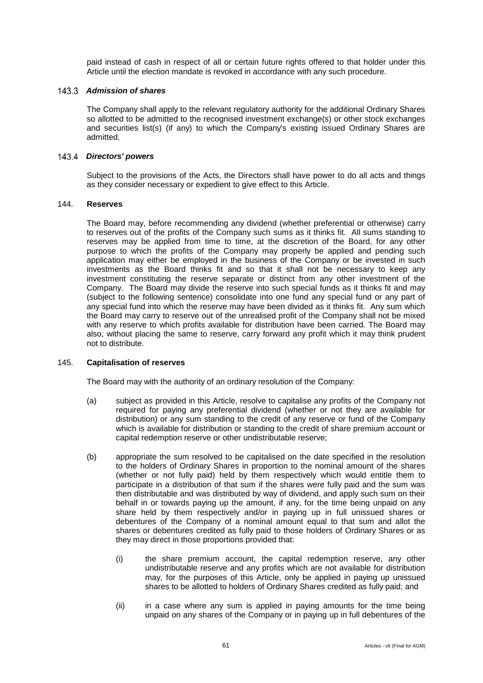paid instead of cash in respect of all or certain future rights offered to that holder under this Article until the election mandate is revoked in accordance with any such procedure.

#### 143.3 Admission of shares

The Company shall apply to the relevant regulatory authority for the additional Ordinary Shares so allotted to be admitted to the recognised investment exchange(s) or other stock exchanges and securities list(s) (if any) to which the Company's existing issued Ordinary Shares are admitted.

#### *Directors' powers*

Subject to the provisions of the Acts, the Directors shall have power to do all acts and things as they consider necessary or expedient to give effect to this Article.

#### 144. **Reserves**

The Board may, before recommending any dividend (whether preferential or otherwise) carry to reserves out of the profits of the Company such sums as it thinks fit. All sums standing to reserves may be applied from time to time, at the discretion of the Board, for any other purpose to which the profits of the Company may properly be applied and pending such application may either be employed in the business of the Company or be invested in such investments as the Board thinks fit and so that it shall not be necessary to keep any investment constituting the reserve separate or distinct from any other investment of the Company. The Board may divide the reserve into such special funds as it thinks fit and may (subject to the following sentence) consolidate into one fund any special fund or any part of any special fund into which the reserve may have been divided as it thinks fit. Any sum which the Board may carry to reserve out of the unrealised profit of the Company shall not be mixed with any reserve to which profits available for distribution have been carried. The Board may also, without placing the same to reserve, carry forward any profit which it may think prudent not to distribute.

#### <span id="page-65-0"></span>145. **Capitalisation of reserves**

The Board may with the authority of an ordinary resolution of the Company:

- (a) subject as provided in this Article, resolve to capitalise any profits of the Company not required for paying any preferential dividend (whether or not they are available for distribution) or any sum standing to the credit of any reserve or fund of the Company which is available for distribution or standing to the credit of share premium account or capital redemption reserve or other undistributable reserve;
- (b) appropriate the sum resolved to be capitalised on the date specified in the resolution to the holders of Ordinary Shares in proportion to the nominal amount of the shares (whether or not fully paid) held by them respectively which would entitle them to participate in a distribution of that sum if the shares were fully paid and the sum was then distributable and was distributed by way of dividend, and apply such sum on their behalf in or towards paying up the amount, if any, for the time being unpaid on any share held by them respectively and/or in paying up in full unissued shares or debentures of the Company of a nominal amount equal to that sum and allot the shares or debentures credited as fully paid to those holders of Ordinary Shares or as they may direct in those proportions provided that:
	- (i) the share premium account, the capital redemption reserve, any other undistributable reserve and any profits which are not available for distribution may, for the purposes of this Article, only be applied in paying up unissued shares to be allotted to holders of Ordinary Shares credited as fully paid; and
	- (ii) in a case where any sum is applied in paying amounts for the time being unpaid on any shares of the Company or in paying up in full debentures of the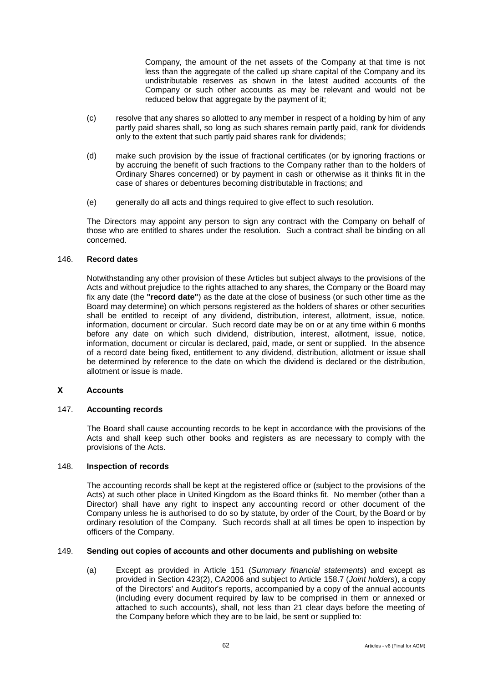Company, the amount of the net assets of the Company at that time is not less than the aggregate of the called up share capital of the Company and its undistributable reserves as shown in the latest audited accounts of the Company or such other accounts as may be relevant and would not be reduced below that aggregate by the payment of it;

- (c) resolve that any shares so allotted to any member in respect of a holding by him of any partly paid shares shall, so long as such shares remain partly paid, rank for dividends only to the extent that such partly paid shares rank for dividends;
- (d) make such provision by the issue of fractional certificates (or by ignoring fractions or by accruing the benefit of such fractions to the Company rather than to the holders of Ordinary Shares concerned) or by payment in cash or otherwise as it thinks fit in the case of shares or debentures becoming distributable in fractions; and
- (e) generally do all acts and things required to give effect to such resolution.

The Directors may appoint any person to sign any contract with the Company on behalf of those who are entitled to shares under the resolution. Such a contract shall be binding on all concerned.

## 146. **Record dates**

Notwithstanding any other provision of these Articles but subject always to the provisions of the Acts and without prejudice to the rights attached to any shares, the Company or the Board may fix any date (the **"record date"**) as the date at the close of business (or such other time as the Board may determine) on which persons registered as the holders of shares or other securities shall be entitled to receipt of any dividend, distribution, interest, allotment, issue, notice, information, document or circular. Such record date may be on or at any time within 6 months before any date on which such dividend, distribution, interest, allotment, issue, notice, information, document or circular is declared, paid, made, or sent or supplied. In the absence of a record date being fixed, entitlement to any dividend, distribution, allotment or issue shall be determined by reference to the date on which the dividend is declared or the distribution, allotment or issue is made.

# **X Accounts**

#### 147. **Accounting records**

The Board shall cause accounting records to be kept in accordance with the provisions of the Acts and shall keep such other books and registers as are necessary to comply with the provisions of the Acts.

#### 148. **Inspection of records**

The accounting records shall be kept at the registered office or (subject to the provisions of the Acts) at such other place in United Kingdom as the Board thinks fit. No member (other than a Director) shall have any right to inspect any accounting record or other document of the Company unless he is authorised to do so by statute, by order of the Court, by the Board or by ordinary resolution of the Company. Such records shall at all times be open to inspection by officers of the Company.

#### <span id="page-66-0"></span>149. **Sending out copies of accounts and other documents and publishing on website**

(a) Except as provided in Article [151](#page-67-0) (*Summary financial statements*) and except as provided in Section 423(2), CA2006 and subject to Article [158.7](#page-73-0) (*Joint holders*), a copy of the Directors' and Auditor's reports, accompanied by a copy of the annual accounts (including every document required by law to be comprised in them or annexed or attached to such accounts), shall, not less than 21 clear days before the meeting of the Company before which they are to be laid, be sent or supplied to: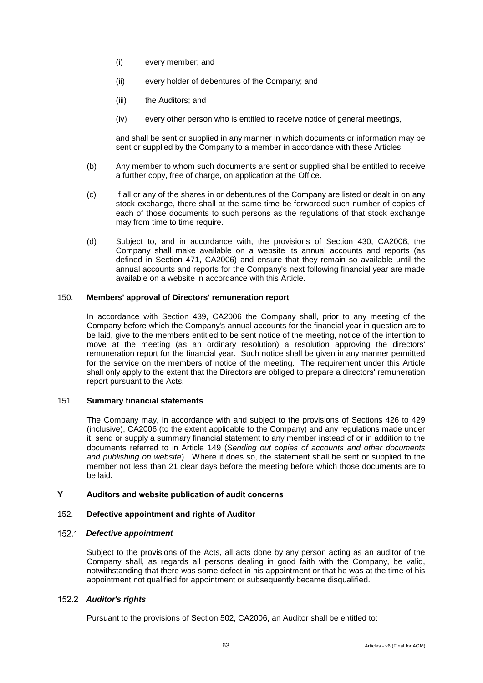- (i) every member; and
- (ii) every holder of debentures of the Company; and
- (iii) the Auditors; and
- (iv) every other person who is entitled to receive notice of general meetings,

and shall be sent or supplied in any manner in which documents or information may be sent or supplied by the Company to a member in accordance with these Articles.

- (b) Any member to whom such documents are sent or supplied shall be entitled to receive a further copy, free of charge, on application at the Office.
- (c) If all or any of the shares in or debentures of the Company are listed or dealt in on any stock exchange, there shall at the same time be forwarded such number of copies of each of those documents to such persons as the regulations of that stock exchange may from time to time require.
- (d) Subject to, and in accordance with, the provisions of Section 430, CA2006, the Company shall make available on a website its annual accounts and reports (as defined in Section 471, CA2006) and ensure that they remain so available until the annual accounts and reports for the Company's next following financial year are made available on a website in accordance with this Article.

## 150. **Members' approval of Directors' remuneration report**

In accordance with Section 439, CA2006 the Company shall, prior to any meeting of the Company before which the Company's annual accounts for the financial year in question are to be laid, give to the members entitled to be sent notice of the meeting, notice of the intention to move at the meeting (as an ordinary resolution) a resolution approving the directors' remuneration report for the financial year. Such notice shall be given in any manner permitted for the service on the members of notice of the meeting. The requirement under this Article shall only apply to the extent that the Directors are obliged to prepare a directors' remuneration report pursuant to the Acts.

#### <span id="page-67-0"></span>151. **Summary financial statements**

The Company may, in accordance with and subject to the provisions of Sections 426 to 429 (inclusive), CA2006 (to the extent applicable to the Company) and any regulations made under it, send or supply a summary financial statement to any member instead of or in addition to the documents referred to in Article [149](#page-66-0) (*Sending out copies of accounts and other documents and publishing on website*). Where it does so, the statement shall be sent or supplied to the member not less than 21 clear days before the meeting before which those documents are to be laid.

## **Y Auditors and website publication of audit concerns**

#### 152. **Defective appointment and rights of Auditor**

# *Defective appointment*

Subject to the provisions of the Acts, all acts done by any person acting as an auditor of the Company shall, as regards all persons dealing in good faith with the Company, be valid, notwithstanding that there was some defect in his appointment or that he was at the time of his appointment not qualified for appointment or subsequently became disqualified.

# *Auditor's rights*

Pursuant to the provisions of Section 502, CA2006, an Auditor shall be entitled to: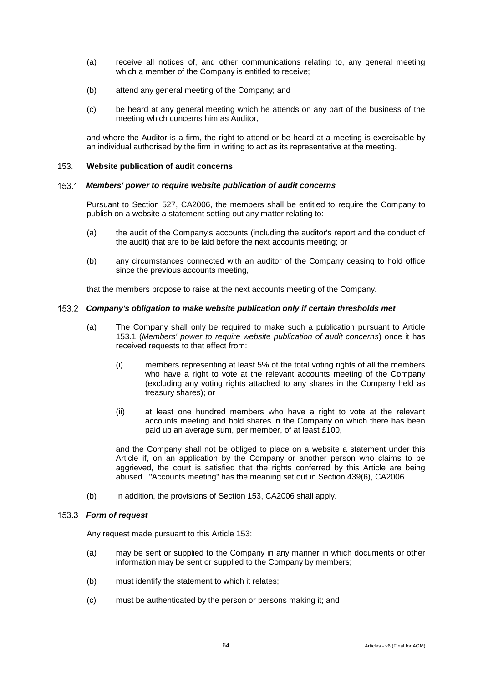- (a) receive all notices of, and other communications relating to, any general meeting which a member of the Company is entitled to receive;
- (b) attend any general meeting of the Company; and
- (c) be heard at any general meeting which he attends on any part of the business of the meeting which concerns him as Auditor,

and where the Auditor is a firm, the right to attend or be heard at a meeting is exercisable by an individual authorised by the firm in writing to act as its representative at the meeting.

#### <span id="page-68-1"></span>153. **Website publication of audit concerns**

#### <span id="page-68-0"></span> $153.1$ *Members' power to require website publication of audit concerns*

Pursuant to Section 527, CA2006, the members shall be entitled to require the Company to publish on a website a statement setting out any matter relating to:

- (a) the audit of the Company's accounts (including the auditor's report and the conduct of the audit) that are to be laid before the next accounts meeting; or
- (b) any circumstances connected with an auditor of the Company ceasing to hold office since the previous accounts meeting,

that the members propose to raise at the next accounts meeting of the Company.

## *Company's obligation to make website publication only if certain thresholds met*

- (a) The Company shall only be required to make such a publication pursuant to Article [153.1](#page-68-0) (*Members' power to require website publication of audit concerns*) once it has received requests to that effect from:
	- (i) members representing at least 5% of the total voting rights of all the members who have a right to vote at the relevant accounts meeting of the Company (excluding any voting rights attached to any shares in the Company held as treasury shares); or
	- (ii) at least one hundred members who have a right to vote at the relevant accounts meeting and hold shares in the Company on which there has been paid up an average sum, per member, of at least £100,

and the Company shall not be obliged to place on a website a statement under this Article if, on an application by the Company or another person who claims to be aggrieved, the court is satisfied that the rights conferred by this Article are being abused. "Accounts meeting" has the meaning set out in Section 439(6), CA2006.

(b) In addition, the provisions of Section 153, CA2006 shall apply.

#### *Form of request*

Any request made pursuant to this Article [153:](#page-68-1)

- (a) may be sent or supplied to the Company in any manner in which documents or other information may be sent or supplied to the Company by members;
- (b) must identify the statement to which it relates;
- (c) must be authenticated by the person or persons making it; and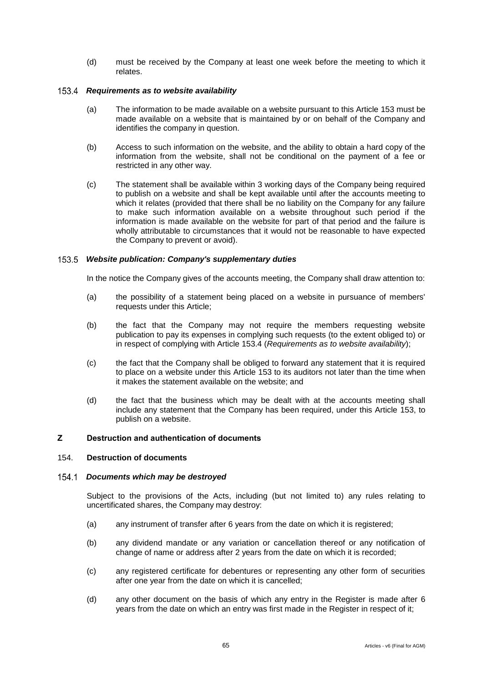(d) must be received by the Company at least one week before the meeting to which it relates.

#### <span id="page-69-0"></span>*Requirements as to website availability*

- (a) The information to be made available on a website pursuant to this Article [153](#page-68-1) must be made available on a website that is maintained by or on behalf of the Company and identifies the company in question.
- (b) Access to such information on the website, and the ability to obtain a hard copy of the information from the website, shall not be conditional on the payment of a fee or restricted in any other way.
- (c) The statement shall be available within 3 working days of the Company being required to publish on a website and shall be kept available until after the accounts meeting to which it relates (provided that there shall be no liability on the Company for any failure to make such information available on a website throughout such period if the information is made available on the website for part of that period and the failure is wholly attributable to circumstances that it would not be reasonable to have expected the Company to prevent or avoid).

## *Website publication: Company's supplementary duties*

In the notice the Company gives of the accounts meeting, the Company shall draw attention to:

- (a) the possibility of a statement being placed on a website in pursuance of members' requests under this Article;
- (b) the fact that the Company may not require the members requesting website publication to pay its expenses in complying such requests (to the extent obliged to) or in respect of complying with Article [153.4](#page-69-0) (*Requirements as to website availability*);
- (c) the fact that the Company shall be obliged to forward any statement that it is required to place on a website under this Article [153](#page-68-1) to its auditors not later than the time when it makes the statement available on the website; and
- (d) the fact that the business which may be dealt with at the accounts meeting shall include any statement that the Company has been required, under this Article [153,](#page-68-1) to publish on a website.

# **Z Destruction and authentication of documents**

## <span id="page-69-1"></span>154. **Destruction of documents**

#### *Documents which may be destroyed*

Subject to the provisions of the Acts, including (but not limited to) any rules relating to uncertificated shares, the Company may destroy:

- (a) any instrument of transfer after 6 years from the date on which it is registered;
- (b) any dividend mandate or any variation or cancellation thereof or any notification of change of name or address after 2 years from the date on which it is recorded;
- (c) any registered certificate for debentures or representing any other form of securities after one year from the date on which it is cancelled;
- (d) any other document on the basis of which any entry in the Register is made after 6 years from the date on which an entry was first made in the Register in respect of it;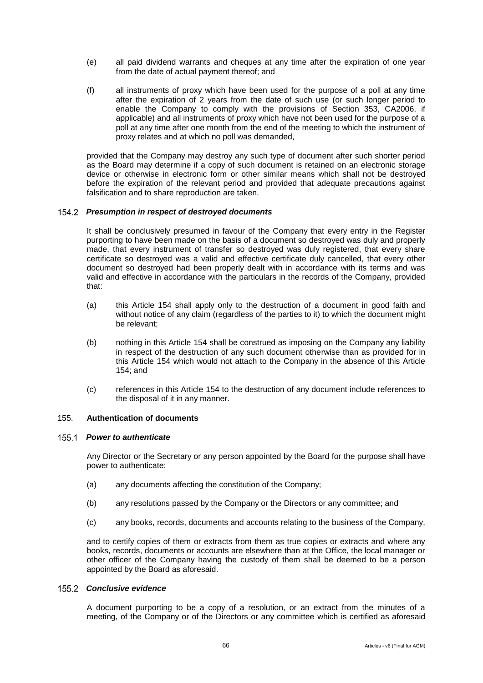- (e) all paid dividend warrants and cheques at any time after the expiration of one year from the date of actual payment thereof; and
- (f) all instruments of proxy which have been used for the purpose of a poll at any time after the expiration of 2 years from the date of such use (or such longer period to enable the Company to comply with the provisions of Section 353, CA2006, if applicable) and all instruments of proxy which have not been used for the purpose of a poll at any time after one month from the end of the meeting to which the instrument of proxy relates and at which no poll was demanded,

provided that the Company may destroy any such type of document after such shorter period as the Board may determine if a copy of such document is retained on an electronic storage device or otherwise in electronic form or other similar means which shall not be destroyed before the expiration of the relevant period and provided that adequate precautions against falsification and to share reproduction are taken.

#### *Presumption in respect of destroyed documents*

It shall be conclusively presumed in favour of the Company that every entry in the Register purporting to have been made on the basis of a document so destroyed was duly and properly made, that every instrument of transfer so destroyed was duly registered, that every share certificate so destroyed was a valid and effective certificate duly cancelled, that every other document so destroyed had been properly dealt with in accordance with its terms and was valid and effective in accordance with the particulars in the records of the Company, provided that:

- (a) this Article [154](#page-69-1) shall apply only to the destruction of a document in good faith and without notice of any claim (regardless of the parties to it) to which the document might be relevant;
- (b) nothing in this Article [154](#page-69-1) shall be construed as imposing on the Company any liability in respect of the destruction of any such document otherwise than as provided for in this Article [154](#page-69-1) which would not attach to the Company in the absence of this Article [154;](#page-69-1) and
- (c) references in this Article [154](#page-69-1) to the destruction of any document include references to the disposal of it in any manner.

#### 155. **Authentication of documents**

#### *Power to authenticate*

Any Director or the Secretary or any person appointed by the Board for the purpose shall have power to authenticate:

- (a) any documents affecting the constitution of the Company;
- (b) any resolutions passed by the Company or the Directors or any committee; and
- (c) any books, records, documents and accounts relating to the business of the Company,

and to certify copies of them or extracts from them as true copies or extracts and where any books, records, documents or accounts are elsewhere than at the Office, the local manager or other officer of the Company having the custody of them shall be deemed to be a person appointed by the Board as aforesaid.

## *Conclusive evidence*

A document purporting to be a copy of a resolution, or an extract from the minutes of a meeting, of the Company or of the Directors or any committee which is certified as aforesaid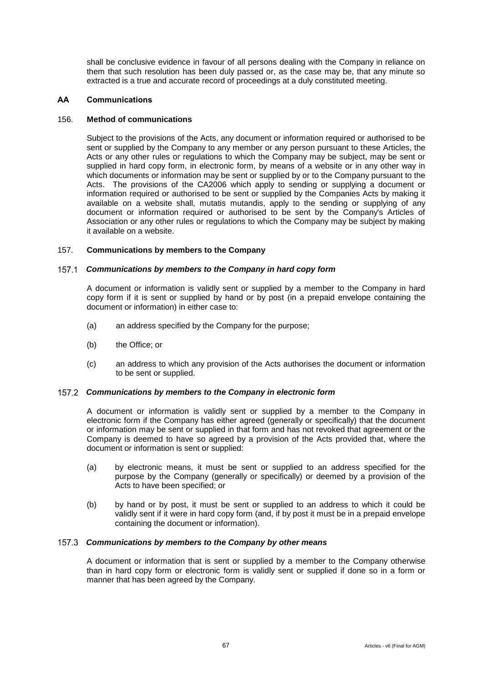shall be conclusive evidence in favour of all persons dealing with the Company in reliance on them that such resolution has been duly passed or, as the case may be, that any minute so extracted is a true and accurate record of proceedings at a duly constituted meeting.

## **AA Communications**

## 156. **Method of communications**

Subject to the provisions of the Acts, any document or information required or authorised to be sent or supplied by the Company to any member or any person pursuant to these Articles, the Acts or any other rules or regulations to which the Company may be subject, may be sent or supplied in hard copy form, in electronic form, by means of a website or in any other way in which documents or information may be sent or supplied by or to the Company pursuant to the Acts. The provisions of the CA2006 which apply to sending or supplying a document or information required or authorised to be sent or supplied by the Companies Acts by making it available on a website shall, mutatis mutandis, apply to the sending or supplying of any document or information required or authorised to be sent by the Company's Articles of Association or any other rules or regulations to which the Company may be subject by making it available on a website.

## 157. **Communications by members to the Company**

## *Communications by members to the Company in hard copy form*

A document or information is validly sent or supplied by a member to the Company in hard copy form if it is sent or supplied by hand or by post (in a prepaid envelope containing the document or information) in either case to:

- (a) an address specified by the Company for the purpose;
- (b) the Office; or
- (c) an address to which any provision of the Acts authorises the document or information to be sent or supplied.

#### *Communications by members to the Company in electronic form*

A document or information is validly sent or supplied by a member to the Company in electronic form if the Company has either agreed (generally or specifically) that the document or information may be sent or supplied in that form and has not revoked that agreement or the Company is deemed to have so agreed by a provision of the Acts provided that, where the document or information is sent or supplied:

- (a) by electronic means, it must be sent or supplied to an address specified for the purpose by the Company (generally or specifically) or deemed by a provision of the Acts to have been specified; or
- (b) by hand or by post, it must be sent or supplied to an address to which it could be validly sent if it were in hard copy form (and, if by post it must be in a prepaid envelope containing the document or information).

#### *Communications by members to the Company by other means*

A document or information that is sent or supplied by a member to the Company otherwise than in hard copy form or electronic form is validly sent or supplied if done so in a form or manner that has been agreed by the Company.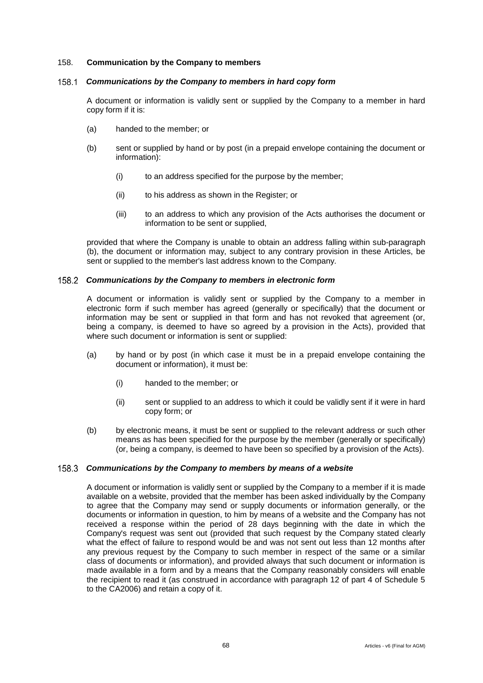#### 158. **Communication by the Company to members**

#### *Communications by the Company to members in hard copy form* 158.1

A document or information is validly sent or supplied by the Company to a member in hard copy form if it is:

- (a) handed to the member; or
- (b) sent or supplied by hand or by post (in a prepaid envelope containing the document or information):
	- (i) to an address specified for the purpose by the member;
	- (ii) to his address as shown in the Register; or
	- (iii) to an address to which any provision of the Acts authorises the document or information to be sent or supplied,

provided that where the Company is unable to obtain an address falling within sub-paragraph (b), the document or information may, subject to any contrary provision in these Articles, be sent or supplied to the member's last address known to the Company.

#### *Communications by the Company to members in electronic form*

A document or information is validly sent or supplied by the Company to a member in electronic form if such member has agreed (generally or specifically) that the document or information may be sent or supplied in that form and has not revoked that agreement (or, being a company, is deemed to have so agreed by a provision in the Acts), provided that where such document or information is sent or supplied:

- (a) by hand or by post (in which case it must be in a prepaid envelope containing the document or information), it must be:
	- (i) handed to the member; or
	- (ii) sent or supplied to an address to which it could be validly sent if it were in hard copy form; or
- (b) by electronic means, it must be sent or supplied to the relevant address or such other means as has been specified for the purpose by the member (generally or specifically) (or, being a company, is deemed to have been so specified by a provision of the Acts).

## *Communications by the Company to members by means of a website*

A document or information is validly sent or supplied by the Company to a member if it is made available on a website, provided that the member has been asked individually by the Company to agree that the Company may send or supply documents or information generally, or the documents or information in question, to him by means of a website and the Company has not received a response within the period of 28 days beginning with the date in which the Company's request was sent out (provided that such request by the Company stated clearly what the effect of failure to respond would be and was not sent out less than 12 months after any previous request by the Company to such member in respect of the same or a similar class of documents or information), and provided always that such document or information is made available in a form and by a means that the Company reasonably considers will enable the recipient to read it (as construed in accordance with paragraph 12 of part 4 of Schedule 5 to the CA2006) and retain a copy of it.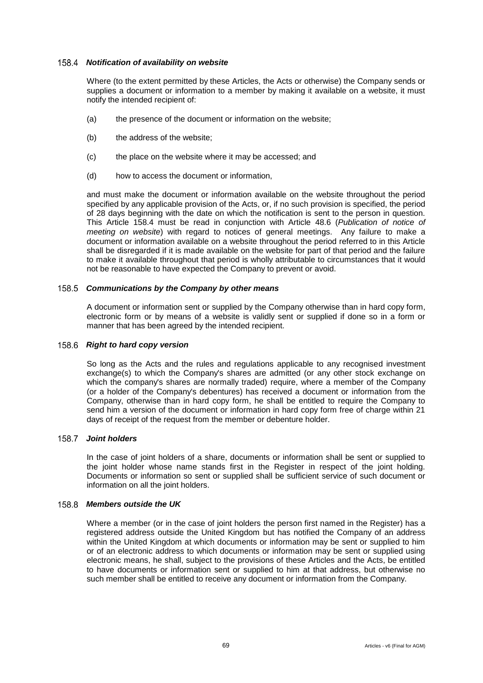#### <span id="page-73-0"></span>*Notification of availability on website*

Where (to the extent permitted by these Articles, the Acts or otherwise) the Company sends or supplies a document or information to a member by making it available on a website, it must notify the intended recipient of:

- (a) the presence of the document or information on the website;
- (b) the address of the website;
- (c) the place on the website where it may be accessed; and
- (d) how to access the document or information,

and must make the document or information available on the website throughout the period specified by any applicable provision of the Acts, or, if no such provision is specified, the period of 28 days beginning with the date on which the notification is sent to the person in question. This Article [158.4](#page-73-0) must be read in conjunction with Article [48.6](#page-24-0) (*Publication of notice of meeting on website*) with regard to notices of general meetings. Any failure to make a document or information available on a website throughout the period referred to in this Article shall be disregarded if it is made available on the website for part of that period and the failure to make it available throughout that period is wholly attributable to circumstances that it would not be reasonable to have expected the Company to prevent or avoid.

# *Communications by the Company by other means*

A document or information sent or supplied by the Company otherwise than in hard copy form, electronic form or by means of a website is validly sent or supplied if done so in a form or manner that has been agreed by the intended recipient.

### 158.6 Right to hard copy version

So long as the Acts and the rules and regulations applicable to any recognised investment exchange(s) to which the Company's shares are admitted (or any other stock exchange on which the company's shares are normally traded) require, where a member of the Company (or a holder of the Company's debentures) has received a document or information from the Company, otherwise than in hard copy form, he shall be entitled to require the Company to send him a version of the document or information in hard copy form free of charge within 21 days of receipt of the request from the member or debenture holder.

## *Joint holders*

In the case of joint holders of a share, documents or information shall be sent or supplied to the joint holder whose name stands first in the Register in respect of the joint holding. Documents or information so sent or supplied shall be sufficient service of such document or information on all the joint holders.

# *Members outside the UK*

Where a member (or in the case of joint holders the person first named in the Register) has a registered address outside the United Kingdom but has notified the Company of an address within the United Kingdom at which documents or information may be sent or supplied to him or of an electronic address to which documents or information may be sent or supplied using electronic means, he shall, subject to the provisions of these Articles and the Acts, be entitled to have documents or information sent or supplied to him at that address, but otherwise no such member shall be entitled to receive any document or information from the Company.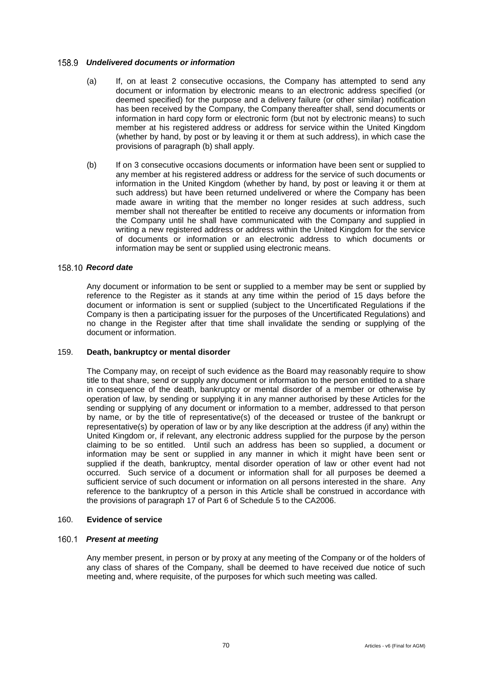#### *Undelivered documents or information*

- (a) If, on at least 2 consecutive occasions, the Company has attempted to send any document or information by electronic means to an electronic address specified (or deemed specified) for the purpose and a delivery failure (or other similar) notification has been received by the Company, the Company thereafter shall, send documents or information in hard copy form or electronic form (but not by electronic means) to such member at his registered address or address for service within the United Kingdom (whether by hand, by post or by leaving it or them at such address), in which case the provisions of paragraph (b) shall apply.
- (b) If on 3 consecutive occasions documents or information have been sent or supplied to any member at his registered address or address for the service of such documents or information in the United Kingdom (whether by hand, by post or leaving it or them at such address) but have been returned undelivered or where the Company has been made aware in writing that the member no longer resides at such address, such member shall not thereafter be entitled to receive any documents or information from the Company until he shall have communicated with the Company and supplied in writing a new registered address or address within the United Kingdom for the service of documents or information or an electronic address to which documents or information may be sent or supplied using electronic means.

#### 158.10 Record date

Any document or information to be sent or supplied to a member may be sent or supplied by reference to the Register as it stands at any time within the period of 15 days before the document or information is sent or supplied (subject to the Uncertificated Regulations if the Company is then a participating issuer for the purposes of the Uncertificated Regulations) and no change in the Register after that time shall invalidate the sending or supplying of the document or information.

## 159. **Death, bankruptcy or mental disorder**

The Company may, on receipt of such evidence as the Board may reasonably require to show title to that share, send or supply any document or information to the person entitled to a share in consequence of the death, bankruptcy or mental disorder of a member or otherwise by operation of law, by sending or supplying it in any manner authorised by these Articles for the sending or supplying of any document or information to a member, addressed to that person by name, or by the title of representative(s) of the deceased or trustee of the bankrupt or representative(s) by operation of law or by any like description at the address (if any) within the United Kingdom or, if relevant, any electronic address supplied for the purpose by the person claiming to be so entitled. Until such an address has been so supplied, a document or information may be sent or supplied in any manner in which it might have been sent or supplied if the death, bankruptcy, mental disorder operation of law or other event had not occurred. Such service of a document or information shall for all purposes be deemed a sufficient service of such document or information on all persons interested in the share. Any reference to the bankruptcy of a person in this Article shall be construed in accordance with the provisions of paragraph 17 of Part 6 of Schedule 5 to the CA2006.

# 160. **Evidence of service**

#### *Present at meeting*

Any member present, in person or by proxy at any meeting of the Company or of the holders of any class of shares of the Company, shall be deemed to have received due notice of such meeting and, where requisite, of the purposes for which such meeting was called.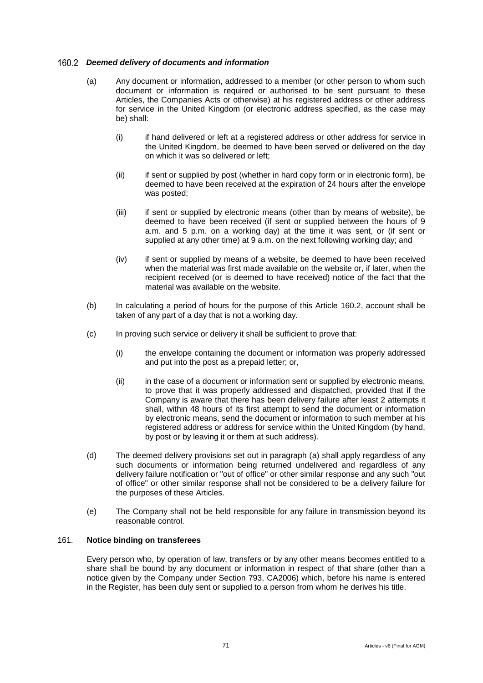#### <span id="page-75-0"></span>*Deemed delivery of documents and information*

- (a) Any document or information, addressed to a member (or other person to whom such document or information is required or authorised to be sent pursuant to these Articles, the Companies Acts or otherwise) at his registered address or other address for service in the United Kingdom (or electronic address specified, as the case may be) shall:
	- (i) if hand delivered or left at a registered address or other address for service in the United Kingdom, be deemed to have been served or delivered on the day on which it was so delivered or left;
	- (ii) if sent or supplied by post (whether in hard copy form or in electronic form), be deemed to have been received at the expiration of 24 hours after the envelope was posted;
	- (iii) if sent or supplied by electronic means (other than by means of website), be deemed to have been received (if sent or supplied between the hours of 9 a.m. and 5 p.m. on a working day) at the time it was sent, or (if sent or supplied at any other time) at 9 a.m. on the next following working day; and
	- (iv) if sent or supplied by means of a website, be deemed to have been received when the material was first made available on the website or, if later, when the recipient received (or is deemed to have received) notice of the fact that the material was available on the website.
- (b) In calculating a period of hours for the purpose of this Article [160.2,](#page-75-0) account shall be taken of any part of a day that is not a working day.
- (c) In proving such service or delivery it shall be sufficient to prove that:
	- (i) the envelope containing the document or information was properly addressed and put into the post as a prepaid letter; or,
	- (ii) in the case of a document or information sent or supplied by electronic means, to prove that it was properly addressed and dispatched, provided that if the Company is aware that there has been delivery failure after least 2 attempts it shall, within 48 hours of its first attempt to send the document or information by electronic means, send the document or information to such member at his registered address or address for service within the United Kingdom (by hand, by post or by leaving it or them at such address).
- (d) The deemed delivery provisions set out in paragraph (a) shall apply regardless of any such documents or information being returned undelivered and regardless of any delivery failure notification or "out of office" or other similar response and any such "out of office" or other similar response shall not be considered to be a delivery failure for the purposes of these Articles.
- (e) The Company shall not be held responsible for any failure in transmission beyond its reasonable control.

#### 161. **Notice binding on transferees**

Every person who, by operation of law, transfers or by any other means becomes entitled to a share shall be bound by any document or information in respect of that share (other than a notice given by the Company under Section 793, CA2006) which, before his name is entered in the Register, has been duly sent or supplied to a person from whom he derives his title.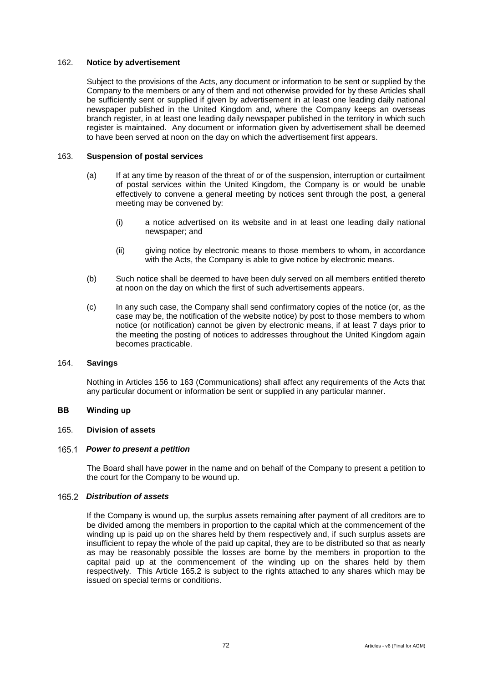#### 162. **Notice by advertisement**

Subject to the provisions of the Acts, any document or information to be sent or supplied by the Company to the members or any of them and not otherwise provided for by these Articles shall be sufficiently sent or supplied if given by advertisement in at least one leading daily national newspaper published in the United Kingdom and, where the Company keeps an overseas branch register, in at least one leading daily newspaper published in the territory in which such register is maintained. Any document or information given by advertisement shall be deemed to have been served at noon on the day on which the advertisement first appears.

### <span id="page-76-0"></span>163. **Suspension of postal services**

- (a) If at any time by reason of the threat of or of the suspension, interruption or curtailment of postal services within the United Kingdom, the Company is or would be unable effectively to convene a general meeting by notices sent through the post, a general meeting may be convened by:
	- (i) a notice advertised on its website and in at least one leading daily national newspaper; and
	- (ii) giving notice by electronic means to those members to whom, in accordance with the Acts, the Company is able to give notice by electronic means.
- (b) Such notice shall be deemed to have been duly served on all members entitled thereto at noon on the day on which the first of such advertisements appears.
- (c) In any such case, the Company shall send confirmatory copies of the notice (or, as the case may be, the notification of the website notice) by post to those members to whom notice (or notification) cannot be given by electronic means, if at least 7 days prior to the meeting the posting of notices to addresses throughout the United Kingdom again becomes practicable.

## 164. **Savings**

Nothing in Articles [156](#page-71-0) to [163](#page-76-0) (Communications) shall affect any requirements of the Acts that any particular document or information be sent or supplied in any particular manner.

#### **BB Winding up**

#### 165. **Division of assets**

#### *Power to present a petition*

The Board shall have power in the name and on behalf of the Company to present a petition to the court for the Company to be wound up.

## <span id="page-76-1"></span>*Distribution of assets*

If the Company is wound up, the surplus assets remaining after payment of all creditors are to be divided among the members in proportion to the capital which at the commencement of the winding up is paid up on the shares held by them respectively and, if such surplus assets are insufficient to repay the whole of the paid up capital, they are to be distributed so that as nearly as may be reasonably possible the losses are borne by the members in proportion to the capital paid up at the commencement of the winding up on the shares held by them respectively. This Article [165.2](#page-76-1) is subject to the rights attached to any shares which may be issued on special terms or conditions.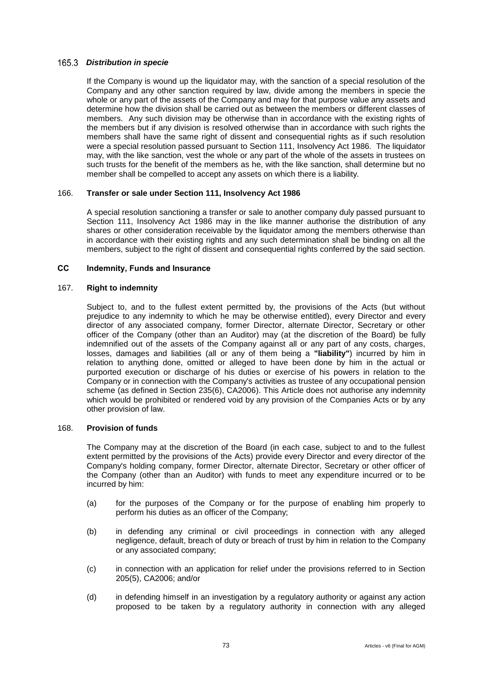## *Distribution in specie*

If the Company is wound up the liquidator may, with the sanction of a special resolution of the Company and any other sanction required by law, divide among the members in specie the whole or any part of the assets of the Company and may for that purpose value any assets and determine how the division shall be carried out as between the members or different classes of members. Any such division may be otherwise than in accordance with the existing rights of the members but if any division is resolved otherwise than in accordance with such rights the members shall have the same right of dissent and consequential rights as if such resolution were a special resolution passed pursuant to Section 111, Insolvency Act 1986. The liquidator may, with the like sanction, vest the whole or any part of the whole of the assets in trustees on such trusts for the benefit of the members as he, with the like sanction, shall determine but no member shall be compelled to accept any assets on which there is a liability.

#### 166. **Transfer or sale under Section 111, Insolvency Act 1986**

A special resolution sanctioning a transfer or sale to another company duly passed pursuant to Section 111, Insolvency Act 1986 may in the like manner authorise the distribution of any shares or other consideration receivable by the liquidator among the members otherwise than in accordance with their existing rights and any such determination shall be binding on all the members, subject to the right of dissent and consequential rights conferred by the said section.

#### **CC Indemnity, Funds and Insurance**

## 167. **Right to indemnity**

Subject to, and to the fullest extent permitted by, the provisions of the Acts (but without prejudice to any indemnity to which he may be otherwise entitled), every Director and every director of any associated company, former Director, alternate Director, Secretary or other officer of the Company (other than an Auditor) may (at the discretion of the Board) be fully indemnified out of the assets of the Company against all or any part of any costs, charges, losses, damages and liabilities (all or any of them being a **"liability"**) incurred by him in relation to anything done, omitted or alleged to have been done by him in the actual or purported execution or discharge of his duties or exercise of his powers in relation to the Company or in connection with the Company's activities as trustee of any occupational pension scheme (as defined in Section 235(6), CA2006). This Article does not authorise any indemnity which would be prohibited or rendered void by any provision of the Companies Acts or by any other provision of law.

#### 168. **Provision of funds**

The Company may at the discretion of the Board (in each case, subject to and to the fullest extent permitted by the provisions of the Acts) provide every Director and every director of the Company's holding company, former Director, alternate Director, Secretary or other officer of the Company (other than an Auditor) with funds to meet any expenditure incurred or to be incurred by him:

- (a) for the purposes of the Company or for the purpose of enabling him properly to perform his duties as an officer of the Company;
- (b) in defending any criminal or civil proceedings in connection with any alleged negligence, default, breach of duty or breach of trust by him in relation to the Company or any associated company;
- (c) in connection with an application for relief under the provisions referred to in Section 205(5), CA2006; and/or
- (d) in defending himself in an investigation by a regulatory authority or against any action proposed to be taken by a regulatory authority in connection with any alleged